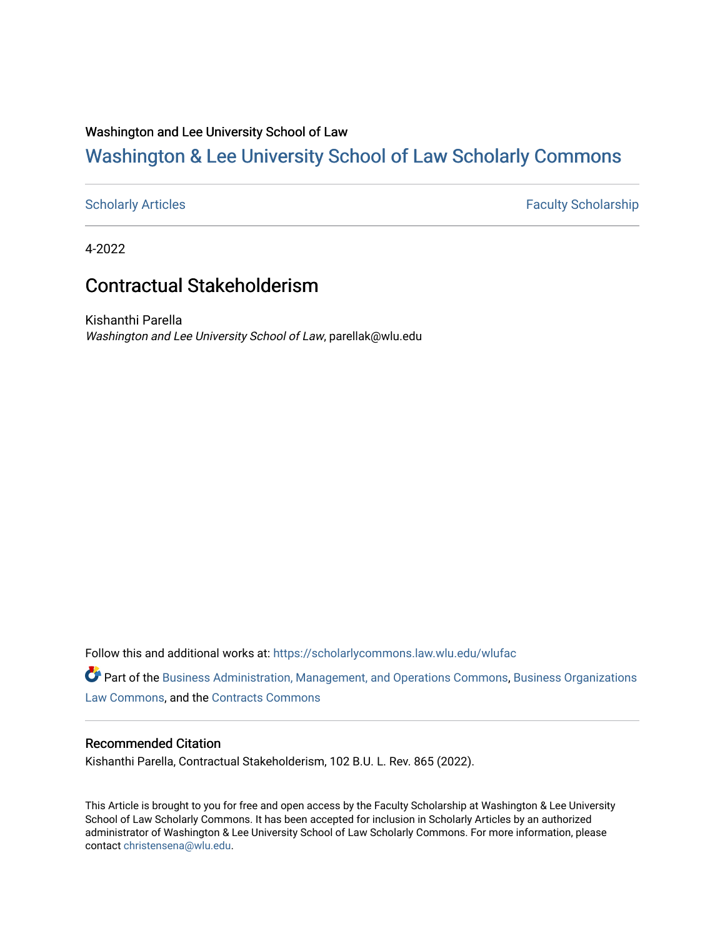# Washington and Lee University School of Law

# [Washington & Lee University School of Law Scholarly Commons](https://scholarlycommons.law.wlu.edu/)

[Scholarly Articles](https://scholarlycommons.law.wlu.edu/wlufac) **Faculty Scholarship** Faculty Scholarship

4-2022

# Contractual Stakeholderism

Kishanthi Parella Washington and Lee University School of Law, parellak@wlu.edu

Follow this and additional works at: [https://scholarlycommons.law.wlu.edu/wlufac](https://scholarlycommons.law.wlu.edu/wlufac?utm_source=scholarlycommons.law.wlu.edu%2Fwlufac%2F709&utm_medium=PDF&utm_campaign=PDFCoverPages)

Part of the [Business Administration, Management, and Operations Commons](http://network.bepress.com/hgg/discipline/623?utm_source=scholarlycommons.law.wlu.edu%2Fwlufac%2F709&utm_medium=PDF&utm_campaign=PDFCoverPages), [Business Organizations](http://network.bepress.com/hgg/discipline/900?utm_source=scholarlycommons.law.wlu.edu%2Fwlufac%2F709&utm_medium=PDF&utm_campaign=PDFCoverPages) [Law Commons,](http://network.bepress.com/hgg/discipline/900?utm_source=scholarlycommons.law.wlu.edu%2Fwlufac%2F709&utm_medium=PDF&utm_campaign=PDFCoverPages) and the [Contracts Commons](http://network.bepress.com/hgg/discipline/591?utm_source=scholarlycommons.law.wlu.edu%2Fwlufac%2F709&utm_medium=PDF&utm_campaign=PDFCoverPages) 

# Recommended Citation

Kishanthi Parella, Contractual Stakeholderism, 102 B.U. L. Rev. 865 (2022).

This Article is brought to you for free and open access by the Faculty Scholarship at Washington & Lee University School of Law Scholarly Commons. It has been accepted for inclusion in Scholarly Articles by an authorized administrator of Washington & Lee University School of Law Scholarly Commons. For more information, please contact [christensena@wlu.edu](mailto:christensena@wlu.edu).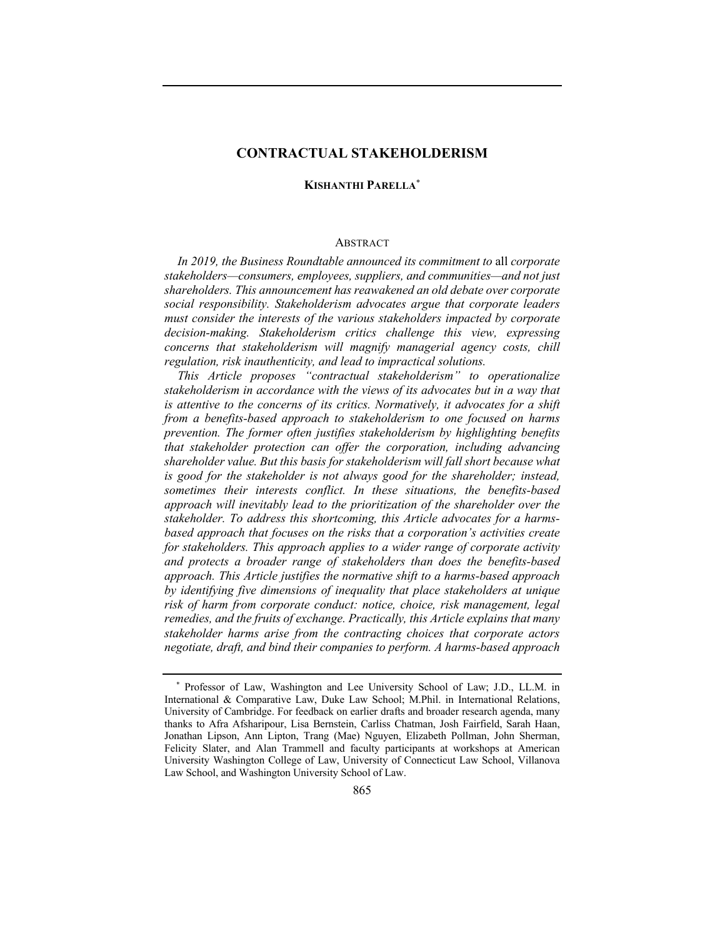# **CONTRACTUAL STAKEHOLDERISM**

# **KISHANTHI PARELLA**\*

### **ABSTRACT**

*In 2019, the Business Roundtable announced its commitment to* all *corporate stakeholders—consumers, employees, suppliers, and communities—and not just shareholders. This announcement has reawakened an old debate over corporate social responsibility. Stakeholderism advocates argue that corporate leaders must consider the interests of the various stakeholders impacted by corporate decision-making. Stakeholderism critics challenge this view, expressing concerns that stakeholderism will magnify managerial agency costs, chill regulation, risk inauthenticity, and lead to impractical solutions.*

*This Article proposes "contractual stakeholderism" to operationalize stakeholderism in accordance with the views of its advocates but in a way that is attentive to the concerns of its critics. Normatively, it advocates for a shift from a benefits-based approach to stakeholderism to one focused on harms prevention. The former often justifies stakeholderism by highlighting benefits that stakeholder protection can offer the corporation, including advancing shareholder value. But this basis for stakeholderism will fall short because what is good for the stakeholder is not always good for the shareholder; instead, sometimes their interests conflict. In these situations, the benefits-based approach will inevitably lead to the prioritization of the shareholder over the stakeholder. To address this shortcoming, this Article advocates for a harmsbased approach that focuses on the risks that a corporation's activities create for stakeholders. This approach applies to a wider range of corporate activity and protects a broader range of stakeholders than does the benefits-based approach. This Article justifies the normative shift to a harms-based approach by identifying five dimensions of inequality that place stakeholders at unique risk of harm from corporate conduct: notice, choice, risk management, legal remedies, and the fruits of exchange. Practically, this Article explains that many stakeholder harms arise from the contracting choices that corporate actors negotiate, draft, and bind their companies to perform. A harms-based approach* 

<sup>\*</sup> Professor of Law, Washington and Lee University School of Law; J.D., LL.M. in International & Comparative Law, Duke Law School; M.Phil. in International Relations, University of Cambridge. For feedback on earlier drafts and broader research agenda, many thanks to Afra Afsharipour, Lisa Bernstein, Carliss Chatman, Josh Fairfield, Sarah Haan, Jonathan Lipson, Ann Lipton, Trang (Mae) Nguyen, Elizabeth Pollman, John Sherman, Felicity Slater, and Alan Trammell and faculty participants at workshops at American University Washington College of Law, University of Connecticut Law School, Villanova Law School, and Washington University School of Law.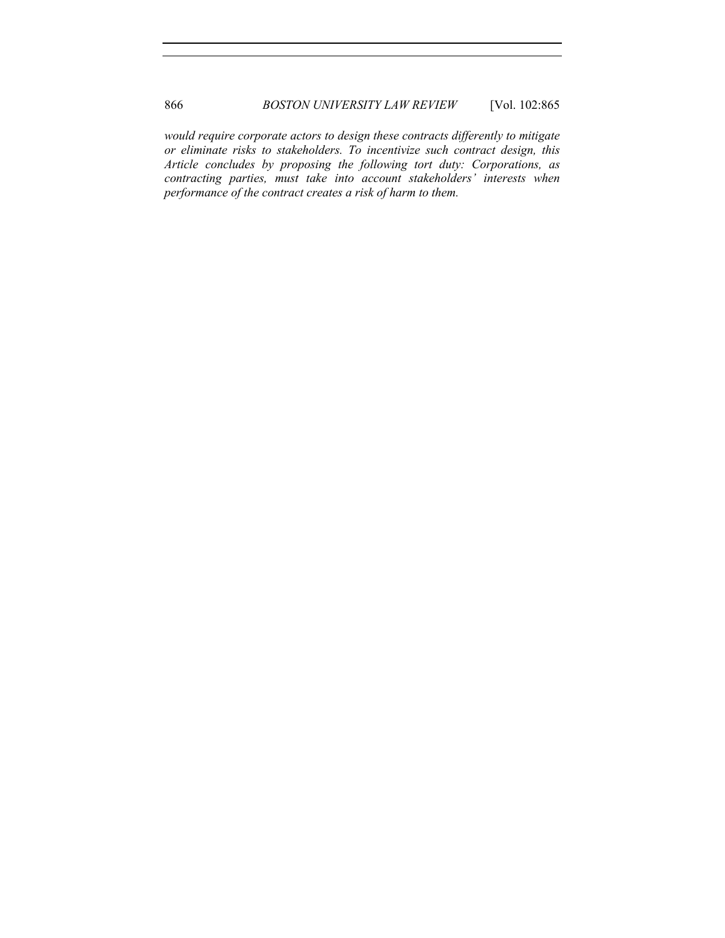*would require corporate actors to design these contracts differently to mitigate or eliminate risks to stakeholders. To incentivize such contract design, this Article concludes by proposing the following tort duty: Corporations, as contracting parties, must take into account stakeholders' interests when performance of the contract creates a risk of harm to them.*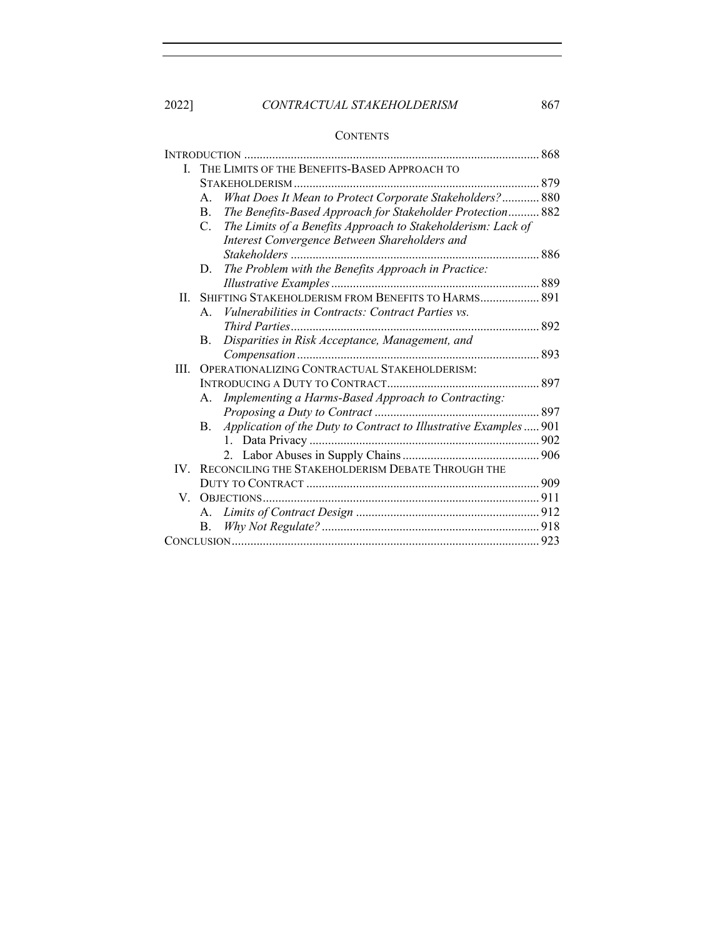2022] *CONTRACTUAL STAKEHOLDERISM* 867

# **CONTENTS**

| L.   | THE LIMITS OF THE BENEFITS-BASED APPROACH TO |                                                                   |  |
|------|----------------------------------------------|-------------------------------------------------------------------|--|
|      |                                              |                                                                   |  |
|      | A.                                           | What Does It Mean to Protect Corporate Stakeholders? 880          |  |
|      | B.                                           | The Benefits-Based Approach for Stakeholder Protection 882        |  |
|      | $C_{\cdot}$                                  | The Limits of a Benefits Approach to Stakeholderism: Lack of      |  |
|      |                                              | Interest Convergence Between Shareholders and                     |  |
|      |                                              |                                                                   |  |
|      | D.                                           | The Problem with the Benefits Approach in Practice:               |  |
|      |                                              |                                                                   |  |
| H.   |                                              | SHIFTING STAKEHOLDERISM FROM BENEFITS TO HARMS 891                |  |
|      | $A_{\cdot}$                                  | <i>Vulnerabilities in Contracts: Contract Parties vs.</i>         |  |
|      |                                              |                                                                   |  |
|      | В.                                           | Disparities in Risk Acceptance, Management, and                   |  |
|      |                                              |                                                                   |  |
| III. | OPERATIONALIZING CONTRACTUAL STAKEHOLDERISM: |                                                                   |  |
|      |                                              |                                                                   |  |
|      | А.                                           | Implementing a Harms-Based Approach to Contracting:               |  |
|      |                                              |                                                                   |  |
|      | B.                                           | Application of the Duty to Contract to Illustrative Examples  901 |  |
|      |                                              |                                                                   |  |
|      |                                              |                                                                   |  |
| IV — |                                              | RECONCILING THE STAKEHOLDERISM DEBATE THROUGH THE                 |  |
|      |                                              |                                                                   |  |
|      |                                              |                                                                   |  |
|      | А.                                           |                                                                   |  |
|      | B.                                           |                                                                   |  |
|      |                                              |                                                                   |  |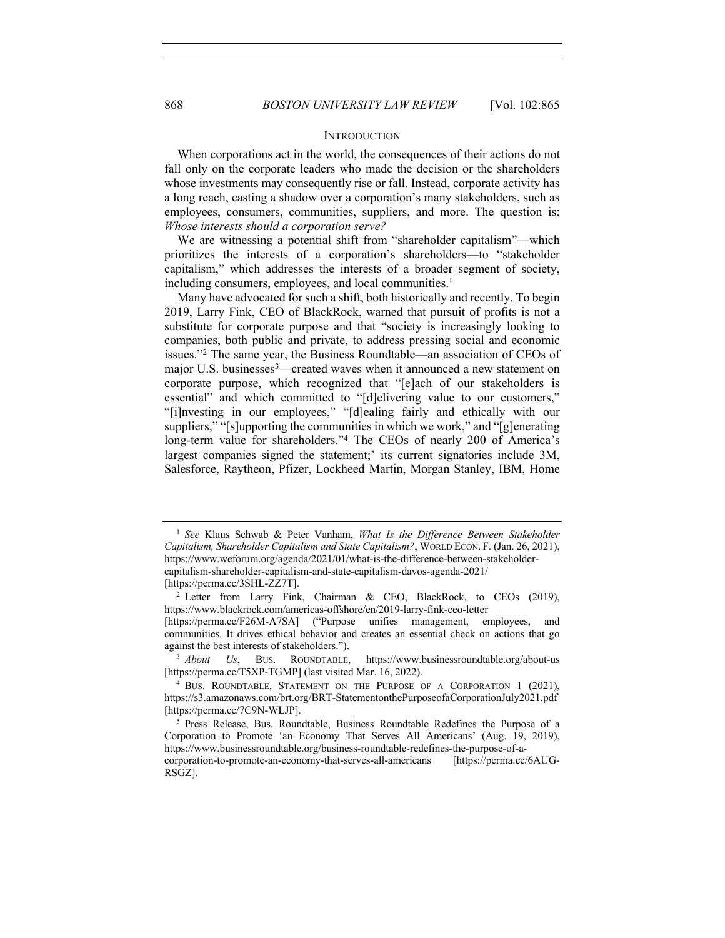#### **INTRODUCTION**

When corporations act in the world, the consequences of their actions do not fall only on the corporate leaders who made the decision or the shareholders whose investments may consequently rise or fall. Instead, corporate activity has a long reach, casting a shadow over a corporation's many stakeholders, such as employees, consumers, communities, suppliers, and more. The question is: *Whose interests should a corporation serve?*

We are witnessing a potential shift from "shareholder capitalism"—which prioritizes the interests of a corporation's shareholders—to "stakeholder capitalism," which addresses the interests of a broader segment of society, including consumers, employees, and local communities. 1

Many have advocated for such a shift, both historically and recently. To begin 2019, Larry Fink, CEO of BlackRock, warned that pursuit of profits is not a substitute for corporate purpose and that "society is increasingly looking to companies, both public and private, to address pressing social and economic issues."2 The same year, the Business Roundtable—an association of CEOs of major U.S. businesses<sup>3</sup>—created waves when it announced a new statement on corporate purpose, which recognized that "[e]ach of our stakeholders is essential" and which committed to "[d]elivering value to our customers," "[i]nvesting in our employees," "[d]ealing fairly and ethically with our suppliers," "[s]upporting the communities in which we work," and "[g]enerating long-term value for shareholders."4 The CEOs of nearly 200 of America's largest companies signed the statement;<sup>5</sup> its current signatories include  $3M$ , Salesforce, Raytheon, Pfizer, Lockheed Martin, Morgan Stanley, IBM, Home

<sup>1</sup> *See* Klaus Schwab & Peter Vanham, *What Is the Difference Between Stakeholder Capitalism, Shareholder Capitalism and State Capitalism?*, WORLD ECON. F. (Jan. 26, 2021), https://www.weforum.org/agenda/2021/01/what-is-the-difference-between-stakeholdercapitalism-shareholder-capitalism-and-state-capitalism-davos-agenda-2021/ [https://perma.cc/3SHL-ZZ7T].

<sup>&</sup>lt;sup>2</sup> Letter from Larry Fink, Chairman & CEO, BlackRock, to CEOs (2019), https://www.blackrock.com/americas-offshore/en/2019-larry-fink-ceo-letter

<sup>[</sup>https://perma.cc/F26M-A7SA] ("Purpose unifies management, employees, and communities. It drives ethical behavior and creates an essential check on actions that go against the best interests of stakeholders.").

<sup>3</sup> *About Us*, BUS. ROUNDTABLE, https://www.businessroundtable.org/about-us [https://perma.cc/T5XP-TGMP] (last visited Mar. 16, 2022).

<sup>4</sup> BUS. ROUNDTABLE, STATEMENT ON THE PURPOSE OF A CORPORATION 1 (2021), https://s3.amazonaws.com/brt.org/BRT-StatementonthePurposeofaCorporationJuly2021.pdf [https://perma.cc/7C9N-WLJP].

<sup>5</sup> Press Release, Bus. Roundtable, Business Roundtable Redefines the Purpose of a Corporation to Promote 'an Economy That Serves All Americans' (Aug. 19, 2019), https://www.businessroundtable.org/business-roundtable-redefines-the-purpose-of-a-

corporation-to-promote-an-economy-that-serves-all-americans [https://perma.cc/6AUG-RSGZ].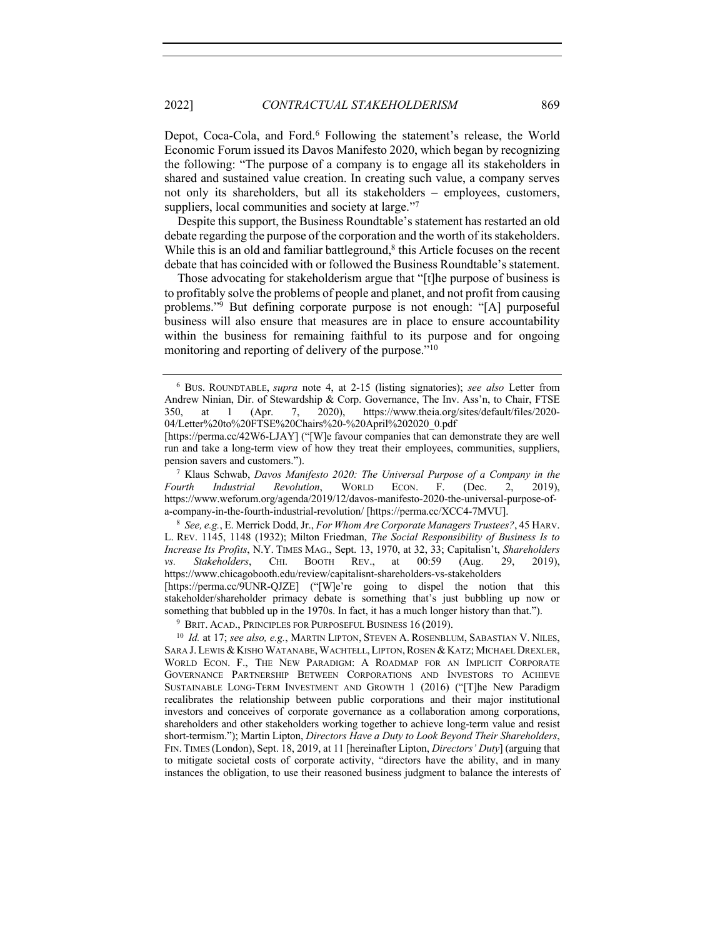2022] *CONTRACTUAL STAKEHOLDERISM* 869

Depot, Coca-Cola, and Ford.6 Following the statement's release, the World Economic Forum issued its Davos Manifesto 2020, which began by recognizing the following: "The purpose of a company is to engage all its stakeholders in shared and sustained value creation. In creating such value, a company serves not only its shareholders, but all its stakeholders – employees, customers, suppliers, local communities and society at large."<sup>7</sup>

Despite this support, the Business Roundtable's statement has restarted an old debate regarding the purpose of the corporation and the worth of its stakeholders. While this is an old and familiar battleground, $\frac{8}{3}$  this Article focuses on the recent debate that has coincided with or followed the Business Roundtable's statement.

Those advocating for stakeholderism argue that "[t]he purpose of business is to profitably solve the problems of people and planet, and not profit from causing problems."9 But defining corporate purpose is not enough: "[A] purposeful business will also ensure that measures are in place to ensure accountability within the business for remaining faithful to its purpose and for ongoing monitoring and reporting of delivery of the purpose."<sup>10</sup>

<sup>9</sup> BRIT. ACAD., PRINCIPLES FOR PURPOSEFUL BUSINESS 16 (2019).

<sup>6</sup> BUS. ROUNDTABLE, *supra* note 4, at 2-15 (listing signatories); *see also* Letter from Andrew Ninian, Dir. of Stewardship & Corp. Governance, The Inv. Ass'n, to Chair, FTSE 350, at 1 (Apr. 7, 2020), https://www.theia.org/sites/default/files/2020- 04/Letter%20to%20FTSE%20Chairs%20-%20April%202020\_0.pdf

<sup>[</sup>https://perma.cc/42W6-LJAY] ("[W]e favour companies that can demonstrate they are well run and take a long-term view of how they treat their employees, communities, suppliers, pension savers and customers.").

<sup>7</sup> Klaus Schwab, *Davos Manifesto 2020: The Universal Purpose of a Company in the Fourth Industrial Revolution*, WORLD ECON. F. (Dec. 2, 2019), https://www.weforum.org/agenda/2019/12/davos-manifesto-2020-the-universal-purpose-ofa-company-in-the-fourth-industrial-revolution/ [https://perma.cc/XCC4-7MVU].

<sup>8</sup> *See, e.g.*, E. Merrick Dodd, Jr., *For Whom Are Corporate Managers Trustees?*, 45 HARV. L. REV. 1145, 1148 (1932); Milton Friedman, *The Social Responsibility of Business Is to Increase Its Profits*, N.Y. TIMES MAG., Sept. 13, 1970, at 32, 33; Capitalisn't, *Shareholders vs. Stakeholders*, CHI. BOOTH REV., at 00:59 (Aug. 29, 2019), https://www.chicagobooth.edu/review/capitalisnt-shareholders-vs-stakeholders [https://perma.cc/9UNR-QJZE] ("[W]e're going to dispel the notion that this stakeholder/shareholder primacy debate is something that's just bubbling up now or something that bubbled up in the 1970s. In fact, it has a much longer history than that.").

<sup>10</sup> *Id.* at 17; *see also, e.g.*, MARTIN LIPTON, STEVEN A. ROSENBLUM, SABASTIAN V. NILES, SARA J. LEWIS & KISHO WATANABE, WACHTELL, LIPTON, ROSEN & KATZ; MICHAEL DREXLER, WORLD ECON. F., THE NEW PARADIGM: A ROADMAP FOR AN IMPLICIT CORPORATE GOVERNANCE PARTNERSHIP BETWEEN CORPORATIONS AND INVESTORS TO ACHIEVE SUSTAINABLE LONG-TERM INVESTMENT AND GROWTH 1 (2016) ("[T]he New Paradigm recalibrates the relationship between public corporations and their major institutional investors and conceives of corporate governance as a collaboration among corporations, shareholders and other stakeholders working together to achieve long-term value and resist short-termism."); Martin Lipton, *Directors Have a Duty to Look Beyond Their Shareholders*, FIN. TIMES (London), Sept. 18, 2019, at 11 [hereinafter Lipton, *Directors' Duty*] (arguing that to mitigate societal costs of corporate activity, "directors have the ability, and in many instances the obligation, to use their reasoned business judgment to balance the interests of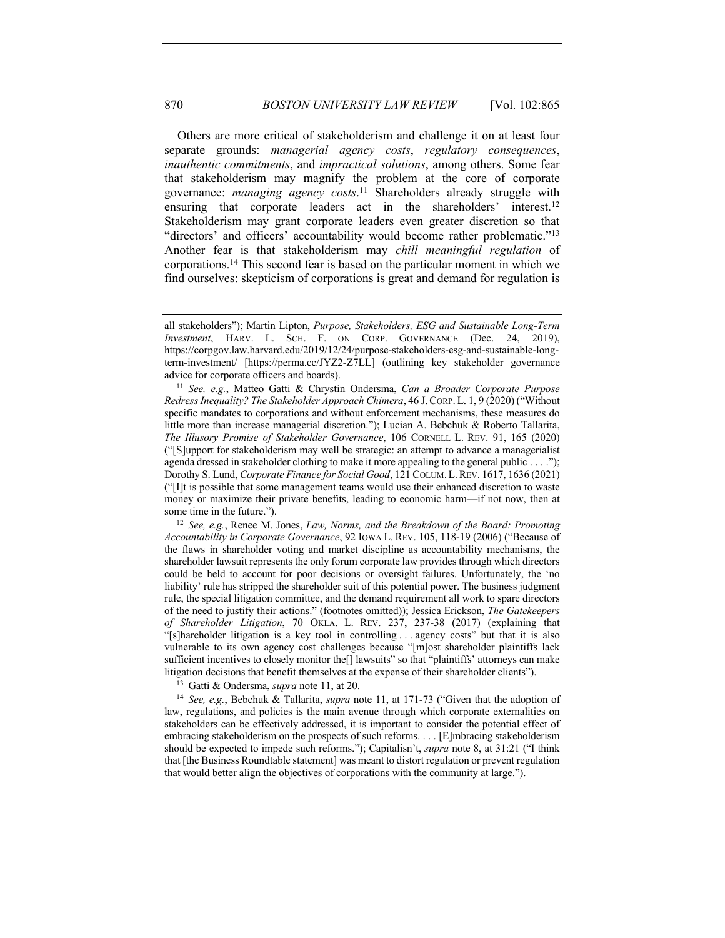Others are more critical of stakeholderism and challenge it on at least four separate grounds: *managerial agency costs*, *regulatory consequences*, *inauthentic commitments*, and *impractical solutions*, among others. Some fear that stakeholderism may magnify the problem at the core of corporate governance: *managing agency costs*. <sup>11</sup> Shareholders already struggle with ensuring that corporate leaders act in the shareholders' interest.<sup>12</sup> Stakeholderism may grant corporate leaders even greater discretion so that "directors' and officers' accountability would become rather problematic."13 Another fear is that stakeholderism may *chill meaningful regulation* of corporations.14 This second fear is based on the particular moment in which we find ourselves: skepticism of corporations is great and demand for regulation is

<sup>12</sup> *See, e.g.*, Renee M. Jones, *Law, Norms, and the Breakdown of the Board: Promoting Accountability in Corporate Governance*, 92 IOWA L. REV. 105, 118-19 (2006) ("Because of the flaws in shareholder voting and market discipline as accountability mechanisms, the shareholder lawsuit represents the only forum corporate law provides through which directors could be held to account for poor decisions or oversight failures. Unfortunately, the 'no liability' rule has stripped the shareholder suit of this potential power. The business judgment rule, the special litigation committee, and the demand requirement all work to spare directors of the need to justify their actions." (footnotes omitted)); Jessica Erickson, *The Gatekeepers of Shareholder Litigation*, 70 OKLA. L. REV. 237, 237-38 (2017) (explaining that "[s]hareholder litigation is a key tool in controlling . . . agency costs" but that it is also vulnerable to its own agency cost challenges because "[m]ost shareholder plaintiffs lack sufficient incentives to closely monitor the<sup>[]</sup> lawsuits" so that "plaintiffs' attorneys can make litigation decisions that benefit themselves at the expense of their shareholder clients").

<sup>13</sup> Gatti & Ondersma, *supra* note 11, at 20.

<sup>14</sup> *See, e.g.*, Bebchuk & Tallarita, *supra* note 11, at 171-73 ("Given that the adoption of law, regulations, and policies is the main avenue through which corporate externalities on stakeholders can be effectively addressed, it is important to consider the potential effect of embracing stakeholderism on the prospects of such reforms. . . . [E]mbracing stakeholderism should be expected to impede such reforms."); Capitalisn't, *supra* note 8, at 31:21 ("I think that [the Business Roundtable statement] was meant to distort regulation or prevent regulation that would better align the objectives of corporations with the community at large.").

all stakeholders"); Martin Lipton, *Purpose, Stakeholders, ESG and Sustainable Long-Term Investment*, HARV. L. SCH. F. ON CORP. GOVERNANCE (Dec. 24, 2019), https://corpgov.law.harvard.edu/2019/12/24/purpose-stakeholders-esg-and-sustainable-longterm-investment/ [https://perma.cc/JYZ2-Z7LL] (outlining key stakeholder governance advice for corporate officers and boards).

<sup>11</sup> *See, e.g.*, Matteo Gatti & Chrystin Ondersma, *Can a Broader Corporate Purpose Redress Inequality? The Stakeholder Approach Chimera*, 46 J.CORP.L. 1, 9 (2020) ("Without specific mandates to corporations and without enforcement mechanisms, these measures do little more than increase managerial discretion."); Lucian A. Bebchuk & Roberto Tallarita, *The Illusory Promise of Stakeholder Governance*, 106 CORNELL L. REV. 91, 165 (2020) ("[S]upport for stakeholderism may well be strategic: an attempt to advance a managerialist agenda dressed in stakeholder clothing to make it more appealing to the general public . . . ."); Dorothy S. Lund, *Corporate Finance for Social Good*, 121 COLUM.L.REV. 1617, 1636 (2021) ("[I]t is possible that some management teams would use their enhanced discretion to waste money or maximize their private benefits, leading to economic harm—if not now, then at some time in the future.").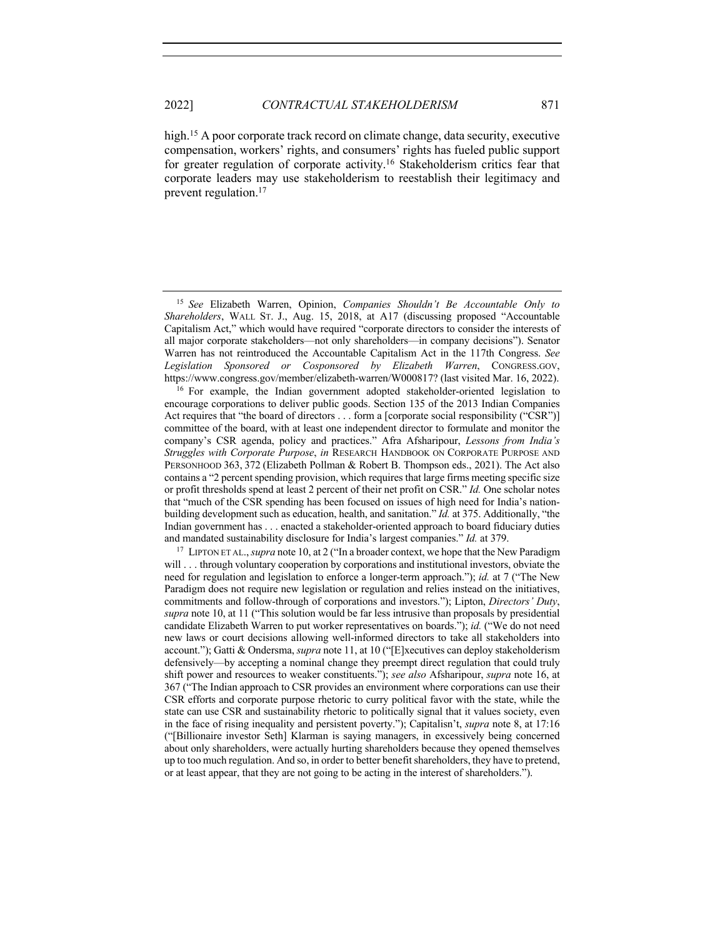high.<sup>15</sup> A poor corporate track record on climate change, data security, executive compensation, workers' rights, and consumers' rights has fueled public support for greater regulation of corporate activity.16 Stakeholderism critics fear that corporate leaders may use stakeholderism to reestablish their legitimacy and prevent regulation.17

<sup>16</sup> For example, the Indian government adopted stakeholder-oriented legislation to encourage corporations to deliver public goods. Section 135 of the 2013 Indian Companies Act requires that "the board of directors . . . form a [corporate social responsibility ("CSR")] committee of the board, with at least one independent director to formulate and monitor the company's CSR agenda, policy and practices." Afra Afsharipour, *Lessons from India's Struggles with Corporate Purpose*, *in* RESEARCH HANDBOOK ON CORPORATE PURPOSE AND PERSONHOOD 363, 372 (Elizabeth Pollman & Robert B. Thompson eds., 2021). The Act also contains a "2 percent spending provision, which requires that large firms meeting specific size or profit thresholds spend at least 2 percent of their net profit on CSR." *Id.* One scholar notes that "much of the CSR spending has been focused on issues of high need for India's nationbuilding development such as education, health, and sanitation." *Id.* at 375. Additionally, "the Indian government has . . . enacted a stakeholder-oriented approach to board fiduciary duties and mandated sustainability disclosure for India's largest companies." *Id.* at 379.

<sup>17</sup> LIPTON ET AL., *supra* note 10, at 2 ("In a broader context, we hope that the New Paradigm will . . . through voluntary cooperation by corporations and institutional investors, obviate the need for regulation and legislation to enforce a longer-term approach."); *id.* at 7 ("The New Paradigm does not require new legislation or regulation and relies instead on the initiatives, commitments and follow-through of corporations and investors."); Lipton, *Directors' Duty*, *supra* note 10, at 11 ("This solution would be far less intrusive than proposals by presidential candidate Elizabeth Warren to put worker representatives on boards."); *id.* ("We do not need new laws or court decisions allowing well-informed directors to take all stakeholders into account."); Gatti & Ondersma, *supra* note 11, at 10 ("[E]xecutives can deploy stakeholderism defensively—by accepting a nominal change they preempt direct regulation that could truly shift power and resources to weaker constituents."); *see also* Afsharipour, *supra* note 16, at 367 ("The Indian approach to CSR provides an environment where corporations can use their CSR efforts and corporate purpose rhetoric to curry political favor with the state, while the state can use CSR and sustainability rhetoric to politically signal that it values society, even in the face of rising inequality and persistent poverty."); Capitalisn't, *supra* note 8, at 17:16 ("[Billionaire investor Seth] Klarman is saying managers, in excessively being concerned about only shareholders, were actually hurting shareholders because they opened themselves up to too much regulation. And so, in order to better benefit shareholders, they have to pretend, or at least appear, that they are not going to be acting in the interest of shareholders.").

<sup>15</sup> *See* Elizabeth Warren, Opinion, *Companies Shouldn't Be Accountable Only to Shareholders*, WALL ST. J., Aug. 15, 2018, at A17 (discussing proposed "Accountable Capitalism Act," which would have required "corporate directors to consider the interests of all major corporate stakeholders—not only shareholders—in company decisions"). Senator Warren has not reintroduced the Accountable Capitalism Act in the 117th Congress. *See Legislation Sponsored or Cosponsored by Elizabeth Warren*, CONGRESS.GOV, https://www.congress.gov/member/elizabeth-warren/W000817? (last visited Mar. 16, 2022).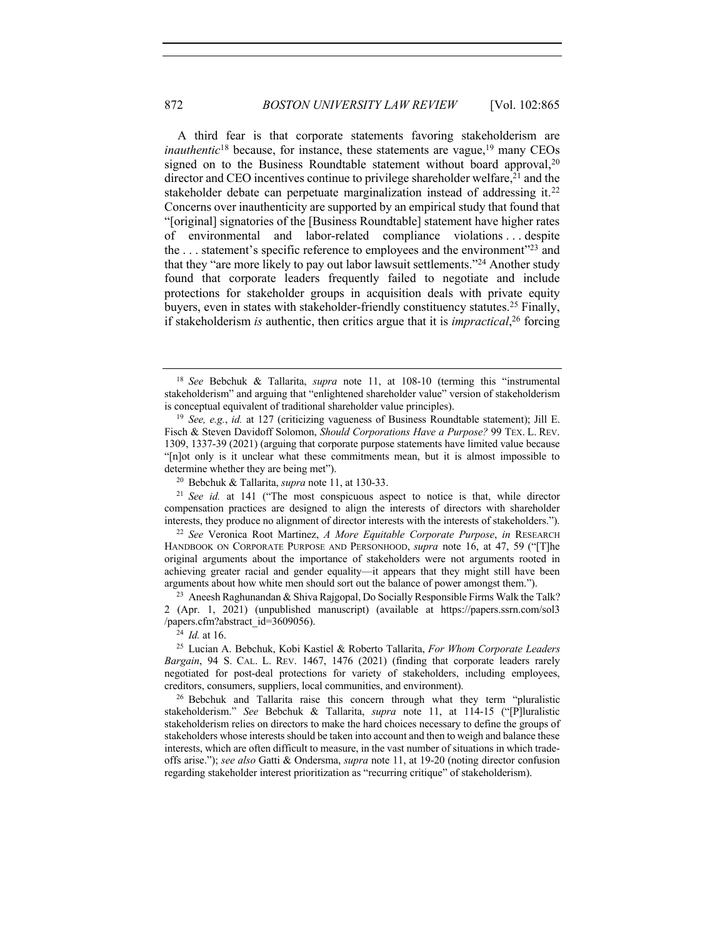A third fear is that corporate statements favoring stakeholderism are *inauthentic*<sup>18</sup> because, for instance, these statements are vague, <sup>19</sup> many CEOs signed on to the Business Roundtable statement without board approval,<sup>20</sup> director and CEO incentives continue to privilege shareholder welfare,21 and the stakeholder debate can perpetuate marginalization instead of addressing it.<sup>22</sup> Concerns over inauthenticity are supported by an empirical study that found that "[original] signatories of the [Business Roundtable] statement have higher rates of environmental and labor-related compliance violations . . . despite the  $\dots$  statement's specific reference to employees and the environment<sup> $23$ </sup> and that they "are more likely to pay out labor lawsuit settlements."24 Another study found that corporate leaders frequently failed to negotiate and include protections for stakeholder groups in acquisition deals with private equity buyers, even in states with stakeholder-friendly constituency statutes. <sup>25</sup> Finally, if stakeholderism *is* authentic, then critics argue that it is *impractical*, <sup>26</sup> forcing

<sup>24</sup> *Id.* at 16.

<sup>18</sup> *See* Bebchuk & Tallarita, *supra* note 11, at 108-10 (terming this "instrumental stakeholderism" and arguing that "enlightened shareholder value" version of stakeholderism is conceptual equivalent of traditional shareholder value principles).

<sup>19</sup> *See, e.g.*, *id.* at 127 (criticizing vagueness of Business Roundtable statement); Jill E. Fisch & Steven Davidoff Solomon, *Should Corporations Have a Purpose?* 99 TEX. L. REV. 1309, 1337-39 (2021) (arguing that corporate purpose statements have limited value because "[n]ot only is it unclear what these commitments mean, but it is almost impossible to determine whether they are being met").

<sup>20</sup> Bebchuk & Tallarita, *supra* note 11, at 130-33.

<sup>21</sup> *See id.* at 141 ("The most conspicuous aspect to notice is that, while director compensation practices are designed to align the interests of directors with shareholder interests, they produce no alignment of director interests with the interests of stakeholders.").

<sup>22</sup> *See* Veronica Root Martinez, *A More Equitable Corporate Purpose*, *in* RESEARCH HANDBOOK ON CORPORATE PURPOSE AND PERSONHOOD, *supra* note 16, at 47, 59 ("[T]he original arguments about the importance of stakeholders were not arguments rooted in achieving greater racial and gender equality—it appears that they might still have been arguments about how white men should sort out the balance of power amongst them.").

<sup>&</sup>lt;sup>23</sup> Aneesh Raghunandan & Shiva Rajgopal, Do Socially Responsible Firms Walk the Talk? 2 (Apr. 1, 2021) (unpublished manuscript) (available at https://papers.ssrn.com/sol3 /papers.cfm?abstract\_id=3609056).

<sup>25</sup> Lucian A. Bebchuk, Kobi Kastiel & Roberto Tallarita, *For Whom Corporate Leaders Bargain*, 94 S. CAL. L. REV. 1467, 1476 (2021) (finding that corporate leaders rarely negotiated for post-deal protections for variety of stakeholders, including employees, creditors, consumers, suppliers, local communities, and environment).

 $26$  Bebchuk and Tallarita raise this concern through what they term "pluralistic stakeholderism." *See* Bebchuk & Tallarita, *supra* note 11, at 114-15 ("[P]luralistic stakeholderism relies on directors to make the hard choices necessary to define the groups of stakeholders whose interests should be taken into account and then to weigh and balance these interests, which are often difficult to measure, in the vast number of situations in which tradeoffs arise."); *see also* Gatti & Ondersma, *supra* note 11, at 19-20 (noting director confusion regarding stakeholder interest prioritization as "recurring critique" of stakeholderism).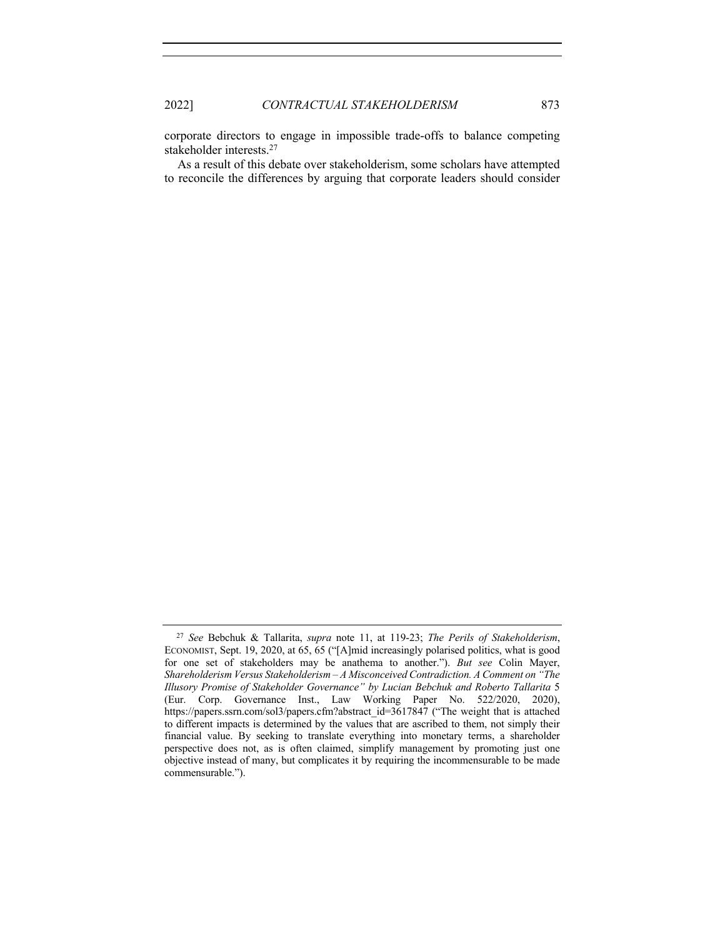corporate directors to engage in impossible trade-offs to balance competing stakeholder interests.27

As a result of this debate over stakeholderism, some scholars have attempted to reconcile the differences by arguing that corporate leaders should consider

<sup>27</sup> *See* Bebchuk & Tallarita, *supra* note 11, at 119-23; *The Perils of Stakeholderism*, ECONOMIST, Sept. 19, 2020, at 65, 65 ("[A]mid increasingly polarised politics, what is good for one set of stakeholders may be anathema to another."). *But see* Colin Mayer, *Shareholderism Versus Stakeholderism – A Misconceived Contradiction. A Comment on "The Illusory Promise of Stakeholder Governance" by Lucian Bebchuk and Roberto Tallarita* 5 (Eur. Corp. Governance Inst., Law Working Paper No. 522/2020, 2020), https://papers.ssrn.com/sol3/papers.cfm?abstract\_id=3617847 ("The weight that is attached to different impacts is determined by the values that are ascribed to them, not simply their financial value. By seeking to translate everything into monetary terms, a shareholder perspective does not, as is often claimed, simplify management by promoting just one objective instead of many, but complicates it by requiring the incommensurable to be made commensurable.").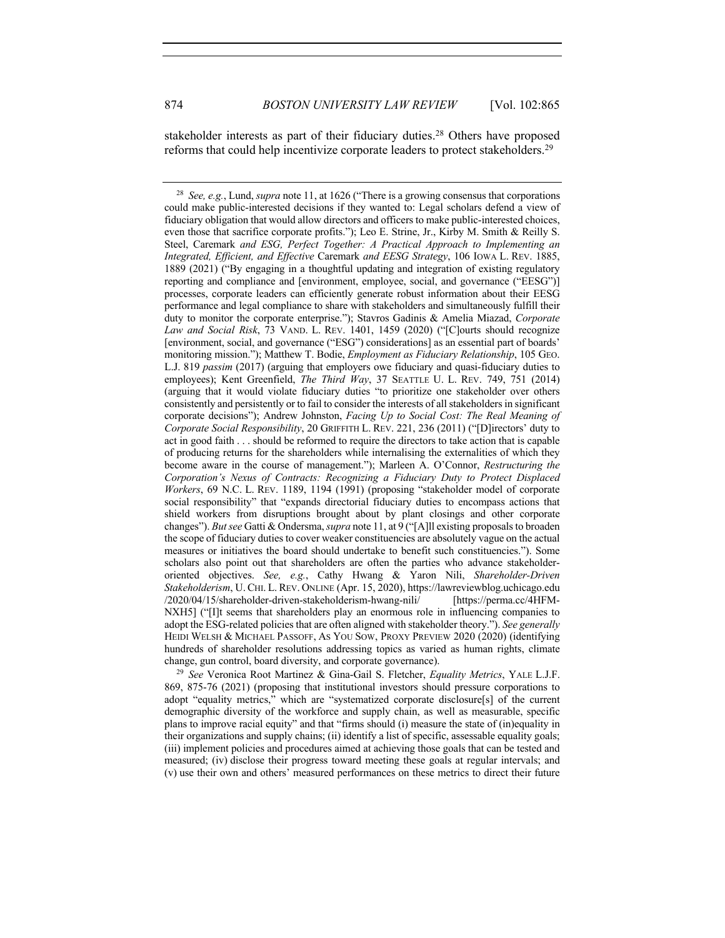stakeholder interests as part of their fiduciary duties. <sup>28</sup> Others have proposed reforms that could help incentivize corporate leaders to protect stakeholders.29

<sup>29</sup> *See* Veronica Root Martinez & Gina-Gail S. Fletcher, *Equality Metrics*, YALE L.J.F. 869, 875-76 (2021) (proposing that institutional investors should pressure corporations to adopt "equality metrics," which are "systematized corporate disclosure[s] of the current demographic diversity of the workforce and supply chain, as well as measurable, specific plans to improve racial equity" and that "firms should (i) measure the state of (in)equality in their organizations and supply chains; (ii) identify a list of specific, assessable equality goals; (iii) implement policies and procedures aimed at achieving those goals that can be tested and measured; (iv) disclose their progress toward meeting these goals at regular intervals; and (v) use their own and others' measured performances on these metrics to direct their future

<sup>28</sup> *See, e.g.*, Lund, *supra* note 11, at 1626 ("There is a growing consensus that corporations could make public-interested decisions if they wanted to: Legal scholars defend a view of fiduciary obligation that would allow directors and officers to make public-interested choices, even those that sacrifice corporate profits."); Leo E. Strine, Jr., Kirby M. Smith & Reilly S. Steel, Caremark *and ESG, Perfect Together: A Practical Approach to Implementing an Integrated, Efficient, and Effective* Caremark *and EESG Strategy*, 106 IOWA L. REV. 1885, 1889 (2021) ("By engaging in a thoughtful updating and integration of existing regulatory reporting and compliance and [environment, employee, social, and governance ("EESG")] processes, corporate leaders can efficiently generate robust information about their EESG performance and legal compliance to share with stakeholders and simultaneously fulfill their duty to monitor the corporate enterprise."); Stavros Gadinis & Amelia Miazad, *Corporate Law and Social Risk*, 73 VAND. L. REV. 1401, 1459 (2020) ("[C]ourts should recognize [environment, social, and governance ("ESG") considerations] as an essential part of boards' monitoring mission."); Matthew T. Bodie, *Employment as Fiduciary Relationship*, 105 GEO. L.J. 819 *passim* (2017) (arguing that employers owe fiduciary and quasi-fiduciary duties to employees); Kent Greenfield, *The Third Way*, 37 SEATTLE U. L. REV. 749, 751 (2014) (arguing that it would violate fiduciary duties "to prioritize one stakeholder over others consistently and persistently or to fail to consider the interests of all stakeholders in significant corporate decisions"); Andrew Johnston, *Facing Up to Social Cost: The Real Meaning of Corporate Social Responsibility*, 20 GRIFFITH L. REV. 221, 236 (2011) ("[D]irectors' duty to act in good faith . . . should be reformed to require the directors to take action that is capable of producing returns for the shareholders while internalising the externalities of which they become aware in the course of management."); Marleen A. O'Connor, *Restructuring the Corporation's Nexus of Contracts: Recognizing a Fiduciary Duty to Protect Displaced Workers*, 69 N.C. L. REV. 1189, 1194 (1991) (proposing "stakeholder model of corporate social responsibility" that "expands directorial fiduciary duties to encompass actions that shield workers from disruptions brought about by plant closings and other corporate changes"). *But see* Gatti & Ondersma, *supra* note 11, at 9 ("[A]ll existing proposals to broaden the scope of fiduciary duties to cover weaker constituencies are absolutely vague on the actual measures or initiatives the board should undertake to benefit such constituencies."). Some scholars also point out that shareholders are often the parties who advance stakeholderoriented objectives. *See, e.g.*, Cathy Hwang & Yaron Nili, *Shareholder-Driven Stakeholderism*, U. CHI. L. REV. ONLINE (Apr. 15, 2020), https://lawreviewblog.uchicago.edu /2020/04/15/shareholder-driven-stakeholderism-hwang-nili/ [https://perma.cc/4HFM-NXH5] ("IIt seems that shareholders play an enormous role in influencing companies to adopt the ESG-related policies that are often aligned with stakeholder theory."). *See generally* HEIDI WELSH & MICHAEL PASSOFF, AS YOU SOW, PROXY PREVIEW 2020 (2020) (identifying hundreds of shareholder resolutions addressing topics as varied as human rights, climate change, gun control, board diversity, and corporate governance).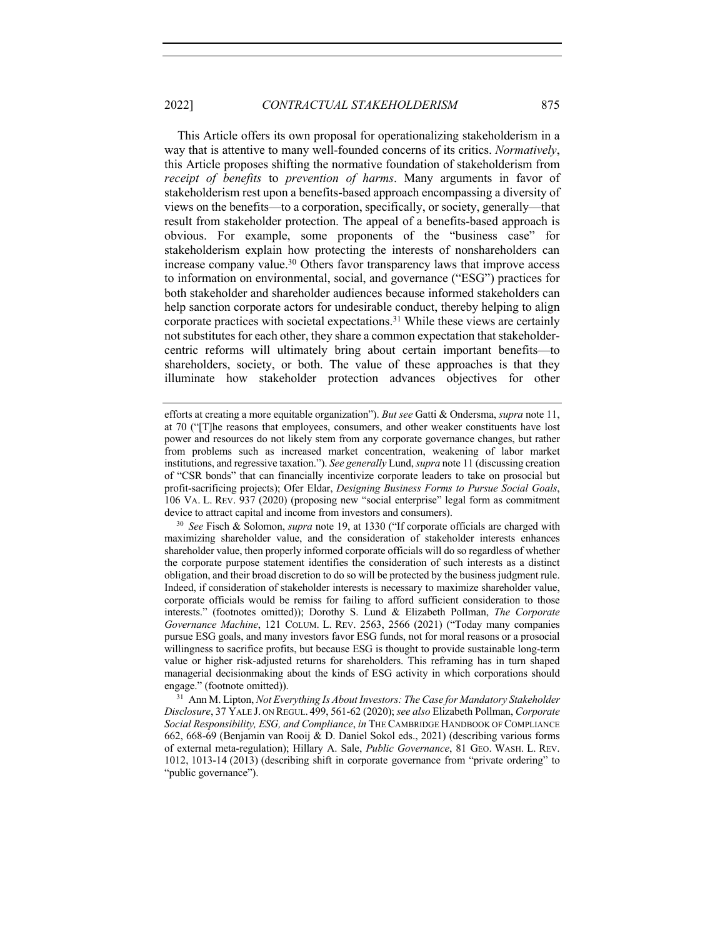This Article offers its own proposal for operationalizing stakeholderism in a way that is attentive to many well-founded concerns of its critics. *Normatively*, this Article proposes shifting the normative foundation of stakeholderism from *receipt of benefits* to *prevention of harms*. Many arguments in favor of stakeholderism rest upon a benefits-based approach encompassing a diversity of views on the benefits—to a corporation, specifically, or society, generally—that result from stakeholder protection. The appeal of a benefits-based approach is obvious. For example, some proponents of the "business case" for stakeholderism explain how protecting the interests of nonshareholders can increase company value.<sup>30</sup> Others favor transparency laws that improve access to information on environmental, social, and governance ("ESG") practices for both stakeholder and shareholder audiences because informed stakeholders can help sanction corporate actors for undesirable conduct, thereby helping to align corporate practices with societal expectations.31 While these views are certainly not substitutes for each other, they share a common expectation that stakeholdercentric reforms will ultimately bring about certain important benefits—to shareholders, society, or both. The value of these approaches is that they illuminate how stakeholder protection advances objectives for other

efforts at creating a more equitable organization"). *But see* Gatti & Ondersma, *supra* note 11, at 70 ("[T]he reasons that employees, consumers, and other weaker constituents have lost power and resources do not likely stem from any corporate governance changes, but rather from problems such as increased market concentration, weakening of labor market institutions, and regressive taxation."). *See generally* Lund, *supra* note 11 (discussing creation of "CSR bonds" that can financially incentivize corporate leaders to take on prosocial but profit-sacrificing projects); Ofer Eldar, *Designing Business Forms to Pursue Social Goals*, 106 VA. L. REV. 937 (2020) (proposing new "social enterprise" legal form as commitment device to attract capital and income from investors and consumers).

<sup>30</sup> *See* Fisch & Solomon, *supra* note 19, at 1330 ("If corporate officials are charged with maximizing shareholder value, and the consideration of stakeholder interests enhances shareholder value, then properly informed corporate officials will do so regardless of whether the corporate purpose statement identifies the consideration of such interests as a distinct obligation, and their broad discretion to do so will be protected by the business judgment rule. Indeed, if consideration of stakeholder interests is necessary to maximize shareholder value, corporate officials would be remiss for failing to afford sufficient consideration to those interests." (footnotes omitted)); Dorothy S. Lund & Elizabeth Pollman, *The Corporate Governance Machine*, 121 COLUM. L. REV. 2563, 2566 (2021) ("Today many companies pursue ESG goals, and many investors favor ESG funds, not for moral reasons or a prosocial willingness to sacrifice profits, but because ESG is thought to provide sustainable long-term value or higher risk-adjusted returns for shareholders. This reframing has in turn shaped managerial decisionmaking about the kinds of ESG activity in which corporations should engage." (footnote omitted)).

<sup>31</sup> Ann M. Lipton, *Not Everything Is About Investors: The Case for Mandatory Stakeholder Disclosure*, 37 YALE J. ON REGUL. 499, 561-62 (2020); *see also* Elizabeth Pollman, *Corporate Social Responsibility, ESG, and Compliance*, *in* THE CAMBRIDGE HANDBOOK OF COMPLIANCE 662, 668-69 (Benjamin van Rooij & D. Daniel Sokol eds., 2021) (describing various forms of external meta-regulation); Hillary A. Sale, *Public Governance*, 81 GEO. WASH. L. REV. 1012, 1013-14 (2013) (describing shift in corporate governance from "private ordering" to "public governance").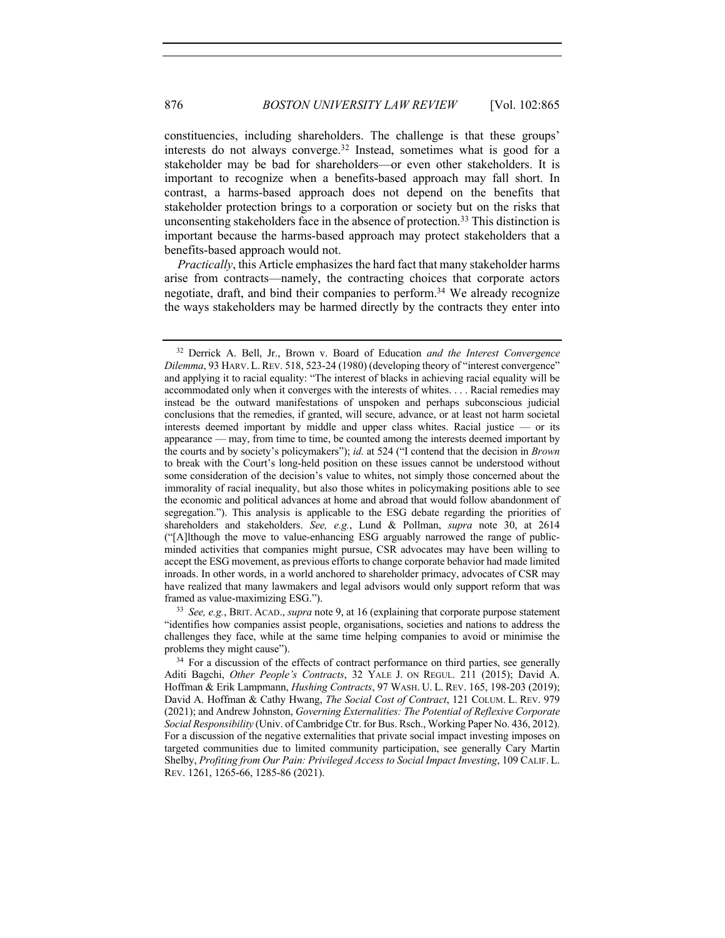constituencies, including shareholders. The challenge is that these groups' interests do not always converge.32 Instead, sometimes what is good for a stakeholder may be bad for shareholders—or even other stakeholders. It is important to recognize when a benefits-based approach may fall short. In contrast, a harms-based approach does not depend on the benefits that stakeholder protection brings to a corporation or society but on the risks that unconsenting stakeholders face in the absence of protection. <sup>33</sup> This distinction is important because the harms-based approach may protect stakeholders that a benefits-based approach would not.

*Practically*, this Article emphasizes the hard fact that many stakeholder harms arise from contracts—namely, the contracting choices that corporate actors negotiate, draft, and bind their companies to perform.<sup>34</sup> We already recognize the ways stakeholders may be harmed directly by the contracts they enter into

<sup>33</sup> *See, e.g.*, BRIT. ACAD., *supra* note 9, at 16 (explaining that corporate purpose statement "identifies how companies assist people, organisations, societies and nations to address the challenges they face, while at the same time helping companies to avoid or minimise the problems they might cause").

<sup>32</sup> Derrick A. Bell, Jr., Brown v. Board of Education *and the Interest Convergence Dilemma*, 93 HARV. L.REV. 518, 523-24 (1980) (developing theory of "interest convergence" and applying it to racial equality: "The interest of blacks in achieving racial equality will be accommodated only when it converges with the interests of whites. . . . Racial remedies may instead be the outward manifestations of unspoken and perhaps subconscious judicial conclusions that the remedies, if granted, will secure, advance, or at least not harm societal interests deemed important by middle and upper class whites. Racial justice — or its appearance — may, from time to time, be counted among the interests deemed important by the courts and by society's policymakers"); *id.* at 524 ("I contend that the decision in *Brown* to break with the Court's long-held position on these issues cannot be understood without some consideration of the decision's value to whites, not simply those concerned about the immorality of racial inequality, but also those whites in policymaking positions able to see the economic and political advances at home and abroad that would follow abandonment of segregation."). This analysis is applicable to the ESG debate regarding the priorities of shareholders and stakeholders. *See, e.g.*, Lund & Pollman, *supra* note 30, at 2614 ("[A]lthough the move to value-enhancing ESG arguably narrowed the range of publicminded activities that companies might pursue, CSR advocates may have been willing to accept the ESG movement, as previous efforts to change corporate behavior had made limited inroads. In other words, in a world anchored to shareholder primacy, advocates of CSR may have realized that many lawmakers and legal advisors would only support reform that was framed as value-maximizing ESG.").

<sup>&</sup>lt;sup>34</sup> For a discussion of the effects of contract performance on third parties, see generally Aditi Bagchi, *Other People's Contracts*, 32 YALE J. ON REGUL. 211 (2015); David A. Hoffman & Erik Lampmann, *Hushing Contracts*, 97 WASH. U. L. REV. 165, 198-203 (2019); David A. Hoffman & Cathy Hwang, *The Social Cost of Contract*, 121 COLUM. L. REV. 979 (2021); and Andrew Johnston, *Governing Externalities: The Potential of Reflexive Corporate Social Responsibility* (Univ. of Cambridge Ctr. for Bus. Rsch., Working Paper No. 436, 2012). For a discussion of the negative externalities that private social impact investing imposes on targeted communities due to limited community participation, see generally Cary Martin Shelby, *Profiting from Our Pain: Privileged Access to Social Impact Investing*, 109 CALIF. L. REV. 1261, 1265-66, 1285-86 (2021).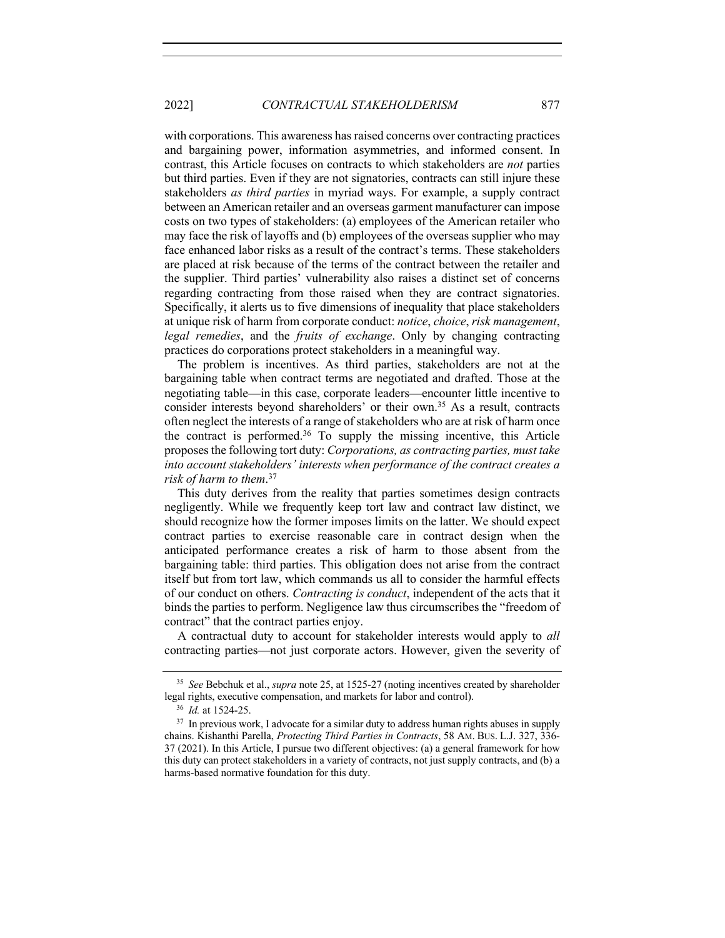with corporations. This awareness has raised concerns over contracting practices and bargaining power, information asymmetries, and informed consent. In contrast, this Article focuses on contracts to which stakeholders are *not* parties but third parties. Even if they are not signatories, contracts can still injure these stakeholders *as third parties* in myriad ways. For example, a supply contract between an American retailer and an overseas garment manufacturer can impose costs on two types of stakeholders: (a) employees of the American retailer who may face the risk of layoffs and (b) employees of the overseas supplier who may face enhanced labor risks as a result of the contract's terms. These stakeholders are placed at risk because of the terms of the contract between the retailer and the supplier. Third parties' vulnerability also raises a distinct set of concerns regarding contracting from those raised when they are contract signatories. Specifically, it alerts us to five dimensions of inequality that place stakeholders at unique risk of harm from corporate conduct: *notice*, *choice*, *risk management*, *legal remedies*, and the *fruits of exchange*. Only by changing contracting practices do corporations protect stakeholders in a meaningful way.

The problem is incentives. As third parties, stakeholders are not at the bargaining table when contract terms are negotiated and drafted. Those at the negotiating table—in this case, corporate leaders—encounter little incentive to consider interests beyond shareholders' or their own. <sup>35</sup> As a result, contracts often neglect the interests of a range of stakeholders who are at risk of harm once the contract is performed. $36$  To supply the missing incentive, this Article proposes the following tort duty: *Corporations, as contracting parties, must take into account stakeholders' interests when performance of the contract creates a risk of harm to them*. 37

This duty derives from the reality that parties sometimes design contracts negligently. While we frequently keep tort law and contract law distinct, we should recognize how the former imposes limits on the latter. We should expect contract parties to exercise reasonable care in contract design when the anticipated performance creates a risk of harm to those absent from the bargaining table: third parties. This obligation does not arise from the contract itself but from tort law, which commands us all to consider the harmful effects of our conduct on others. *Contracting is conduct*, independent of the acts that it binds the parties to perform. Negligence law thus circumscribes the "freedom of contract" that the contract parties enjoy.

A contractual duty to account for stakeholder interests would apply to *all* contracting parties—not just corporate actors. However, given the severity of

<sup>35</sup> *See* Bebchuk et al., *supra* note 25, at 1525-27 (noting incentives created by shareholder legal rights, executive compensation, and markets for labor and control).

<sup>36</sup> *Id.* at 1524-25.

<sup>&</sup>lt;sup>37</sup> In previous work, I advocate for a similar duty to address human rights abuses in supply chains. Kishanthi Parella, *Protecting Third Parties in Contracts*, 58 AM. BUS. L.J. 327, 336- 37 (2021). In this Article, I pursue two different objectives: (a) a general framework for how this duty can protect stakeholders in a variety of contracts, not just supply contracts, and (b) a harms-based normative foundation for this duty.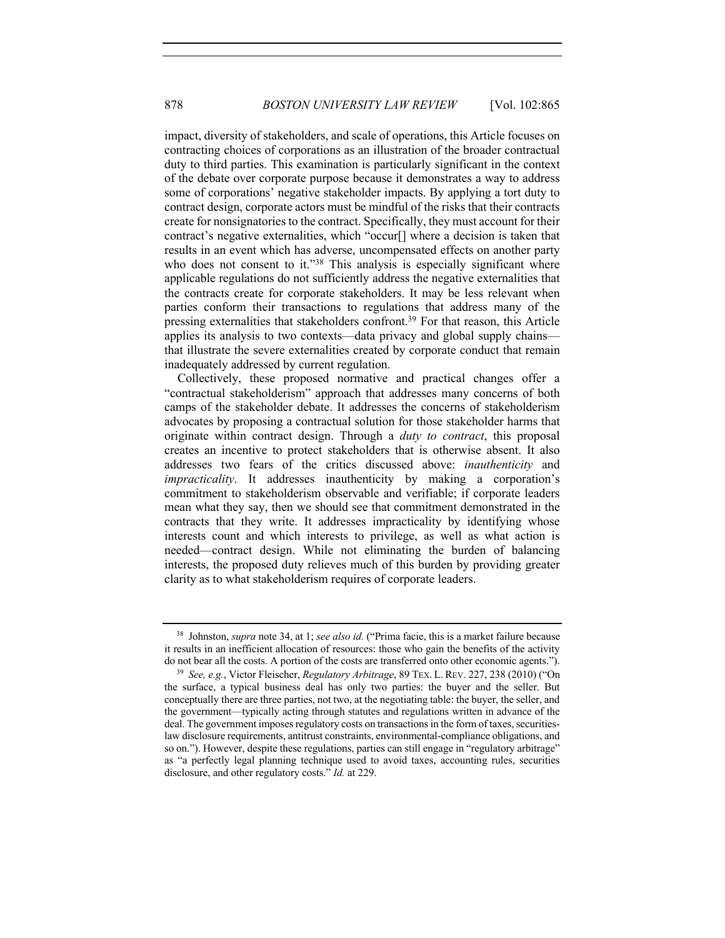impact, diversity of stakeholders, and scale of operations, this Article focuses on contracting choices of corporations as an illustration of the broader contractual duty to third parties. This examination is particularly significant in the context of the debate over corporate purpose because it demonstrates a way to address some of corporations' negative stakeholder impacts. By applying a tort duty to contract design, corporate actors must be mindful of the risks that their contracts create for nonsignatories to the contract. Specifically, they must account for their contract's negative externalities, which "occur[] where a decision is taken that results in an event which has adverse, uncompensated effects on another party who does not consent to it."<sup>38</sup> This analysis is especially significant where applicable regulations do not sufficiently address the negative externalities that the contracts create for corporate stakeholders. It may be less relevant when parties conform their transactions to regulations that address many of the pressing externalities that stakeholders confront.<sup>39</sup> For that reason, this Article applies its analysis to two contexts—data privacy and global supply chains that illustrate the severe externalities created by corporate conduct that remain inadequately addressed by current regulation.

Collectively, these proposed normative and practical changes offer a "contractual stakeholderism" approach that addresses many concerns of both camps of the stakeholder debate. It addresses the concerns of stakeholderism advocates by proposing a contractual solution for those stakeholder harms that originate within contract design. Through a *duty to contract*, this proposal creates an incentive to protect stakeholders that is otherwise absent. It also addresses two fears of the critics discussed above: *inauthenticity* and *impracticality*. It addresses inauthenticity by making a corporation's commitment to stakeholderism observable and verifiable; if corporate leaders mean what they say, then we should see that commitment demonstrated in the contracts that they write. It addresses impracticality by identifying whose interests count and which interests to privilege, as well as what action is needed—contract design. While not eliminating the burden of balancing interests, the proposed duty relieves much of this burden by providing greater clarity as to what stakeholderism requires of corporate leaders.

<sup>38</sup> Johnston, *supra* note 34, at 1; *see also id.* ("Prima facie, this is a market failure because it results in an inefficient allocation of resources: those who gain the benefits of the activity do not bear all the costs. A portion of the costs are transferred onto other economic agents.").

<sup>39</sup> *See, e.g.*, Victor Fleischer, *Regulatory Arbitrage*, 89 TEX. L. REV. 227, 238 (2010) ("On the surface, a typical business deal has only two parties: the buyer and the seller. But conceptually there are three parties, not two, at the negotiating table: the buyer, the seller, and the government—typically acting through statutes and regulations written in advance of the deal. The government imposes regulatory costs on transactions in the form of taxes, securitieslaw disclosure requirements, antitrust constraints, environmental-compliance obligations, and so on."). However, despite these regulations, parties can still engage in "regulatory arbitrage" as "a perfectly legal planning technique used to avoid taxes, accounting rules, securities disclosure, and other regulatory costs." *Id.* at 229.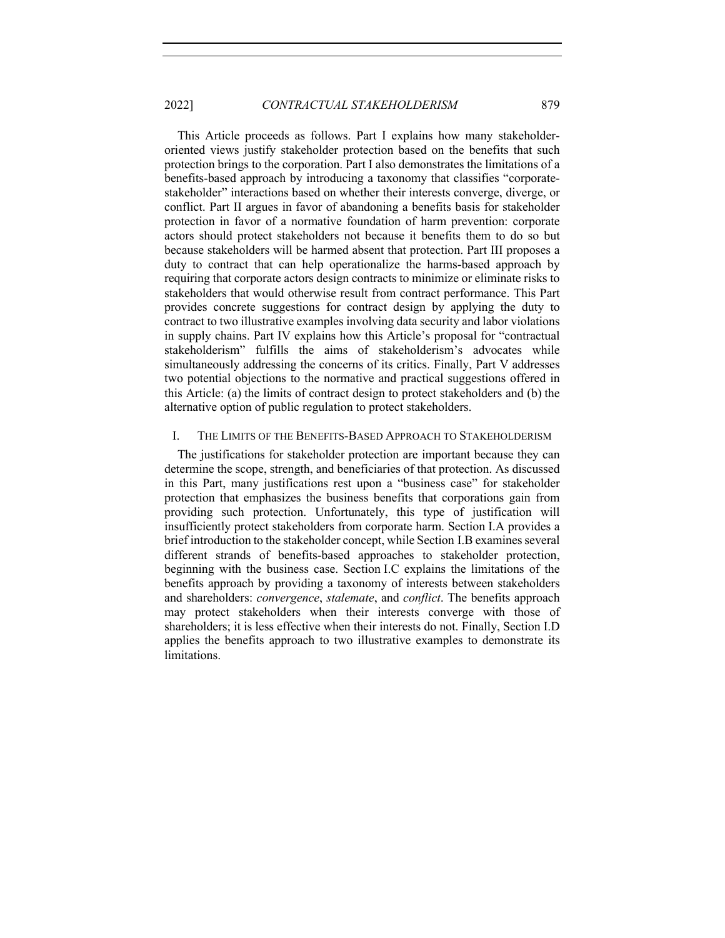This Article proceeds as follows. Part I explains how many stakeholderoriented views justify stakeholder protection based on the benefits that such protection brings to the corporation. Part I also demonstrates the limitations of a benefits-based approach by introducing a taxonomy that classifies "corporatestakeholder" interactions based on whether their interests converge, diverge, or conflict. Part II argues in favor of abandoning a benefits basis for stakeholder protection in favor of a normative foundation of harm prevention: corporate actors should protect stakeholders not because it benefits them to do so but because stakeholders will be harmed absent that protection. Part III proposes a duty to contract that can help operationalize the harms-based approach by requiring that corporate actors design contracts to minimize or eliminate risks to stakeholders that would otherwise result from contract performance. This Part provides concrete suggestions for contract design by applying the duty to contract to two illustrative examples involving data security and labor violations in supply chains. Part IV explains how this Article's proposal for "contractual stakeholderism" fulfills the aims of stakeholderism's advocates while simultaneously addressing the concerns of its critics. Finally, Part V addresses two potential objections to the normative and practical suggestions offered in this Article: (a) the limits of contract design to protect stakeholders and (b) the alternative option of public regulation to protect stakeholders.

# I. THE LIMITS OF THE BENEFITS-BASED APPROACH TO STAKEHOLDERISM

The justifications for stakeholder protection are important because they can determine the scope, strength, and beneficiaries of that protection. As discussed in this Part, many justifications rest upon a "business case" for stakeholder protection that emphasizes the business benefits that corporations gain from providing such protection. Unfortunately, this type of justification will insufficiently protect stakeholders from corporate harm. Section I.A provides a brief introduction to the stakeholder concept, while Section I.B examines several different strands of benefits-based approaches to stakeholder protection, beginning with the business case. Section I.C explains the limitations of the benefits approach by providing a taxonomy of interests between stakeholders and shareholders: *convergence*, *stalemate*, and *conflict*. The benefits approach may protect stakeholders when their interests converge with those of shareholders; it is less effective when their interests do not. Finally, Section I.D applies the benefits approach to two illustrative examples to demonstrate its limitations.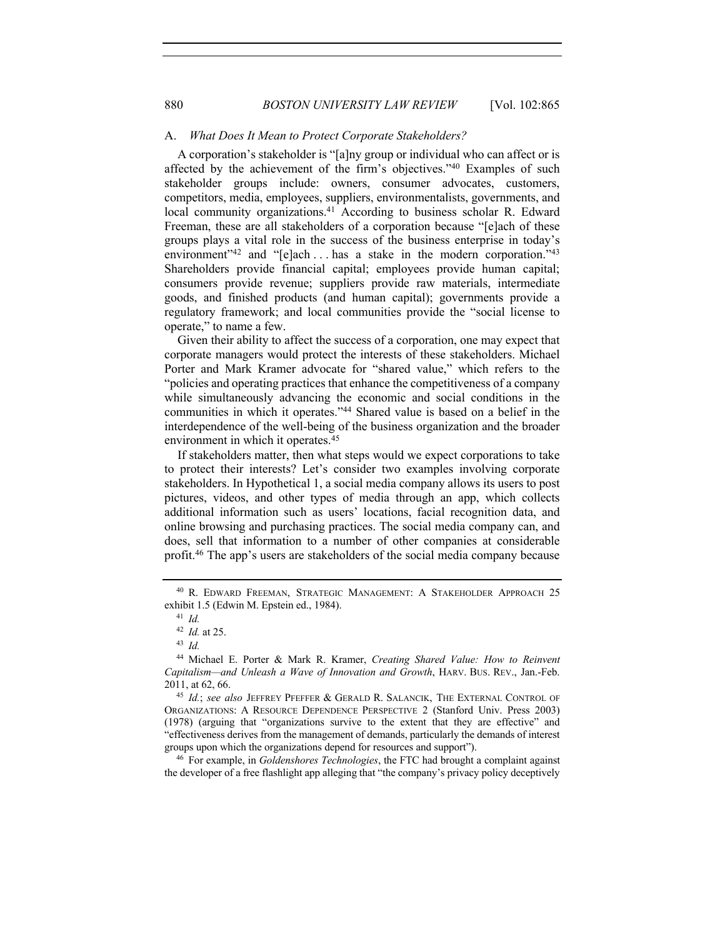### A. *What Does It Mean to Protect Corporate Stakeholders?*

A corporation's stakeholder is "[a]ny group or individual who can affect or is affected by the achievement of the firm's objectives."<sup>40</sup> Examples of such stakeholder groups include: owners, consumer advocates, customers, competitors, media, employees, suppliers, environmentalists, governments, and local community organizations.<sup>41</sup> According to business scholar R. Edward Freeman, these are all stakeholders of a corporation because "[e]ach of these groups plays a vital role in the success of the business enterprise in today's environment"<sup>42</sup> and "[e]ach ... has a stake in the modern corporation."<sup>43</sup> Shareholders provide financial capital; employees provide human capital; consumers provide revenue; suppliers provide raw materials, intermediate goods, and finished products (and human capital); governments provide a regulatory framework; and local communities provide the "social license to operate," to name a few.

Given their ability to affect the success of a corporation, one may expect that corporate managers would protect the interests of these stakeholders. Michael Porter and Mark Kramer advocate for "shared value," which refers to the "policies and operating practices that enhance the competitiveness of a company while simultaneously advancing the economic and social conditions in the communities in which it operates."44 Shared value is based on a belief in the interdependence of the well-being of the business organization and the broader environment in which it operates.45

If stakeholders matter, then what steps would we expect corporations to take to protect their interests? Let's consider two examples involving corporate stakeholders. In Hypothetical 1, a social media company allows its users to post pictures, videos, and other types of media through an app, which collects additional information such as users' locations, facial recognition data, and online browsing and purchasing practices. The social media company can, and does, sell that information to a number of other companies at considerable profit. <sup>46</sup> The app's users are stakeholders of the social media company because

<sup>46</sup> For example, in *Goldenshores Technologies*, the FTC had brought a complaint against the developer of a free flashlight app alleging that "the company's privacy policy deceptively

<sup>40</sup> R. EDWARD FREEMAN, STRATEGIC MANAGEMENT: A STAKEHOLDER APPROACH 25 exhibit 1.5 (Edwin M. Epstein ed., 1984).

<sup>41</sup> *Id.*

<sup>42</sup> *Id.* at 25.

<sup>43</sup> *Id.*

<sup>44</sup> Michael E. Porter & Mark R. Kramer, *Creating Shared Value: How to Reinvent Capitalism—and Unleash a Wave of Innovation and Growth*, HARV. BUS. REV., Jan.-Feb. 2011, at 62, 66.

<sup>45</sup> *Id.*; *see also* JEFFREY PFEFFER & GERALD R. SALANCIK, THE EXTERNAL CONTROL OF ORGANIZATIONS: A RESOURCE DEPENDENCE PERSPECTIVE 2 (Stanford Univ. Press 2003) (1978) (arguing that "organizations survive to the extent that they are effective" and "effectiveness derives from the management of demands, particularly the demands of interest groups upon which the organizations depend for resources and support").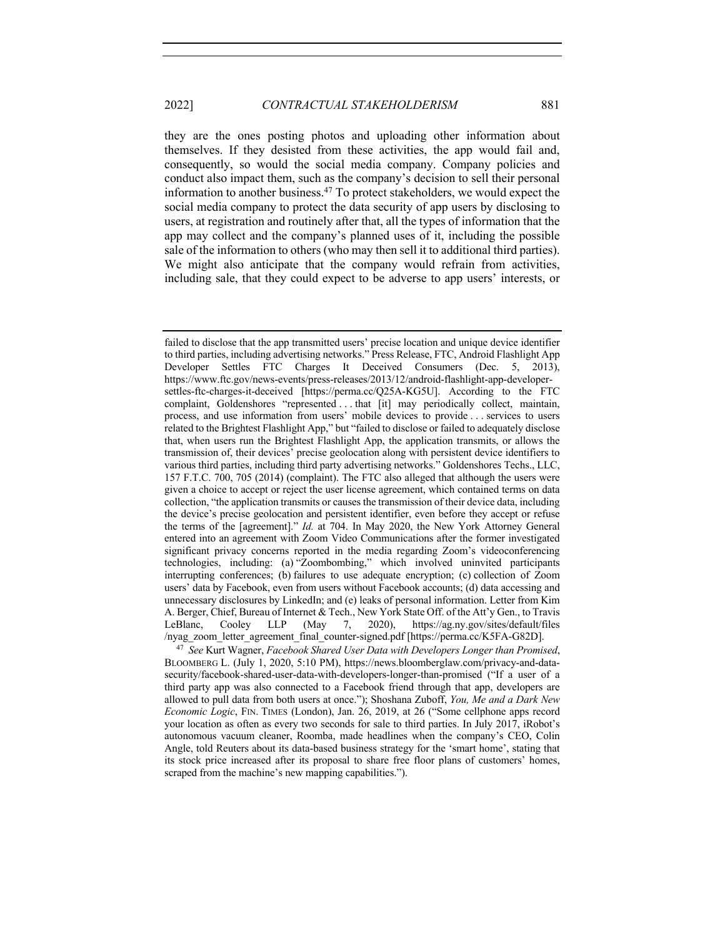they are the ones posting photos and uploading other information about themselves. If they desisted from these activities, the app would fail and, consequently, so would the social media company. Company policies and conduct also impact them, such as the company's decision to sell their personal information to another business.47 To protect stakeholders, we would expect the social media company to protect the data security of app users by disclosing to users, at registration and routinely after that, all the types of information that the app may collect and the company's planned uses of it, including the possible sale of the information to others (who may then sell it to additional third parties). We might also anticipate that the company would refrain from activities, including sale, that they could expect to be adverse to app users' interests, or

failed to disclose that the app transmitted users' precise location and unique device identifier to third parties, including advertising networks." Press Release, FTC, Android Flashlight App Developer Settles FTC Charges It Deceived Consumers (Dec. 5, 2013), https://www.ftc.gov/news-events/press-releases/2013/12/android-flashlight-app-developersettles-ftc-charges-it-deceived [https://perma.cc/Q25A-KG5U]. According to the FTC complaint, Goldenshores "represented . . . that [it] may periodically collect, maintain, process, and use information from users' mobile devices to provide . . . services to users related to the Brightest Flashlight App," but "failed to disclose or failed to adequately disclose that, when users run the Brightest Flashlight App, the application transmits, or allows the transmission of, their devices' precise geolocation along with persistent device identifiers to various third parties, including third party advertising networks." Goldenshores Techs., LLC, 157 F.T.C. 700, 705 (2014) (complaint). The FTC also alleged that although the users were given a choice to accept or reject the user license agreement, which contained terms on data collection, "the application transmits or causes the transmission of their device data, including the device's precise geolocation and persistent identifier, even before they accept or refuse the terms of the [agreement]." *Id.* at 704. In May 2020, the New York Attorney General entered into an agreement with Zoom Video Communications after the former investigated significant privacy concerns reported in the media regarding Zoom's videoconferencing technologies, including: (a) "Zoombombing," which involved uninvited participants interrupting conferences; (b) failures to use adequate encryption; (c) collection of Zoom users' data by Facebook, even from users without Facebook accounts; (d) data accessing and unnecessary disclosures by LinkedIn; and (e) leaks of personal information. Letter from Kim A. Berger, Chief, Bureau of Internet & Tech., New York State Off. of the Att'y Gen., to Travis LeBlanc, Cooley LLP (May 7, 2020), https://ag.ny.gov/sites/default/files /nyag\_zoom\_letter\_agreement\_final\_counter-signed.pdf [https://perma.cc/K5FA-G82D].

<sup>47</sup> *See* Kurt Wagner, *Facebook Shared User Data with Developers Longer than Promised*, BLOOMBERG L. (July 1, 2020, 5:10 PM), https://news.bloomberglaw.com/privacy-and-datasecurity/facebook-shared-user-data-with-developers-longer-than-promised ("If a user of a third party app was also connected to a Facebook friend through that app, developers are allowed to pull data from both users at once."); Shoshana Zuboff, *You, Me and a Dark New Economic Logic*, FIN. TIMES (London), Jan. 26, 2019, at 26 ("Some cellphone apps record your location as often as every two seconds for sale to third parties. In July 2017, iRobot's autonomous vacuum cleaner, Roomba, made headlines when the company's CEO, Colin Angle, told Reuters about its data-based business strategy for the 'smart home', stating that its stock price increased after its proposal to share free floor plans of customers' homes, scraped from the machine's new mapping capabilities.").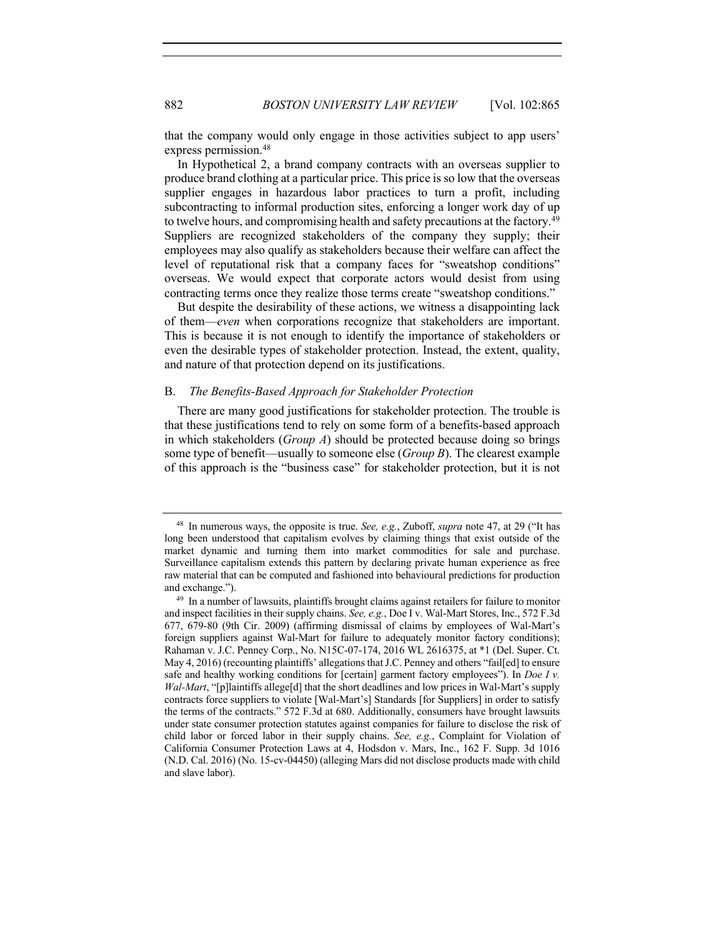that the company would only engage in those activities subject to app users' express permission.48

In Hypothetical 2, a brand company contracts with an overseas supplier to produce brand clothing at a particular price. This price is so low that the overseas supplier engages in hazardous labor practices to turn a profit, including subcontracting to informal production sites, enforcing a longer work day of up to twelve hours, and compromising health and safety precautions at the factory.<sup>49</sup> Suppliers are recognized stakeholders of the company they supply; their employees may also qualify as stakeholders because their welfare can affect the level of reputational risk that a company faces for "sweatshop conditions" overseas. We would expect that corporate actors would desist from using contracting terms once they realize those terms create "sweatshop conditions."

But despite the desirability of these actions, we witness a disappointing lack of them—*even* when corporations recognize that stakeholders are important. This is because it is not enough to identify the importance of stakeholders or even the desirable types of stakeholder protection. Instead, the extent, quality, and nature of that protection depend on its justifications.

# B. *The Benefits-Based Approach for Stakeholder Protection*

There are many good justifications for stakeholder protection. The trouble is that these justifications tend to rely on some form of a benefits-based approach in which stakeholders (*Group A*) should be protected because doing so brings some type of benefit—usually to someone else (*Group B*). The clearest example of this approach is the "business case" for stakeholder protection, but it is not

<sup>48</sup> In numerous ways, the opposite is true. *See, e.g.*, Zuboff, *supra* note 47, at 29 ("It has long been understood that capitalism evolves by claiming things that exist outside of the market dynamic and turning them into market commodities for sale and purchase. Surveillance capitalism extends this pattern by declaring private human experience as free raw material that can be computed and fashioned into behavioural predictions for production and exchange.").

<sup>&</sup>lt;sup>49</sup> In a number of lawsuits, plaintiffs brought claims against retailers for failure to monitor and inspect facilities in their supply chains. *See, e.g.*, Doe I v. Wal-Mart Stores, Inc., 572 F.3d 677, 679-80 (9th Cir. 2009) (affirming dismissal of claims by employees of Wal-Mart's foreign suppliers against Wal-Mart for failure to adequately monitor factory conditions); Rahaman v. J.C. Penney Corp., No. N15C-07-174, 2016 WL 2616375, at \*1 (Del. Super. Ct. May 4, 2016) (recounting plaintiffs' allegations that J.C. Penney and others "fail[ed] to ensure safe and healthy working conditions for [certain] garment factory employees"). In *Doe I v. Wal-Mart*, "[p]laintiffs allege[d] that the short deadlines and low prices in Wal-Mart's supply contracts force suppliers to violate [Wal-Mart's] Standards [for Suppliers] in order to satisfy the terms of the contracts." 572 F.3d at 680. Additionally, consumers have brought lawsuits under state consumer protection statutes against companies for failure to disclose the risk of child labor or forced labor in their supply chains. *See, e.g.*, Complaint for Violation of California Consumer Protection Laws at 4, Hodsdon v. Mars, Inc., 162 F. Supp. 3d 1016 (N.D. Cal. 2016) (No. 15-cv-04450) (alleging Mars did not disclose products made with child and slave labor).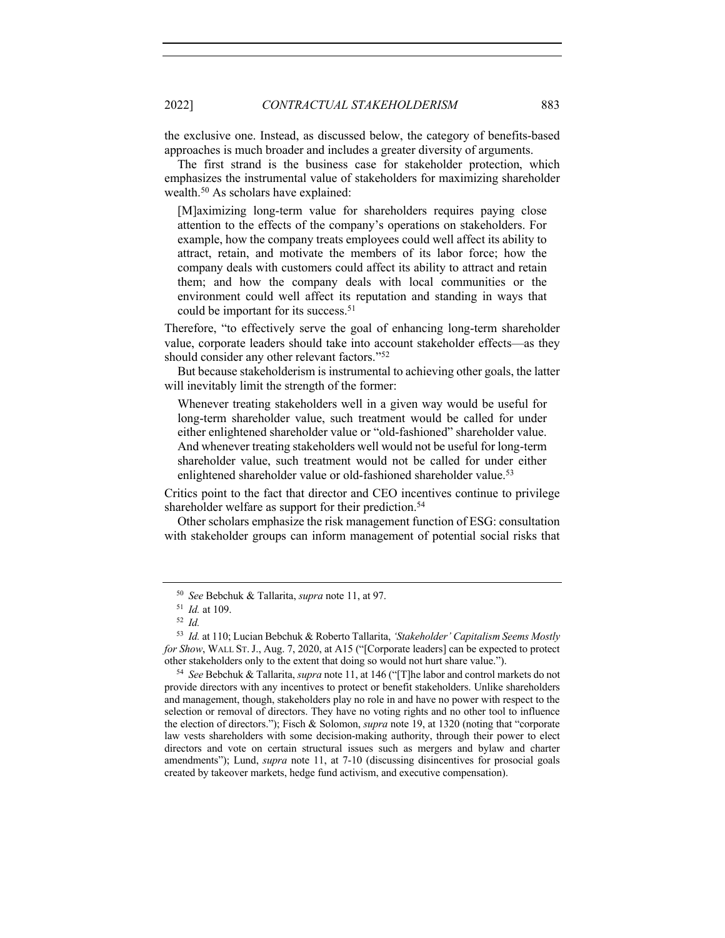the exclusive one. Instead, as discussed below, the category of benefits-based approaches is much broader and includes a greater diversity of arguments.

The first strand is the business case for stakeholder protection, which emphasizes the instrumental value of stakeholders for maximizing shareholder wealth.50 As scholars have explained:

[M]aximizing long-term value for shareholders requires paying close attention to the effects of the company's operations on stakeholders. For example, how the company treats employees could well affect its ability to attract, retain, and motivate the members of its labor force; how the company deals with customers could affect its ability to attract and retain them; and how the company deals with local communities or the environment could well affect its reputation and standing in ways that could be important for its success.<sup>51</sup>

Therefore, "to effectively serve the goal of enhancing long-term shareholder value, corporate leaders should take into account stakeholder effects—as they should consider any other relevant factors."52

But because stakeholderism is instrumental to achieving other goals, the latter will inevitably limit the strength of the former:

Whenever treating stakeholders well in a given way would be useful for long-term shareholder value, such treatment would be called for under either enlightened shareholder value or "old-fashioned" shareholder value. And whenever treating stakeholders well would not be useful for long-term shareholder value, such treatment would not be called for under either enlightened shareholder value or old-fashioned shareholder value.<sup>53</sup>

Critics point to the fact that director and CEO incentives continue to privilege shareholder welfare as support for their prediction.<sup>54</sup>

Other scholars emphasize the risk management function of ESG: consultation with stakeholder groups can inform management of potential social risks that

<sup>50</sup> *See* Bebchuk & Tallarita, *supra* note 11, at 97.

<sup>51</sup> *Id.* at 109.

<sup>52</sup> *Id.*

<sup>53</sup> *Id.* at 110; Lucian Bebchuk & Roberto Tallarita, *'Stakeholder' Capitalism Seems Mostly for Show*, WALL ST.J., Aug. 7, 2020, at A15 ("[Corporate leaders] can be expected to protect other stakeholders only to the extent that doing so would not hurt share value.").

<sup>54</sup> *See* Bebchuk & Tallarita, *supra* note 11, at 146 ("[T]he labor and control markets do not provide directors with any incentives to protect or benefit stakeholders. Unlike shareholders and management, though, stakeholders play no role in and have no power with respect to the selection or removal of directors. They have no voting rights and no other tool to influence the election of directors."); Fisch & Solomon, *supra* note 19, at 1320 (noting that "corporate law vests shareholders with some decision-making authority, through their power to elect directors and vote on certain structural issues such as mergers and bylaw and charter amendments"); Lund, *supra* note 11, at 7-10 (discussing disincentives for prosocial goals created by takeover markets, hedge fund activism, and executive compensation).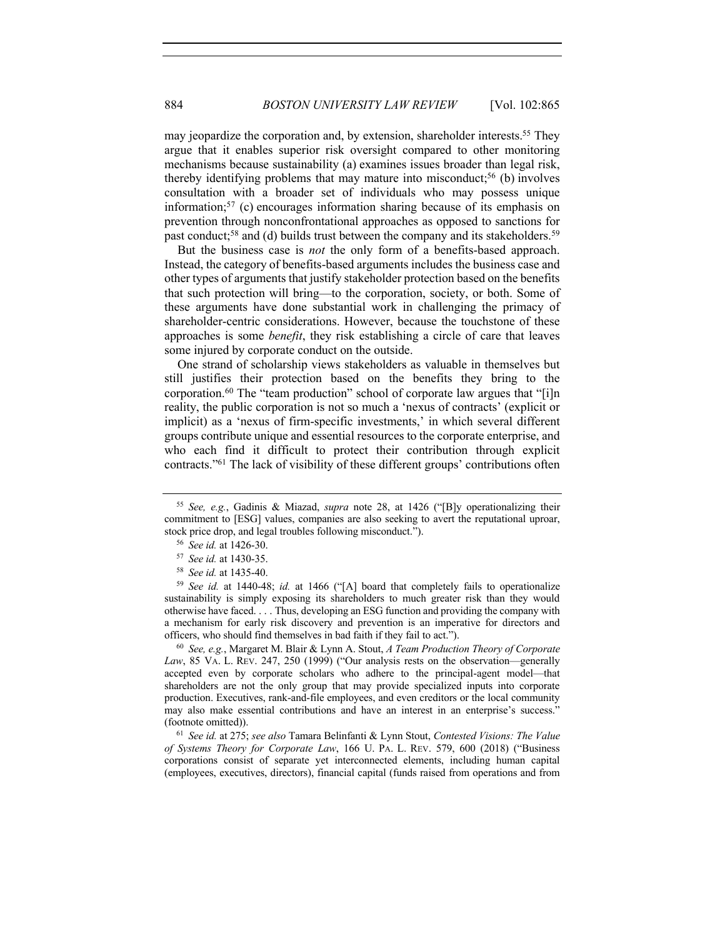may jeopardize the corporation and, by extension, shareholder interests.<sup>55</sup> They argue that it enables superior risk oversight compared to other monitoring mechanisms because sustainability (a) examines issues broader than legal risk, thereby identifying problems that may mature into misconduct;<sup>56</sup> (b) involves consultation with a broader set of individuals who may possess unique information;57 (c) encourages information sharing because of its emphasis on prevention through nonconfrontational approaches as opposed to sanctions for past conduct;<sup>58</sup> and (d) builds trust between the company and its stakeholders.<sup>59</sup>

But the business case is *not* the only form of a benefits-based approach. Instead, the category of benefits-based arguments includes the business case and other types of arguments that justify stakeholder protection based on the benefits that such protection will bring—to the corporation, society, or both. Some of these arguments have done substantial work in challenging the primacy of shareholder-centric considerations. However, because the touchstone of these approaches is some *benefit*, they risk establishing a circle of care that leaves some injured by corporate conduct on the outside.

One strand of scholarship views stakeholders as valuable in themselves but still justifies their protection based on the benefits they bring to the corporation.<sup>60</sup> The "team production" school of corporate law argues that "[i]n reality, the public corporation is not so much a 'nexus of contracts' (explicit or implicit) as a 'nexus of firm-specific investments,' in which several different groups contribute unique and essential resources to the corporate enterprise, and who each find it difficult to protect their contribution through explicit contracts."61 The lack of visibility of these different groups' contributions often

<sup>60</sup> *See, e.g.*, Margaret M. Blair & Lynn A. Stout, *A Team Production Theory of Corporate Law*, 85 VA. L. REV. 247, 250 (1999) ("Our analysis rests on the observation—generally accepted even by corporate scholars who adhere to the principal-agent model—that shareholders are not the only group that may provide specialized inputs into corporate production. Executives, rank-and-file employees, and even creditors or the local community may also make essential contributions and have an interest in an enterprise's success." (footnote omitted)).

<sup>61</sup> *See id.* at 275; *see also* Tamara Belinfanti & Lynn Stout, *Contested Visions: The Value of Systems Theory for Corporate Law*, 166 U. PA. L. REV. 579, 600 (2018) ("Business corporations consist of separate yet interconnected elements, including human capital (employees, executives, directors), financial capital (funds raised from operations and from

<sup>55</sup> *See, e.g.*, Gadinis & Miazad, *supra* note 28, at 1426 ("[B]y operationalizing their commitment to [ESG] values, companies are also seeking to avert the reputational uproar, stock price drop, and legal troubles following misconduct.").

<sup>56</sup> *See id.* at 1426-30.

<sup>57</sup> *See id.* at 1430-35.

<sup>58</sup> *See id.* at 1435-40.

<sup>59</sup> *See id.* at 1440-48; *id.* at 1466 ("[A] board that completely fails to operationalize sustainability is simply exposing its shareholders to much greater risk than they would otherwise have faced. . . . Thus, developing an ESG function and providing the company with a mechanism for early risk discovery and prevention is an imperative for directors and officers, who should find themselves in bad faith if they fail to act.").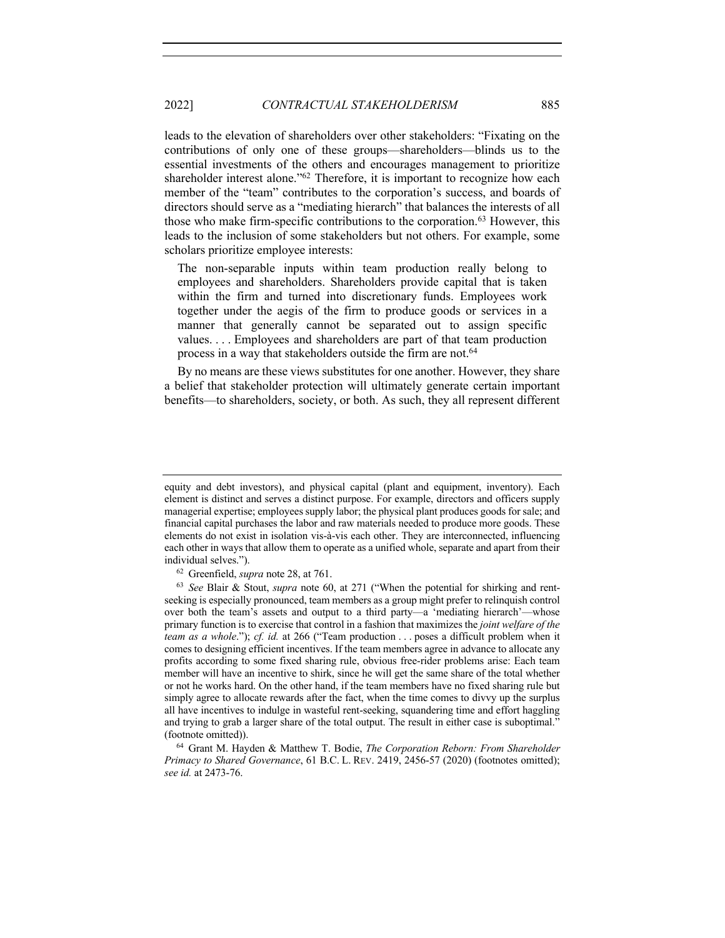leads to the elevation of shareholders over other stakeholders: "Fixating on the contributions of only one of these groups—shareholders—blinds us to the essential investments of the others and encourages management to prioritize shareholder interest alone."<sup>62</sup> Therefore, it is important to recognize how each member of the "team" contributes to the corporation's success, and boards of directors should serve as a "mediating hierarch" that balances the interests of all those who make firm-specific contributions to the corporation.<sup>63</sup> However, this leads to the inclusion of some stakeholders but not others. For example, some scholars prioritize employee interests:

The non-separable inputs within team production really belong to employees and shareholders. Shareholders provide capital that is taken within the firm and turned into discretionary funds. Employees work together under the aegis of the firm to produce goods or services in a manner that generally cannot be separated out to assign specific values. . . . Employees and shareholders are part of that team production process in a way that stakeholders outside the firm are not.64

By no means are these views substitutes for one another. However, they share a belief that stakeholder protection will ultimately generate certain important benefits—to shareholders, society, or both. As such, they all represent different

equity and debt investors), and physical capital (plant and equipment, inventory). Each element is distinct and serves a distinct purpose. For example, directors and officers supply managerial expertise; employees supply labor; the physical plant produces goods for sale; and financial capital purchases the labor and raw materials needed to produce more goods. These elements do not exist in isolation vis-à-vis each other. They are interconnected, influencing each other in ways that allow them to operate as a unified whole, separate and apart from their individual selves.").

<sup>62</sup> Greenfield, *supra* note 28, at 761.

<sup>63</sup> *See* Blair & Stout, *supra* note 60, at 271 ("When the potential for shirking and rentseeking is especially pronounced, team members as a group might prefer to relinquish control over both the team's assets and output to a third party—a 'mediating hierarch'—whose primary function is to exercise that control in a fashion that maximizes the *joint welfare of the team as a whole*."); *cf. id.* at 266 ("Team production . . . poses a difficult problem when it comes to designing efficient incentives. If the team members agree in advance to allocate any profits according to some fixed sharing rule, obvious free-rider problems arise: Each team member will have an incentive to shirk, since he will get the same share of the total whether or not he works hard. On the other hand, if the team members have no fixed sharing rule but simply agree to allocate rewards after the fact, when the time comes to divvy up the surplus all have incentives to indulge in wasteful rent-seeking, squandering time and effort haggling and trying to grab a larger share of the total output. The result in either case is suboptimal." (footnote omitted)).

<sup>64</sup> Grant M. Hayden & Matthew T. Bodie, *The Corporation Reborn: From Shareholder Primacy to Shared Governance*, 61 B.C. L. REV. 2419, 2456-57 (2020) (footnotes omitted); *see id.* at 2473-76.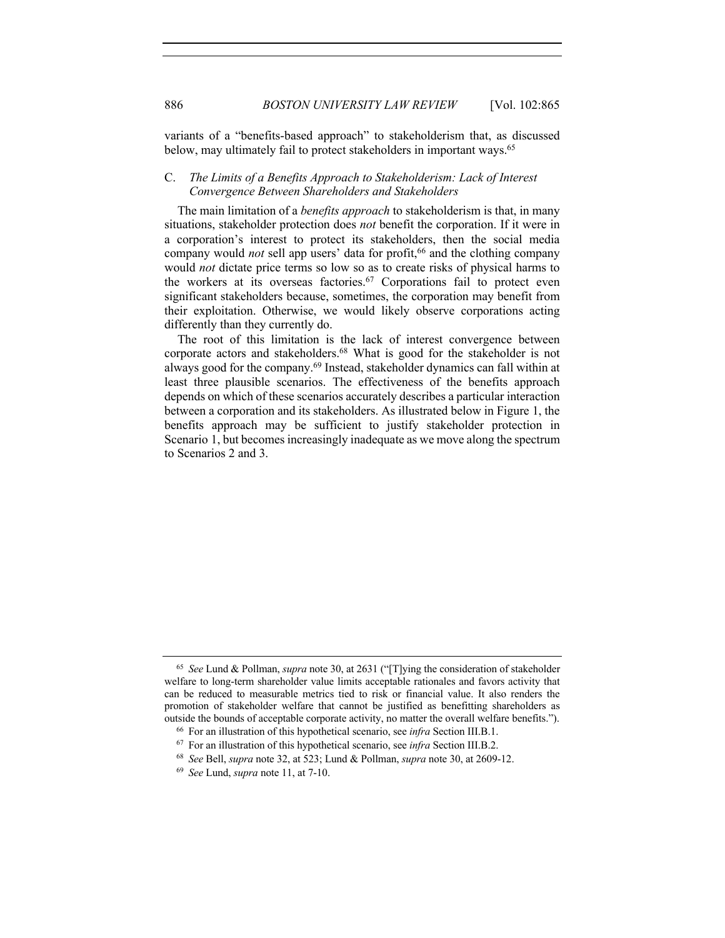variants of a "benefits-based approach" to stakeholderism that, as discussed below, may ultimately fail to protect stakeholders in important ways.<sup>65</sup>

# C. *The Limits of a Benefits Approach to Stakeholderism: Lack of Interest Convergence Between Shareholders and Stakeholders*

The main limitation of a *benefits approach* to stakeholderism is that, in many situations, stakeholder protection does *not* benefit the corporation. If it were in a corporation's interest to protect its stakeholders, then the social media company would *not* sell app users' data for profit, <sup>66</sup> and the clothing company would *not* dictate price terms so low so as to create risks of physical harms to the workers at its overseas factories.<sup>67</sup> Corporations fail to protect even significant stakeholders because, sometimes, the corporation may benefit from their exploitation. Otherwise, we would likely observe corporations acting differently than they currently do.

The root of this limitation is the lack of interest convergence between corporate actors and stakeholders.68 What is good for the stakeholder is not always good for the company.69 Instead, stakeholder dynamics can fall within at least three plausible scenarios. The effectiveness of the benefits approach depends on which of these scenarios accurately describes a particular interaction between a corporation and its stakeholders. As illustrated below in Figure 1, the benefits approach may be sufficient to justify stakeholder protection in Scenario 1, but becomes increasingly inadequate as we move along the spectrum to Scenarios 2 and 3.

<sup>65</sup> *See* Lund & Pollman, *supra* note 30, at 2631 ("[T]ying the consideration of stakeholder welfare to long-term shareholder value limits acceptable rationales and favors activity that can be reduced to measurable metrics tied to risk or financial value. It also renders the promotion of stakeholder welfare that cannot be justified as benefitting shareholders as outside the bounds of acceptable corporate activity, no matter the overall welfare benefits.").

<sup>66</sup> For an illustration of this hypothetical scenario, see *infra* Section III.B.1.

<sup>67</sup> For an illustration of this hypothetical scenario, see *infra* Section III.B.2.

<sup>68</sup> *See* Bell, *supra* note 32, at 523; Lund & Pollman, *supra* note 30, at 2609-12.

<sup>69</sup> *See* Lund, *supra* note 11, at 7-10.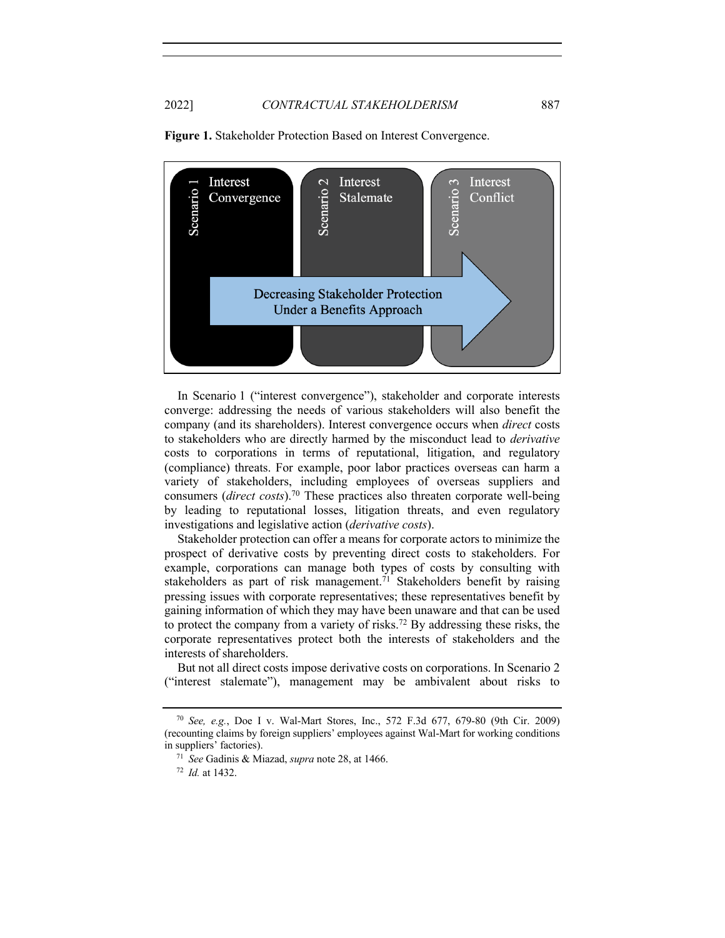

**Figure 1.** Stakeholder Protection Based on Interest Convergence.

In Scenario 1 ("interest convergence"), stakeholder and corporate interests converge: addressing the needs of various stakeholders will also benefit the company (and its shareholders). Interest convergence occurs when *direct* costs to stakeholders who are directly harmed by the misconduct lead to *derivative*  costs to corporations in terms of reputational, litigation, and regulatory (compliance) threats. For example, poor labor practices overseas can harm a variety of stakeholders, including employees of overseas suppliers and consumers (*direct costs*).70 These practices also threaten corporate well-being by leading to reputational losses, litigation threats, and even regulatory investigations and legislative action (*derivative costs*).

Stakeholder protection can offer a means for corporate actors to minimize the prospect of derivative costs by preventing direct costs to stakeholders. For example, corporations can manage both types of costs by consulting with stakeholders as part of risk management.<sup>71</sup> Stakeholders benefit by raising pressing issues with corporate representatives; these representatives benefit by gaining information of which they may have been unaware and that can be used to protect the company from a variety of risks.72 By addressing these risks, the corporate representatives protect both the interests of stakeholders and the interests of shareholders.

But not all direct costs impose derivative costs on corporations. In Scenario 2 ("interest stalemate"), management may be ambivalent about risks to

<sup>70</sup> *See, e.g.*, Doe I v. Wal-Mart Stores, Inc., 572 F.3d 677, 679-80 (9th Cir. 2009) (recounting claims by foreign suppliers' employees against Wal-Mart for working conditions in suppliers' factories).

<sup>71</sup> *See* Gadinis & Miazad, *supra* note 28, at 1466.

<sup>72</sup> *Id.* at 1432.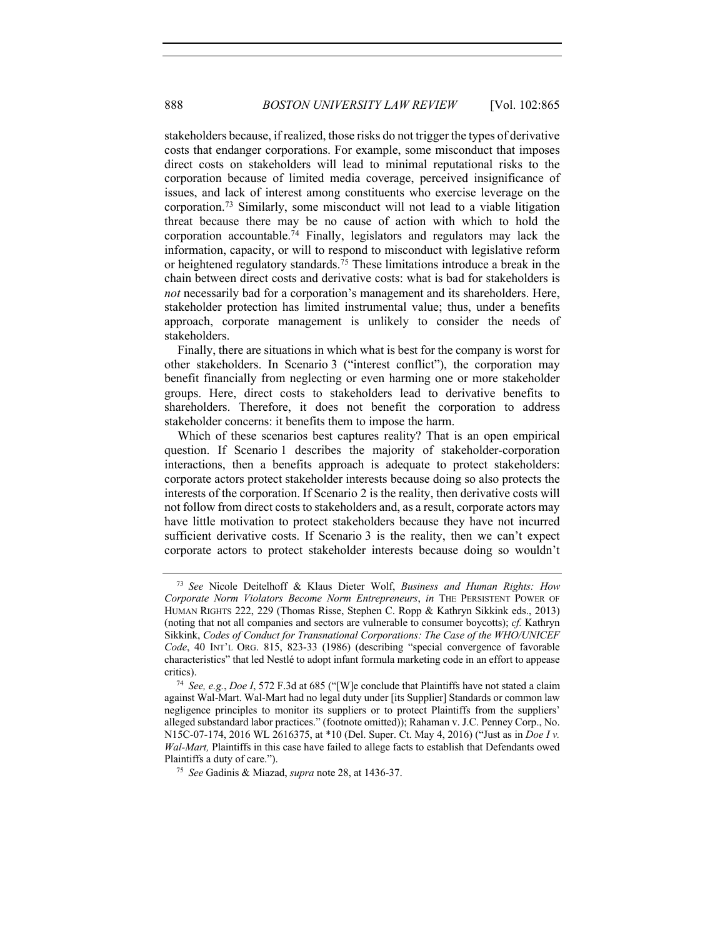stakeholders because, if realized, those risks do not trigger the types of derivative costs that endanger corporations. For example, some misconduct that imposes direct costs on stakeholders will lead to minimal reputational risks to the corporation because of limited media coverage, perceived insignificance of issues, and lack of interest among constituents who exercise leverage on the corporation. <sup>73</sup> Similarly, some misconduct will not lead to a viable litigation threat because there may be no cause of action with which to hold the corporation accountable.<sup>74</sup> Finally, legislators and regulators may lack the information, capacity, or will to respond to misconduct with legislative reform or heightened regulatory standards.75 These limitations introduce a break in the chain between direct costs and derivative costs: what is bad for stakeholders is *not* necessarily bad for a corporation's management and its shareholders. Here, stakeholder protection has limited instrumental value; thus, under a benefits approach, corporate management is unlikely to consider the needs of stakeholders.

Finally, there are situations in which what is best for the company is worst for other stakeholders. In Scenario 3 ("interest conflict"), the corporation may benefit financially from neglecting or even harming one or more stakeholder groups. Here, direct costs to stakeholders lead to derivative benefits to shareholders. Therefore, it does not benefit the corporation to address stakeholder concerns: it benefits them to impose the harm.

Which of these scenarios best captures reality? That is an open empirical question. If Scenario 1 describes the majority of stakeholder-corporation interactions, then a benefits approach is adequate to protect stakeholders: corporate actors protect stakeholder interests because doing so also protects the interests of the corporation. If Scenario 2 is the reality, then derivative costs will not follow from direct costs to stakeholders and, as a result, corporate actors may have little motivation to protect stakeholders because they have not incurred sufficient derivative costs. If Scenario 3 is the reality, then we can't expect corporate actors to protect stakeholder interests because doing so wouldn't

<sup>73</sup> *See* Nicole Deitelhoff & Klaus Dieter Wolf, *Business and Human Rights: How Corporate Norm Violators Become Norm Entrepreneurs*, *in* THE PERSISTENT POWER OF HUMAN RIGHTS 222, 229 (Thomas Risse, Stephen C. Ropp & Kathryn Sikkink eds., 2013) (noting that not all companies and sectors are vulnerable to consumer boycotts); *cf.* Kathryn Sikkink, *Codes of Conduct for Transnational Corporations: The Case of the WHO/UNICEF Code*, 40 INT'L ORG. 815, 823-33 (1986) (describing "special convergence of favorable characteristics" that led Nestlé to adopt infant formula marketing code in an effort to appease critics).

<sup>74</sup> *See, e.g.*, *Doe I*, 572 F.3d at 685 ("[W]e conclude that Plaintiffs have not stated a claim against Wal-Mart. Wal-Mart had no legal duty under [its Supplier] Standards or common law negligence principles to monitor its suppliers or to protect Plaintiffs from the suppliers' alleged substandard labor practices." (footnote omitted)); Rahaman v. J.C. Penney Corp., No. N15C-07-174, 2016 WL 2616375, at \*10 (Del. Super. Ct. May 4, 2016) ("Just as in *Doe I v. Wal-Mart,* Plaintiffs in this case have failed to allege facts to establish that Defendants owed Plaintiffs a duty of care.").

<sup>75</sup> *See* Gadinis & Miazad, *supra* note 28, at 1436-37.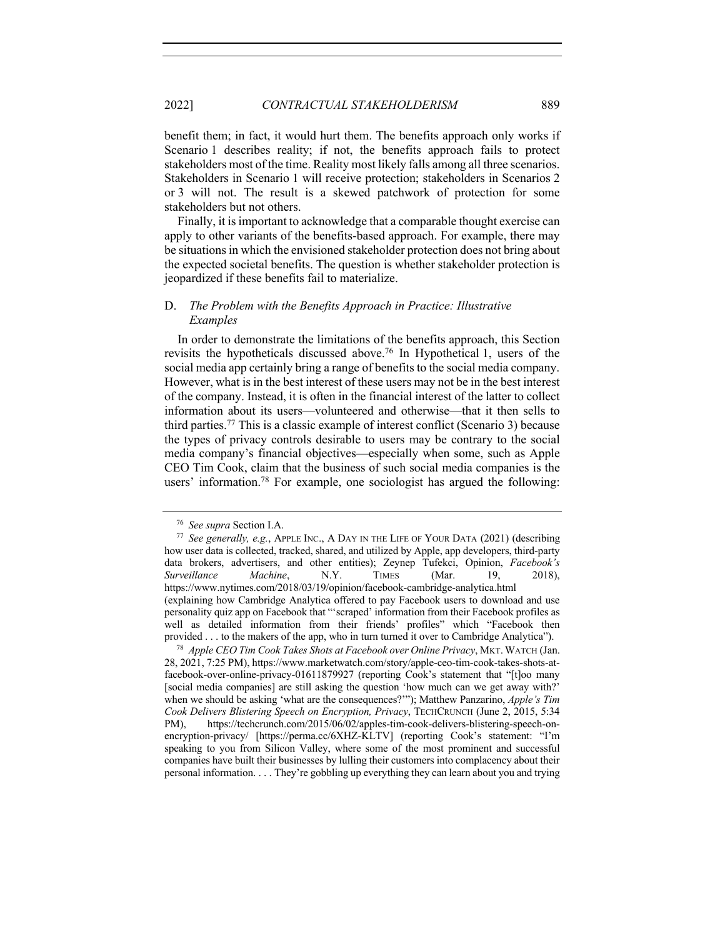benefit them; in fact, it would hurt them. The benefits approach only works if Scenario 1 describes reality; if not, the benefits approach fails to protect stakeholders most of the time. Reality most likely falls among all three scenarios. Stakeholders in Scenario 1 will receive protection; stakeholders in Scenarios 2 or 3 will not. The result is a skewed patchwork of protection for some stakeholders but not others.

Finally, it is important to acknowledge that a comparable thought exercise can apply to other variants of the benefits-based approach. For example, there may be situations in which the envisioned stakeholder protection does not bring about the expected societal benefits. The question is whether stakeholder protection is jeopardized if these benefits fail to materialize.

# D. *The Problem with the Benefits Approach in Practice: Illustrative Examples*

In order to demonstrate the limitations of the benefits approach, this Section revisits the hypotheticals discussed above.76 In Hypothetical 1, users of the social media app certainly bring a range of benefits to the social media company. However, what is in the best interest of these users may not be in the best interest of the company. Instead, it is often in the financial interest of the latter to collect information about its users—volunteered and otherwise—that it then sells to third parties. <sup>77</sup> This is a classic example of interest conflict (Scenario 3) because the types of privacy controls desirable to users may be contrary to the social media company's financial objectives—especially when some, such as Apple CEO Tim Cook, claim that the business of such social media companies is the users' information.78 For example, one sociologist has argued the following:

<sup>78</sup> *Apple CEO Tim Cook Takes Shots at Facebook over Online Privacy*, MKT.WATCH (Jan. 28, 2021, 7:25 PM), https://www.marketwatch.com/story/apple-ceo-tim-cook-takes-shots-atfacebook-over-online-privacy-01611879927 (reporting Cook's statement that "[t]oo many [social media companies] are still asking the question 'how much can we get away with?' when we should be asking 'what are the consequences?'"); Matthew Panzarino, *Apple's Tim Cook Delivers Blistering Speech on Encryption, Privacy*, TECHCRUNCH (June 2, 2015, 5:34 PM), https://techcrunch.com/2015/06/02/apples-tim-cook-delivers-blistering-speech-onencryption-privacy/ [https://perma.cc/6XHZ-KLTV] (reporting Cook's statement: "I'm speaking to you from Silicon Valley, where some of the most prominent and successful companies have built their businesses by lulling their customers into complacency about their personal information. . . . They're gobbling up everything they can learn about you and trying

<sup>76</sup> *See supra* Section I.A.

<sup>77</sup> *See generally, e.g.*, APPLE INC., A DAY IN THE LIFE OF YOUR DATA (2021) (describing how user data is collected, tracked, shared, and utilized by Apple, app developers, third-party data brokers, advertisers, and other entities); Zeynep Tufekci, Opinion, *Facebook's Surveillance Machine*, N.Y. TIMES (Mar. 19, 2018), https://www.nytimes.com/2018/03/19/opinion/facebook-cambridge-analytica.html (explaining how Cambridge Analytica offered to pay Facebook users to download and use personality quiz app on Facebook that "'scraped' information from their Facebook profiles as well as detailed information from their friends' profiles" which "Facebook then provided . . . to the makers of the app, who in turn turned it over to Cambridge Analytica").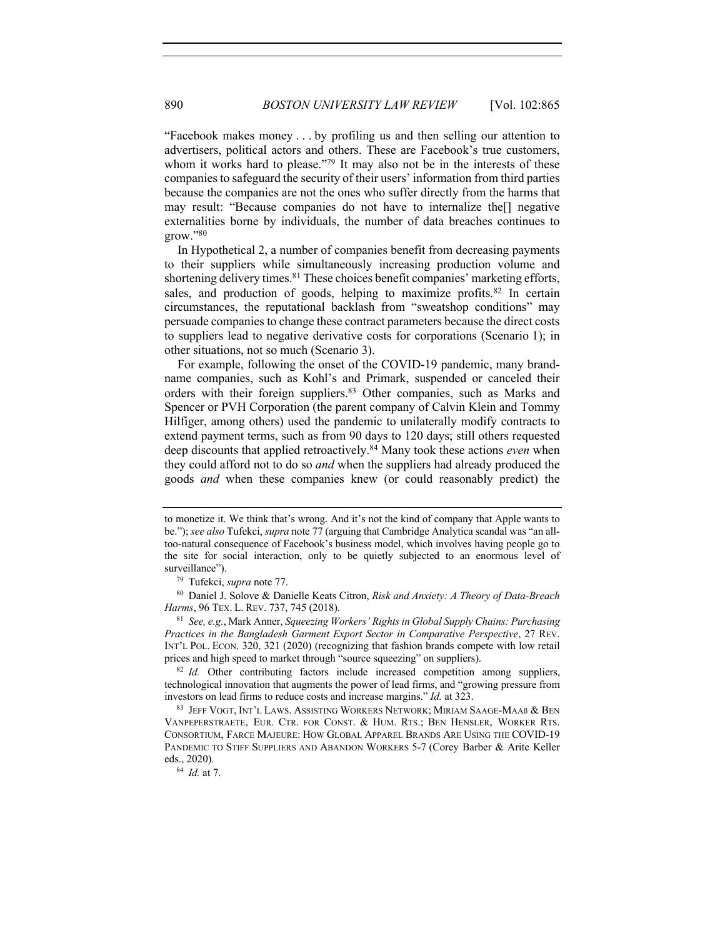"Facebook makes money . . . by profiling us and then selling our attention to advertisers, political actors and others. These are Facebook's true customers, whom it works hard to please."<sup>79</sup> It may also not be in the interests of these companies to safeguard the security of their users' information from third parties because the companies are not the ones who suffer directly from the harms that may result: "Because companies do not have to internalize the[] negative externalities borne by individuals, the number of data breaches continues to grow."80

In Hypothetical 2, a number of companies benefit from decreasing payments to their suppliers while simultaneously increasing production volume and shortening delivery times.<sup>81</sup> These choices benefit companies' marketing efforts, sales, and production of goods, helping to maximize profits.<sup>82</sup> In certain circumstances, the reputational backlash from "sweatshop conditions" may persuade companies to change these contract parameters because the direct costs to suppliers lead to negative derivative costs for corporations (Scenario 1); in other situations, not so much (Scenario 3).

For example, following the onset of the COVID-19 pandemic, many brandname companies, such as Kohl's and Primark, suspended or canceled their orders with their foreign suppliers.83 Other companies, such as Marks and Spencer or PVH Corporation (the parent company of Calvin Klein and Tommy Hilfiger, among others) used the pandemic to unilaterally modify contracts to extend payment terms, such as from 90 days to 120 days; still others requested deep discounts that applied retroactively.84 Many took these actions *even* when they could afford not to do so *and* when the suppliers had already produced the goods *and* when these companies knew (or could reasonably predict) the

<sup>80</sup> Daniel J. Solove & Danielle Keats Citron, *Risk and Anxiety: A Theory of Data-Breach Harms*, 96 TEX. L. REV. 737, 745 (2018).

<sup>81</sup> *See, e.g.*, Mark Anner, *Squeezing Workers' Rights in Global Supply Chains: Purchasing Practices in the Bangladesh Garment Export Sector in Comparative Perspective*, 27 REV. INT'L POL. ECON. 320, 321 (2020) (recognizing that fashion brands compete with low retail prices and high speed to market through "source squeezing" on suppliers).

<sup>82</sup> *Id.* Other contributing factors include increased competition among suppliers, technological innovation that augments the power of lead firms, and "growing pressure from investors on lead firms to reduce costs and increase margins." *Id.* at 323.

<sup>83</sup> JEFF VOGT, INT'L LAWS. ASSISTING WORKERS NETWORK; MIRIAM SAAGE-MAAß & BEN VANPEPERSTRAETE, EUR. CTR. FOR CONST. & HUM. RTS.; BEN HENSLER, WORKER RTS. CONSORTIUM, FARCE MAJEURE: HOW GLOBAL APPAREL BRANDS ARE USING THE COVID-19 PANDEMIC TO STIFF SUPPLIERS AND ABANDON WORKERS 5-7 (Corey Barber & Arite Keller eds., 2020).

to monetize it. We think that's wrong. And it's not the kind of company that Apple wants to be."); *see also* Tufekci, *supra* note 77 (arguing that Cambridge Analytica scandal was "an alltoo-natural consequence of Facebook's business model, which involves having people go to the site for social interaction, only to be quietly subjected to an enormous level of surveillance").

<sup>79</sup> Tufekci, *supra* note 77.

<sup>84</sup> *Id.* at 7.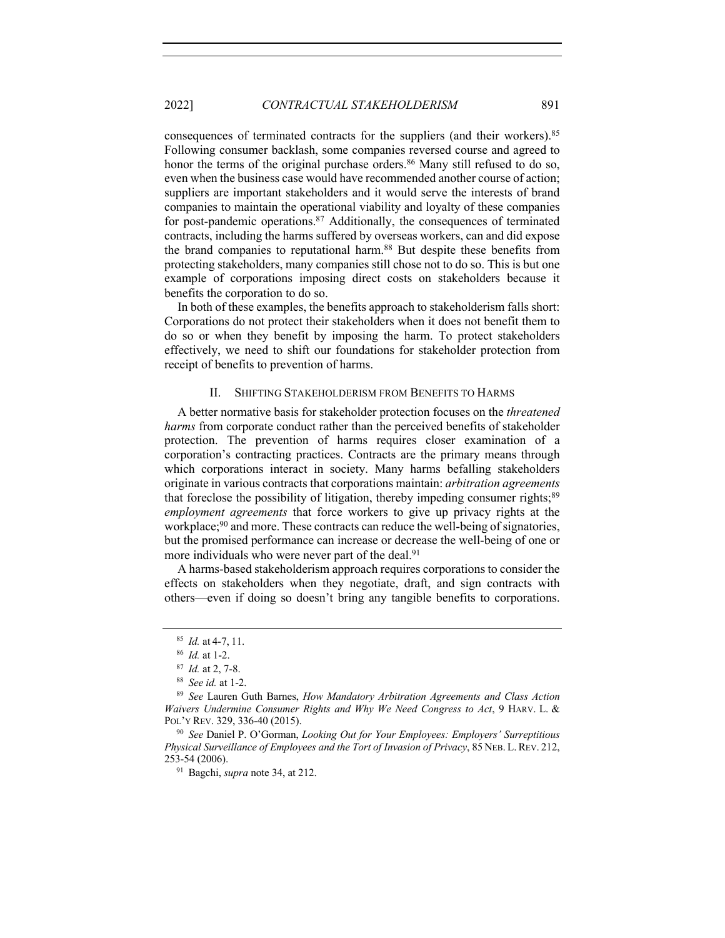consequences of terminated contracts for the suppliers (and their workers).<sup>85</sup> Following consumer backlash, some companies reversed course and agreed to honor the terms of the original purchase orders.<sup>86</sup> Many still refused to do so, even when the business case would have recommended another course of action; suppliers are important stakeholders and it would serve the interests of brand companies to maintain the operational viability and loyalty of these companies for post-pandemic operations. $87$  Additionally, the consequences of terminated contracts, including the harms suffered by overseas workers, can and did expose the brand companies to reputational harm.88 But despite these benefits from protecting stakeholders, many companies still chose not to do so. This is but one example of corporations imposing direct costs on stakeholders because it benefits the corporation to do so.

In both of these examples, the benefits approach to stakeholderism falls short: Corporations do not protect their stakeholders when it does not benefit them to do so or when they benefit by imposing the harm. To protect stakeholders effectively, we need to shift our foundations for stakeholder protection from receipt of benefits to prevention of harms.

#### II. SHIFTING STAKEHOLDERISM FROM BENEFITS TO HARMS

A better normative basis for stakeholder protection focuses on the *threatened harms* from corporate conduct rather than the perceived benefits of stakeholder protection. The prevention of harms requires closer examination of a corporation's contracting practices. Contracts are the primary means through which corporations interact in society. Many harms befalling stakeholders originate in various contracts that corporations maintain: *arbitration agreements* that foreclose the possibility of litigation, thereby impeding consumer rights;<sup>89</sup> *employment agreements* that force workers to give up privacy rights at the workplace;<sup>90</sup> and more. These contracts can reduce the well-being of signatories, but the promised performance can increase or decrease the well-being of one or more individuals who were never part of the deal.<sup>91</sup>

A harms-based stakeholderism approach requires corporations to consider the effects on stakeholders when they negotiate, draft, and sign contracts with others—even if doing so doesn't bring any tangible benefits to corporations.

<sup>91</sup> Bagchi, *supra* note 34, at 212.

<sup>85</sup> *Id.* at 4-7, 11.

<sup>86</sup> *Id.* at 1-2.

<sup>87</sup> *Id.* at 2, 7-8.

<sup>88</sup> *See id.* at 1-2.

<sup>89</sup> *See* Lauren Guth Barnes, *How Mandatory Arbitration Agreements and Class Action Waivers Undermine Consumer Rights and Why We Need Congress to Act*, 9 HARV. L. & POL'Y REV. 329, 336-40 (2015).

<sup>90</sup> *See* Daniel P. O'Gorman, *Looking Out for Your Employees: Employers' Surreptitious Physical Surveillance of Employees and the Tort of Invasion of Privacy*, 85 NEB. L. REV. 212, 253-54 (2006).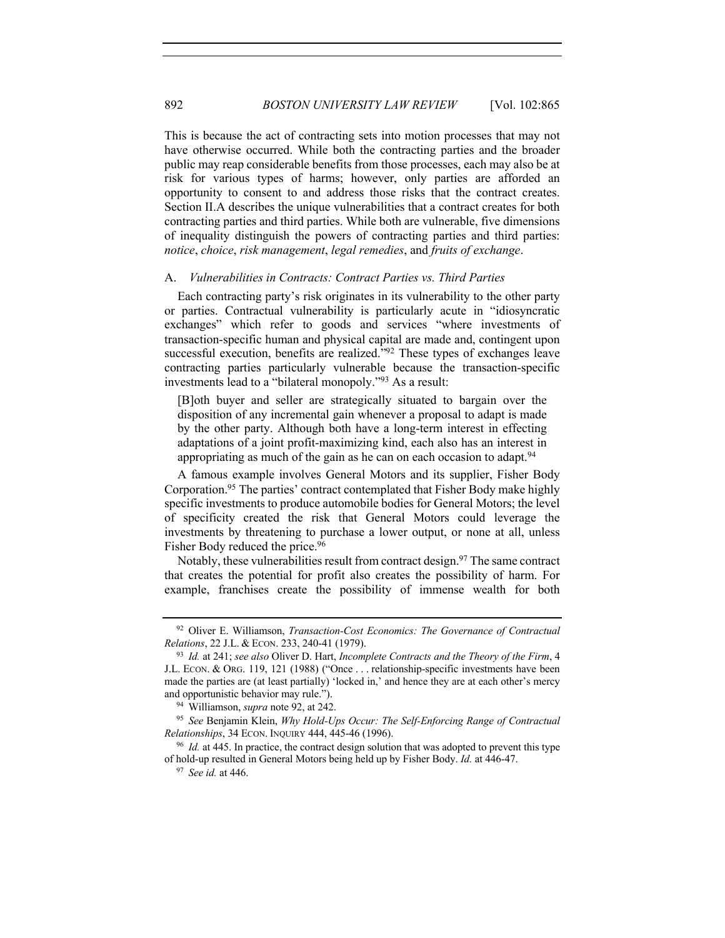This is because the act of contracting sets into motion processes that may not have otherwise occurred. While both the contracting parties and the broader public may reap considerable benefits from those processes, each may also be at risk for various types of harms; however, only parties are afforded an opportunity to consent to and address those risks that the contract creates. Section II.A describes the unique vulnerabilities that a contract creates for both contracting parties and third parties. While both are vulnerable, five dimensions of inequality distinguish the powers of contracting parties and third parties: *notice*, *choice*, *risk management*, *legal remedies*, and *fruits of exchange*.

### A. *Vulnerabilities in Contracts: Contract Parties vs. Third Parties*

Each contracting party's risk originates in its vulnerability to the other party or parties. Contractual vulnerability is particularly acute in "idiosyncratic exchanges" which refer to goods and services "where investments of transaction-specific human and physical capital are made and, contingent upon successful execution, benefits are realized."92 These types of exchanges leave contracting parties particularly vulnerable because the transaction-specific investments lead to a "bilateral monopoly."93 As a result:

[B]oth buyer and seller are strategically situated to bargain over the disposition of any incremental gain whenever a proposal to adapt is made by the other party. Although both have a long-term interest in effecting adaptations of a joint profit-maximizing kind, each also has an interest in appropriating as much of the gain as he can on each occasion to adapt.  $94$ 

A famous example involves General Motors and its supplier, Fisher Body Corporation.95 The parties' contract contemplated that Fisher Body make highly specific investments to produce automobile bodies for General Motors; the level of specificity created the risk that General Motors could leverage the investments by threatening to purchase a lower output, or none at all, unless Fisher Body reduced the price.<sup>96</sup>

Notably, these vulnerabilities result from contract design.<sup>97</sup> The same contract that creates the potential for profit also creates the possibility of harm. For example, franchises create the possibility of immense wealth for both

<sup>92</sup> Oliver E. Williamson, *Transaction-Cost Economics: The Governance of Contractual Relations*, 22 J.L. & ECON. 233, 240-41 (1979).

<sup>93</sup> *Id.* at 241; *see also* Oliver D. Hart, *Incomplete Contracts and the Theory of the Firm*, 4 J.L. ECON. & ORG. 119, 121 (1988) ("Once . . . relationship-specific investments have been made the parties are (at least partially) 'locked in,' and hence they are at each other's mercy and opportunistic behavior may rule.").

<sup>94</sup> Williamson, *supra* note 92, at 242.

<sup>95</sup> *See* Benjamin Klein, *Why Hold-Ups Occur: The Self-Enforcing Range of Contractual Relationships*, 34 ECON. INQUIRY 444, 445-46 (1996).

<sup>&</sup>lt;sup>96</sup> *Id.* at 445. In practice, the contract design solution that was adopted to prevent this type of hold-up resulted in General Motors being held up by Fisher Body. *Id.* at 446-47.

<sup>97</sup> *See id.* at 446.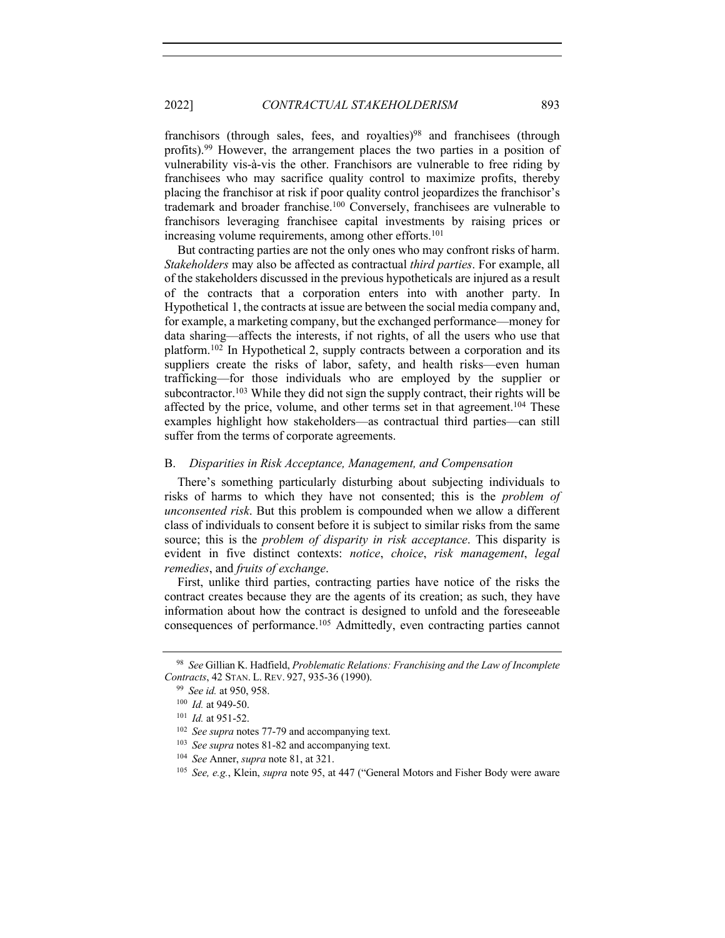franchisors (through sales, fees, and royalties) $98$  and franchisees (through profits).99 However, the arrangement places the two parties in a position of vulnerability vis-à-vis the other. Franchisors are vulnerable to free riding by franchisees who may sacrifice quality control to maximize profits, thereby placing the franchisor at risk if poor quality control jeopardizes the franchisor's trademark and broader franchise.100 Conversely, franchisees are vulnerable to franchisors leveraging franchisee capital investments by raising prices or increasing volume requirements, among other efforts.<sup>101</sup>

But contracting parties are not the only ones who may confront risks of harm. *Stakeholders* may also be affected as contractual *third parties*. For example, all of the stakeholders discussed in the previous hypotheticals are injured as a result of the contracts that a corporation enters into with another party. In Hypothetical 1, the contracts at issue are between the social media company and, for example, a marketing company, but the exchanged performance—money for data sharing—affects the interests, if not rights, of all the users who use that platform.102 In Hypothetical 2, supply contracts between a corporation and its suppliers create the risks of labor, safety, and health risks—even human trafficking—for those individuals who are employed by the supplier or subcontractor.<sup>103</sup> While they did not sign the supply contract, their rights will be affected by the price, volume, and other terms set in that agreement.<sup>104</sup> These examples highlight how stakeholders—as contractual third parties—can still suffer from the terms of corporate agreements.

### B. *Disparities in Risk Acceptance, Management, and Compensation*

There's something particularly disturbing about subjecting individuals to risks of harms to which they have not consented; this is the *problem of unconsented risk*. But this problem is compounded when we allow a different class of individuals to consent before it is subject to similar risks from the same source; this is the *problem of disparity in risk acceptance*. This disparity is evident in five distinct contexts: *notice*, *choice*, *risk management*, *legal remedies*, and *fruits of exchange*.

First, unlike third parties, contracting parties have notice of the risks the contract creates because they are the agents of its creation; as such, they have information about how the contract is designed to unfold and the foreseeable consequences of performance.105 Admittedly, even contracting parties cannot

<sup>104</sup> *See* Anner, *supra* note 81, at 321.

<sup>98</sup> *See* Gillian K. Hadfield, *Problematic Relations: Franchising and the Law of Incomplete Contracts*, 42 STAN. L. REV. 927, 935-36 (1990).

<sup>99</sup> *See id.* at 950, 958.

<sup>100</sup> *Id.* at 949-50.

<sup>101</sup> *Id.* at 951-52.

<sup>102</sup> *See supra* notes 77-79 and accompanying text.

<sup>103</sup> *See supra* notes 81-82 and accompanying text.

<sup>105</sup> *See, e.g.*, Klein, *supra* note 95, at 447 ("General Motors and Fisher Body were aware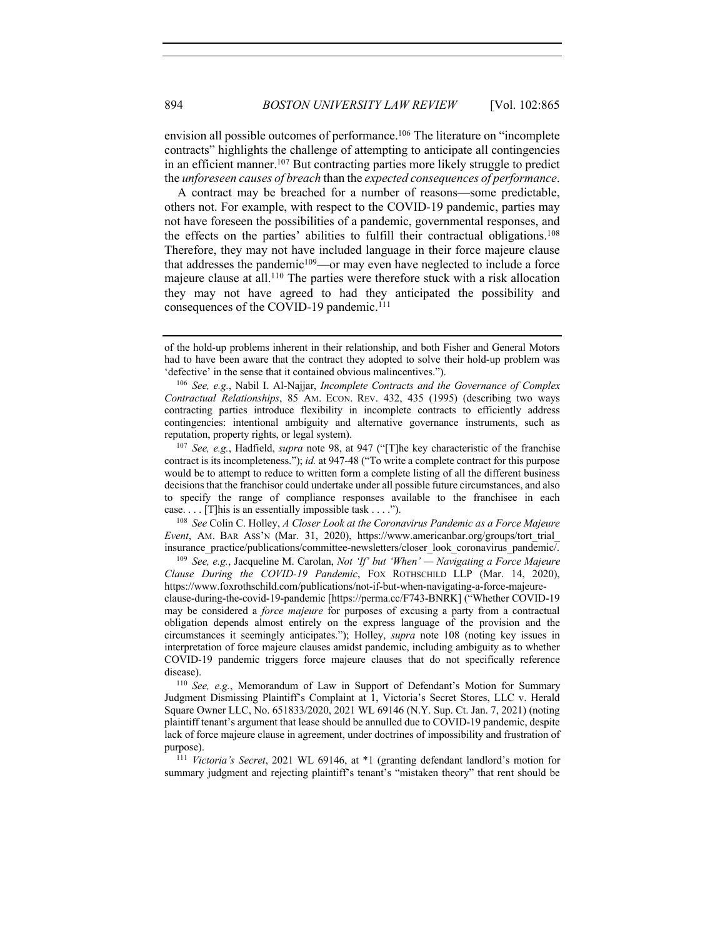envision all possible outcomes of performance. <sup>106</sup> The literature on "incomplete contracts" highlights the challenge of attempting to anticipate all contingencies in an efficient manner.107 But contracting parties more likely struggle to predict the *unforeseen causes of breach* than the *expected consequences of performance*.

A contract may be breached for a number of reasons—some predictable, others not. For example, with respect to the COVID-19 pandemic, parties may not have foreseen the possibilities of a pandemic, governmental responses, and the effects on the parties' abilities to fulfill their contractual obligations.108 Therefore, they may not have included language in their force majeure clause that addresses the pandemic<sup>109</sup>—or may even have neglected to include a force majeure clause at all.110 The parties were therefore stuck with a risk allocation they may not have agreed to had they anticipated the possibility and consequences of the COVID-19 pandemic.<sup>111</sup>

<sup>107</sup> *See, e.g.*, Hadfield, *supra* note 98, at 947 ("[T]he key characteristic of the franchise contract is its incompleteness."); *id.* at 947-48 ("To write a complete contract for this purpose would be to attempt to reduce to written form a complete listing of all the different business decisions that the franchisor could undertake under all possible future circumstances, and also to specify the range of compliance responses available to the franchisee in each case. . . . [T]his is an essentially impossible task . . . .").

<sup>108</sup> *See* Colin C. Holley, *A Closer Look at the Coronavirus Pandemic as a Force Majeure Event*, AM. BAR ASS'N (Mar. 31, 2020), https://www.americanbar.org/groups/tort\_trial\_ insurance\_practice/publications/committee-newsletters/closer\_look\_coronavirus\_pandemic/.

<sup>109</sup> *See, e.g.*, Jacqueline M. Carolan, *Not 'If' but 'When' — Navigating a Force Majeure Clause During the COVID-19 Pandemic*, FOX ROTHSCHILD LLP (Mar. 14, 2020), https://www.foxrothschild.com/publications/not-if-but-when-navigating-a-force-majeureclause-during-the-covid-19-pandemic [https://perma.cc/F743-BNRK] ("Whether COVID-19 may be considered a *force majeure* for purposes of excusing a party from a contractual obligation depends almost entirely on the express language of the provision and the circumstances it seemingly anticipates."); Holley, *supra* note 108 (noting key issues in interpretation of force majeure clauses amidst pandemic, including ambiguity as to whether COVID-19 pandemic triggers force majeure clauses that do not specifically reference disease).

<sup>110</sup> *See, e.g.*, Memorandum of Law in Support of Defendant's Motion for Summary Judgment Dismissing Plaintiff's Complaint at 1, Victoria's Secret Stores, LLC v. Herald Square Owner LLC, No. 651833/2020, 2021 WL 69146 (N.Y. Sup. Ct. Jan. 7, 2021) (noting plaintiff tenant's argument that lease should be annulled due to COVID-19 pandemic, despite lack of force majeure clause in agreement, under doctrines of impossibility and frustration of purpose).

<sup>111</sup> *Victoria's Secret*, 2021 WL 69146, at \*1 (granting defendant landlord's motion for summary judgment and rejecting plaintiff's tenant's "mistaken theory" that rent should be

of the hold-up problems inherent in their relationship, and both Fisher and General Motors had to have been aware that the contract they adopted to solve their hold-up problem was 'defective' in the sense that it contained obvious malincentives.").

<sup>106</sup> *See, e.g.*, Nabil I. Al-Najjar, *Incomplete Contracts and the Governance of Complex Contractual Relationships*, 85 AM. ECON. REV. 432, 435 (1995) (describing two ways contracting parties introduce flexibility in incomplete contracts to efficiently address contingencies: intentional ambiguity and alternative governance instruments, such as reputation, property rights, or legal system).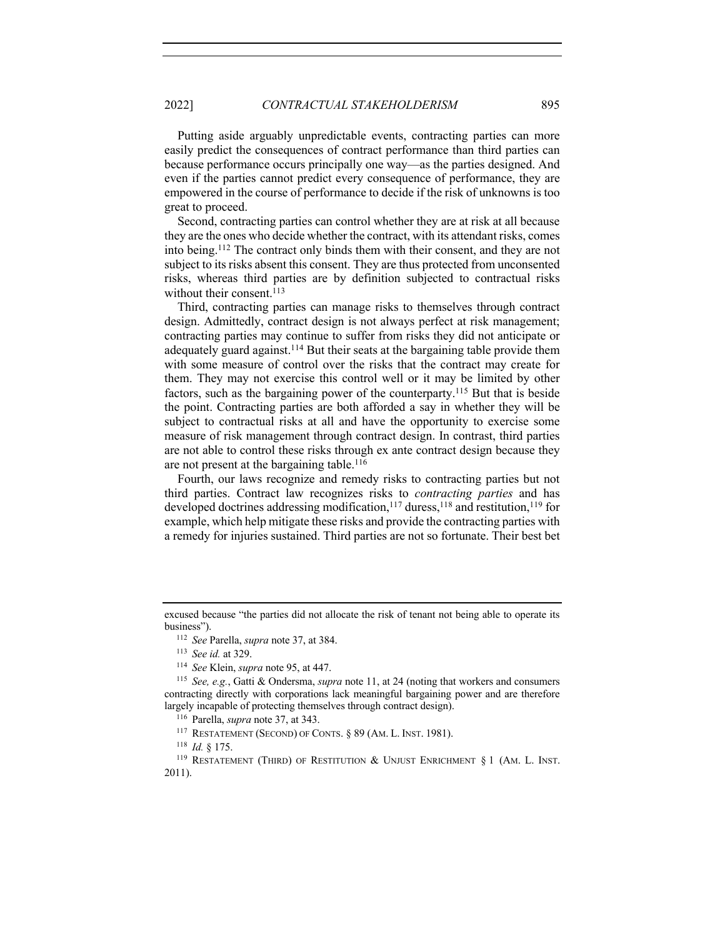Putting aside arguably unpredictable events, contracting parties can more easily predict the consequences of contract performance than third parties can because performance occurs principally one way—as the parties designed. And even if the parties cannot predict every consequence of performance, they are empowered in the course of performance to decide if the risk of unknowns is too great to proceed.

Second, contracting parties can control whether they are at risk at all because they are the ones who decide whether the contract, with its attendant risks, comes into being.112 The contract only binds them with their consent, and they are not subject to its risks absent this consent. They are thus protected from unconsented risks, whereas third parties are by definition subjected to contractual risks without their consent.<sup>113</sup>

Third, contracting parties can manage risks to themselves through contract design. Admittedly, contract design is not always perfect at risk management; contracting parties may continue to suffer from risks they did not anticipate or adequately guard against.<sup>114</sup> But their seats at the bargaining table provide them with some measure of control over the risks that the contract may create for them. They may not exercise this control well or it may be limited by other factors, such as the bargaining power of the counterparty.115 But that is beside the point. Contracting parties are both afforded a say in whether they will be subject to contractual risks at all and have the opportunity to exercise some measure of risk management through contract design. In contrast, third parties are not able to control these risks through ex ante contract design because they are not present at the bargaining table.<sup>116</sup>

Fourth, our laws recognize and remedy risks to contracting parties but not third parties. Contract law recognizes risks to *contracting parties* and has developed doctrines addressing modification,<sup>117</sup> duress,<sup>118</sup> and restitution,<sup>119</sup> for example, which help mitigate these risks and provide the contracting parties with a remedy for injuries sustained. Third parties are not so fortunate. Their best bet

<sup>117</sup> RESTATEMENT (SECOND) OF CONTS. § 89 (AM. L. INST. 1981).

excused because "the parties did not allocate the risk of tenant not being able to operate its business").

<sup>112</sup> *See* Parella, *supra* note 37, at 384.

<sup>113</sup> *See id.* at 329.

<sup>114</sup> *See* Klein, *supra* note 95, at 447.

<sup>115</sup> *See, e.g.*, Gatti & Ondersma, *supra* note 11, at 24 (noting that workers and consumers contracting directly with corporations lack meaningful bargaining power and are therefore largely incapable of protecting themselves through contract design).

<sup>116</sup> Parella, *supra* note 37, at 343.

<sup>118</sup> *Id.* § 175.

<sup>&</sup>lt;sup>119</sup> RESTATEMENT (THIRD) OF RESTITUTION & UNJUST ENRICHMENT  $\S 1$  (AM. L. INST. 2011).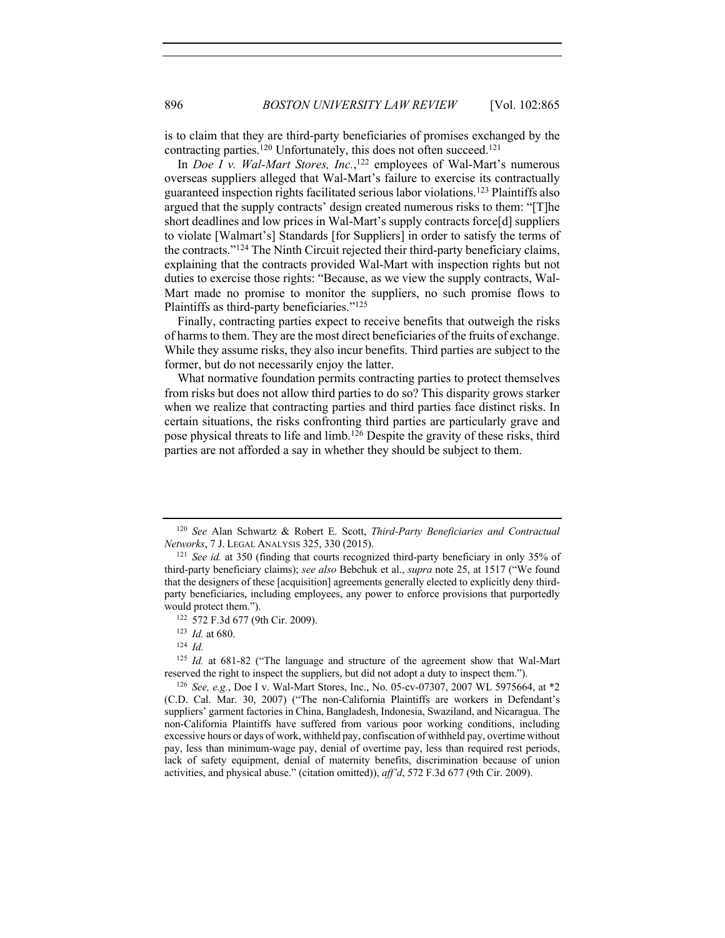is to claim that they are third-party beneficiaries of promises exchanged by the contracting parties.<sup>120</sup> Unfortunately, this does not often succeed.<sup>121</sup>

In *Doe I v. Wal-Mart Stores, Inc.*, <sup>122</sup> employees of Wal-Mart's numerous overseas suppliers alleged that Wal-Mart's failure to exercise its contractually guaranteed inspection rights facilitated serious labor violations.123 Plaintiffs also argued that the supply contracts' design created numerous risks to them: "[T]he short deadlines and low prices in Wal-Mart's supply contracts force[d] suppliers to violate [Walmart's] Standards [for Suppliers] in order to satisfy the terms of the contracts."124 The Ninth Circuit rejected their third-party beneficiary claims, explaining that the contracts provided Wal-Mart with inspection rights but not duties to exercise those rights: "Because, as we view the supply contracts, Wal-Mart made no promise to monitor the suppliers, no such promise flows to Plaintiffs as third-party beneficiaries."125

Finally, contracting parties expect to receive benefits that outweigh the risks of harms to them. They are the most direct beneficiaries of the fruits of exchange. While they assume risks, they also incur benefits. Third parties are subject to the former, but do not necessarily enjoy the latter.

What normative foundation permits contracting parties to protect themselves from risks but does not allow third parties to do so? This disparity grows starker when we realize that contracting parties and third parties face distinct risks. In certain situations, the risks confronting third parties are particularly grave and pose physical threats to life and limb.126 Despite the gravity of these risks, third parties are not afforded a say in whether they should be subject to them.

<sup>124</sup> *Id.*

<sup>120</sup> *See* Alan Schwartz & Robert E. Scott, *Third-Party Beneficiaries and Contractual Networks*, 7 J. LEGAL ANALYSIS 325, 330 (2015).

<sup>121</sup> *See id.* at 350 (finding that courts recognized third-party beneficiary in only 35% of third-party beneficiary claims); *see also* Bebchuk et al., *supra* note 25, at 1517 ("We found that the designers of these [acquisition] agreements generally elected to explicitly deny thirdparty beneficiaries, including employees, any power to enforce provisions that purportedly would protect them.").

<sup>122</sup> 572 F.3d 677 (9th Cir. 2009).

<sup>123</sup> *Id.* at 680.

<sup>125</sup> *Id.* at 681-82 ("The language and structure of the agreement show that Wal-Mart reserved the right to inspect the suppliers, but did not adopt a duty to inspect them.").

<sup>126</sup> *See, e.g.*, Doe I v. Wal-Mart Stores, Inc., No. 05-cv-07307, 2007 WL 5975664, at \*2 (C.D. Cal. Mar. 30, 2007) ("The non-California Plaintiffs are workers in Defendant's suppliers' garment factories in China, Bangladesh, Indonesia, Swaziland, and Nicaragua. The non-California Plaintiffs have suffered from various poor working conditions, including excessive hours or days of work, withheld pay, confiscation of withheld pay, overtime without pay, less than minimum-wage pay, denial of overtime pay, less than required rest periods, lack of safety equipment, denial of maternity benefits, discrimination because of union activities, and physical abuse." (citation omitted)), *aff'd*, 572 F.3d 677 (9th Cir. 2009).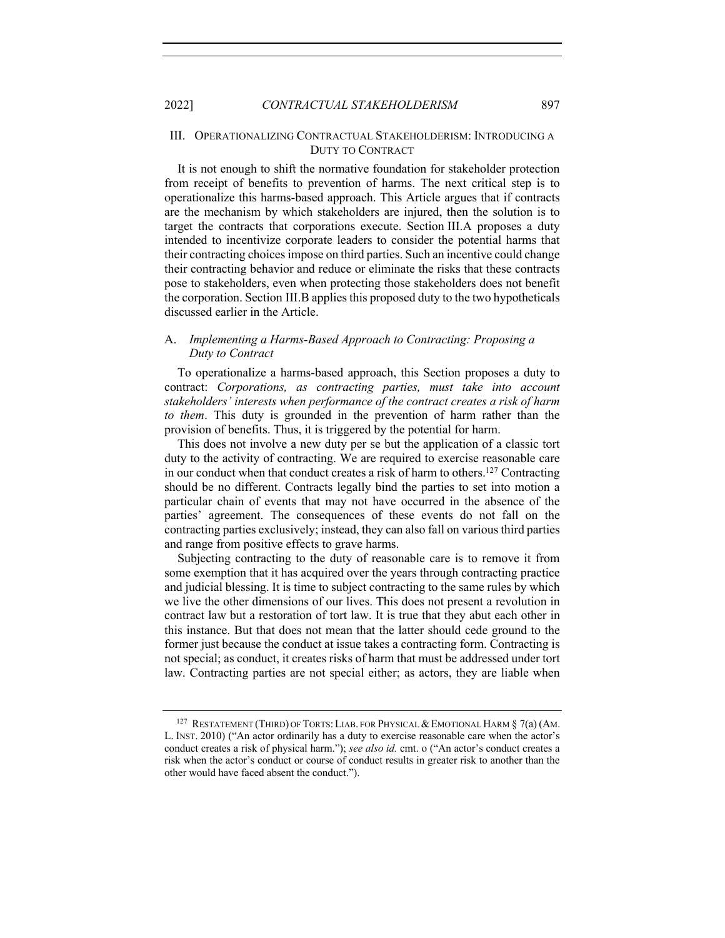# III. OPERATIONALIZING CONTRACTUAL STAKEHOLDERISM: INTRODUCING A DUTY TO CONTRACT

It is not enough to shift the normative foundation for stakeholder protection from receipt of benefits to prevention of harms. The next critical step is to operationalize this harms-based approach. This Article argues that if contracts are the mechanism by which stakeholders are injured, then the solution is to target the contracts that corporations execute. Section III.A proposes a duty intended to incentivize corporate leaders to consider the potential harms that their contracting choices impose on third parties. Such an incentive could change their contracting behavior and reduce or eliminate the risks that these contracts pose to stakeholders, even when protecting those stakeholders does not benefit the corporation. Section III.B applies this proposed duty to the two hypotheticals discussed earlier in the Article.

# A. *Implementing a Harms-Based Approach to Contracting: Proposing a Duty to Contract*

To operationalize a harms-based approach, this Section proposes a duty to contract: *Corporations, as contracting parties, must take into account stakeholders' interests when performance of the contract creates a risk of harm to them*. This duty is grounded in the prevention of harm rather than the provision of benefits. Thus, it is triggered by the potential for harm.

This does not involve a new duty per se but the application of a classic tort duty to the activity of contracting. We are required to exercise reasonable care in our conduct when that conduct creates a risk of harm to others.127 Contracting should be no different. Contracts legally bind the parties to set into motion a particular chain of events that may not have occurred in the absence of the parties' agreement. The consequences of these events do not fall on the contracting parties exclusively; instead, they can also fall on various third parties and range from positive effects to grave harms.

Subjecting contracting to the duty of reasonable care is to remove it from some exemption that it has acquired over the years through contracting practice and judicial blessing. It is time to subject contracting to the same rules by which we live the other dimensions of our lives. This does not present a revolution in contract law but a restoration of tort law. It is true that they abut each other in this instance. But that does not mean that the latter should cede ground to the former just because the conduct at issue takes a contracting form. Contracting is not special; as conduct, it creates risks of harm that must be addressed under tort law. Contracting parties are not special either; as actors, they are liable when

<sup>&</sup>lt;sup>127</sup> RESTATEMENT (THIRD) OF TORTS: LIAB. FOR PHYSICAL & EMOTIONAL HARM  $\S$  7(a) (AM. L. INST. 2010) ("An actor ordinarily has a duty to exercise reasonable care when the actor's conduct creates a risk of physical harm."); *see also id.* cmt. o ("An actor's conduct creates a risk when the actor's conduct or course of conduct results in greater risk to another than the other would have faced absent the conduct.").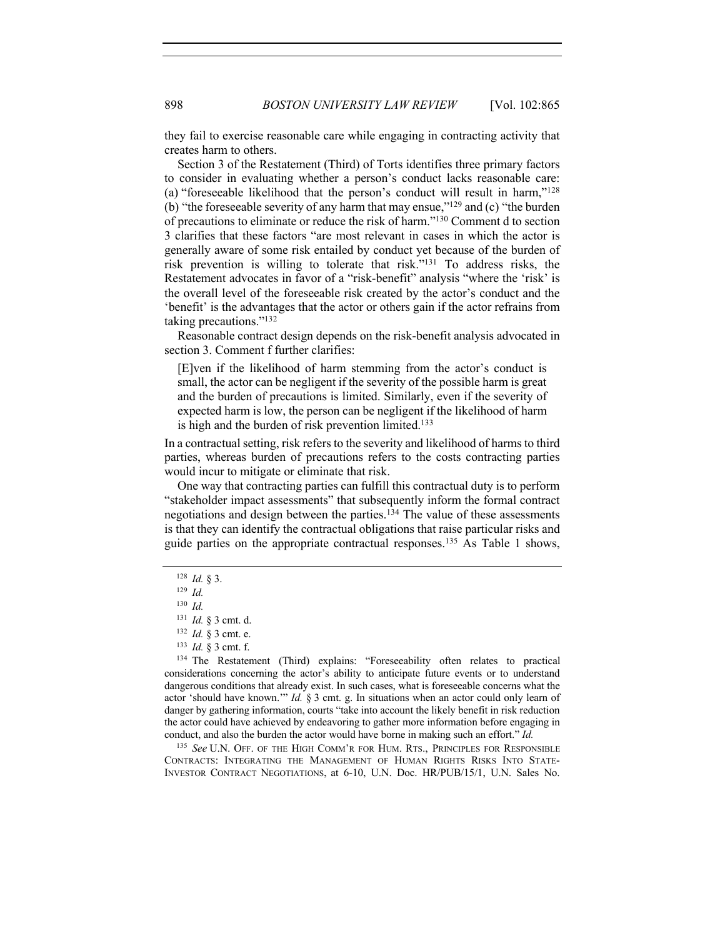they fail to exercise reasonable care while engaging in contracting activity that creates harm to others.

Section 3 of the Restatement (Third) of Torts identifies three primary factors to consider in evaluating whether a person's conduct lacks reasonable care: (a) "foreseeable likelihood that the person's conduct will result in harm,"128 (b) "the foreseeable severity of any harm that may ensue,"129 and (c) "the burden of precautions to eliminate or reduce the risk of harm."130 Comment d to section 3 clarifies that these factors "are most relevant in cases in which the actor is generally aware of some risk entailed by conduct yet because of the burden of risk prevention is willing to tolerate that risk."131 To address risks, the Restatement advocates in favor of a "risk-benefit" analysis "where the 'risk' is the overall level of the foreseeable risk created by the actor's conduct and the 'benefit' is the advantages that the actor or others gain if the actor refrains from taking precautions."132

Reasonable contract design depends on the risk-benefit analysis advocated in section 3. Comment f further clarifies:

[E]ven if the likelihood of harm stemming from the actor's conduct is small, the actor can be negligent if the severity of the possible harm is great and the burden of precautions is limited. Similarly, even if the severity of expected harm is low, the person can be negligent if the likelihood of harm is high and the burden of risk prevention limited.133

In a contractual setting, risk refers to the severity and likelihood of harms to third parties, whereas burden of precautions refers to the costs contracting parties would incur to mitigate or eliminate that risk.

One way that contracting parties can fulfill this contractual duty is to perform "stakeholder impact assessments" that subsequently inform the formal contract negotiations and design between the parties.134 The value of these assessments is that they can identify the contractual obligations that raise particular risks and guide parties on the appropriate contractual responses. <sup>135</sup> As Table 1 shows,

<sup>135</sup> *See* U.N. OFF. OF THE HIGH COMM'R FOR HUM. RTS., PRINCIPLES FOR RESPONSIBLE CONTRACTS: INTEGRATING THE MANAGEMENT OF HUMAN RIGHTS RISKS INTO STATE-INVESTOR CONTRACT NEGOTIATIONS, at 6-10, U.N. Doc. HR/PUB/15/1, U.N. Sales No.

<sup>128</sup> *Id.* § 3.

<sup>129</sup> *Id.*

<sup>130</sup> *Id.*

<sup>131</sup> *Id.* § 3 cmt. d.

<sup>132</sup> *Id.* § 3 cmt. e.

<sup>133</sup> *Id.* § 3 cmt. f.

<sup>134</sup> The Restatement (Third) explains: "Foreseeability often relates to practical considerations concerning the actor's ability to anticipate future events or to understand dangerous conditions that already exist. In such cases, what is foreseeable concerns what the actor 'should have known.'" *Id.* § 3 cmt. g. In situations when an actor could only learn of danger by gathering information, courts "take into account the likely benefit in risk reduction the actor could have achieved by endeavoring to gather more information before engaging in conduct, and also the burden the actor would have borne in making such an effort." *Id.*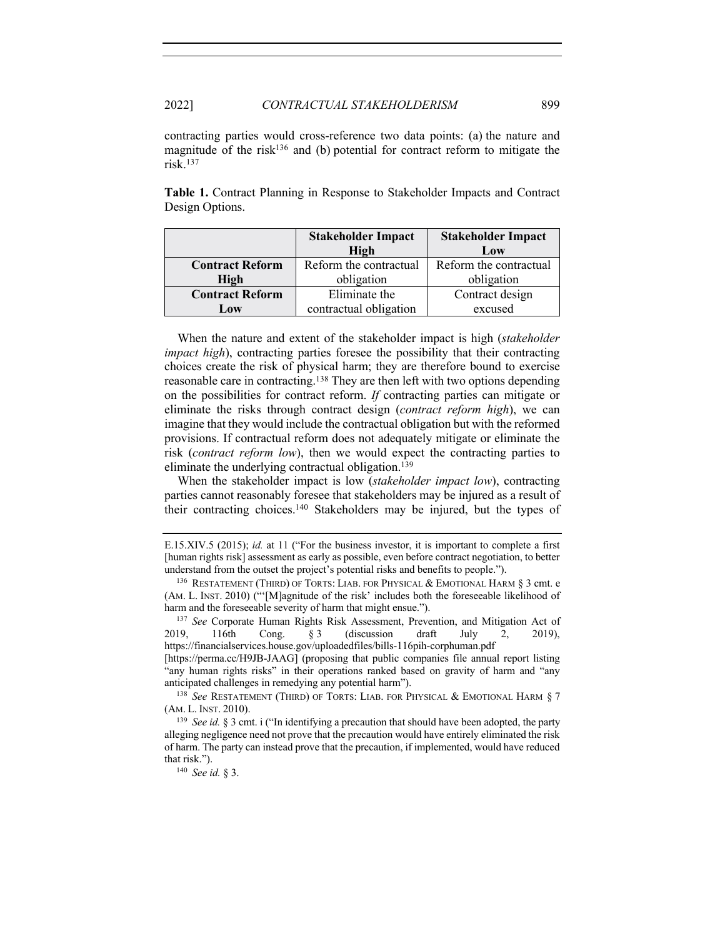contracting parties would cross-reference two data points: (a) the nature and magnitude of the risk<sup>136</sup> and (b) potential for contract reform to mitigate the risk.137

**Table 1.** Contract Planning in Response to Stakeholder Impacts and Contract Design Options.

|                        | <b>Stakeholder Impact</b> | <b>Stakeholder Impact</b> |
|------------------------|---------------------------|---------------------------|
|                        | High                      | Low                       |
| <b>Contract Reform</b> | Reform the contractual    | Reform the contractual    |
| High                   | obligation                | obligation                |
| <b>Contract Reform</b> | Eliminate the             | Contract design           |
| Low                    | contractual obligation    | excused                   |

When the nature and extent of the stakeholder impact is high (*stakeholder impact high*), contracting parties foresee the possibility that their contracting choices create the risk of physical harm; they are therefore bound to exercise reasonable care in contracting.<sup>138</sup> They are then left with two options depending on the possibilities for contract reform. *If* contracting parties can mitigate or eliminate the risks through contract design (*contract reform high*), we can imagine that they would include the contractual obligation but with the reformed provisions. If contractual reform does not adequately mitigate or eliminate the risk (*contract reform low*), then we would expect the contracting parties to eliminate the underlying contractual obligation.139

When the stakeholder impact is low (*stakeholder impact low*), contracting parties cannot reasonably foresee that stakeholders may be injured as a result of their contracting choices.140 Stakeholders may be injured, but the types of

[https://perma.cc/H9JB-JAAG] (proposing that public companies file annual report listing "any human rights risks" in their operations ranked based on gravity of harm and "any anticipated challenges in remedying any potential harm").

<sup>138</sup> See RESTATEMENT (THIRD) OF TORTS: LIAB. FOR PHYSICAL & EMOTIONAL HARM § 7 (AM. L. INST. 2010).

<sup>139</sup> *See id.* § 3 cmt. i ("In identifying a precaution that should have been adopted, the party alleging negligence need not prove that the precaution would have entirely eliminated the risk of harm. The party can instead prove that the precaution, if implemented, would have reduced that risk.").

<sup>140</sup> *See id.* § 3.

E.15.XIV.5 (2015); *id.* at 11 ("For the business investor, it is important to complete a first [human rights risk] assessment as early as possible, even before contract negotiation, to better understand from the outset the project's potential risks and benefits to people.").

<sup>&</sup>lt;sup>136</sup> RESTATEMENT (THIRD) OF TORTS: LIAB. FOR PHYSICAL & EMOTIONAL HARM  $\S$  3 cmt. e (AM. L. INST. 2010) ("'[M]agnitude of the risk' includes both the foreseeable likelihood of harm and the foreseeable severity of harm that might ensue.").

<sup>137</sup> *See* Corporate Human Rights Risk Assessment, Prevention, and Mitigation Act of 2019, 116th Cong. § 3 (discussion draft July 2, 2019), https://financialservices.house.gov/uploadedfiles/bills-116pih-corphuman.pdf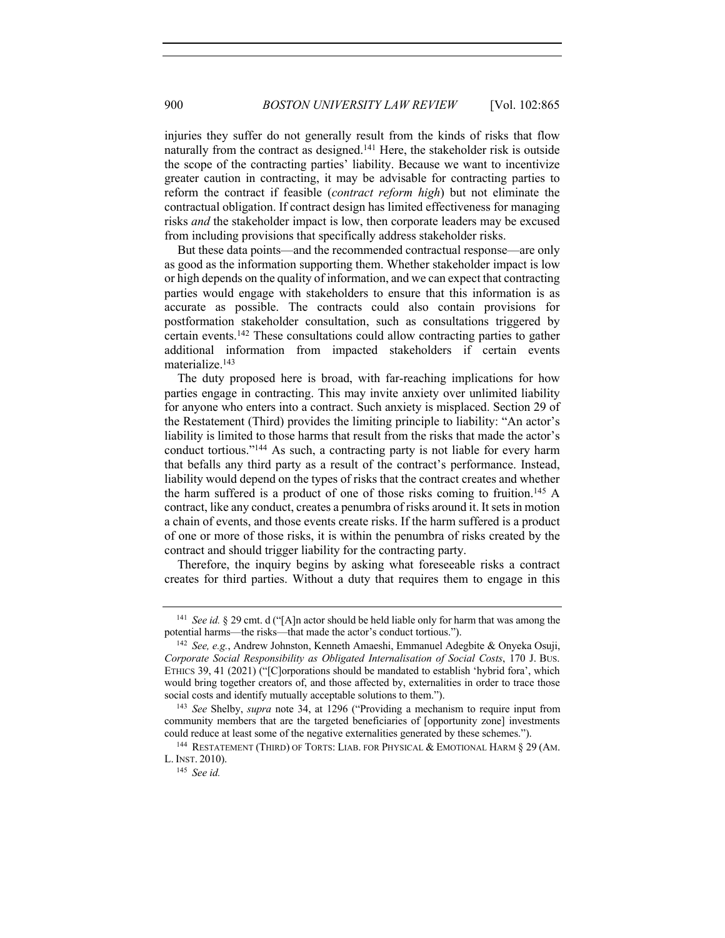injuries they suffer do not generally result from the kinds of risks that flow naturally from the contract as designed.<sup>141</sup> Here, the stakeholder risk is outside the scope of the contracting parties' liability. Because we want to incentivize greater caution in contracting, it may be advisable for contracting parties to reform the contract if feasible (*contract reform high*) but not eliminate the contractual obligation. If contract design has limited effectiveness for managing risks *and* the stakeholder impact is low, then corporate leaders may be excused from including provisions that specifically address stakeholder risks.

But these data points—and the recommended contractual response—are only as good as the information supporting them. Whether stakeholder impact is low or high depends on the quality of information, and we can expect that contracting parties would engage with stakeholders to ensure that this information is as accurate as possible. The contracts could also contain provisions for postformation stakeholder consultation, such as consultations triggered by certain events.142 These consultations could allow contracting parties to gather additional information from impacted stakeholders if certain events materialize.143

The duty proposed here is broad, with far-reaching implications for how parties engage in contracting. This may invite anxiety over unlimited liability for anyone who enters into a contract. Such anxiety is misplaced. Section 29 of the Restatement (Third) provides the limiting principle to liability: "An actor's liability is limited to those harms that result from the risks that made the actor's conduct tortious."144 As such, a contracting party is not liable for every harm that befalls any third party as a result of the contract's performance. Instead, liability would depend on the types of risks that the contract creates and whether the harm suffered is a product of one of those risks coming to fruition.145 A contract, like any conduct, creates a penumbra of risks around it. It sets in motion a chain of events, and those events create risks. If the harm suffered is a product of one or more of those risks, it is within the penumbra of risks created by the contract and should trigger liability for the contracting party.

Therefore, the inquiry begins by asking what foreseeable risks a contract creates for third parties. Without a duty that requires them to engage in this

<sup>141</sup> *See id.* § 29 cmt. d ("[A]n actor should be held liable only for harm that was among the potential harms—the risks—that made the actor's conduct tortious.").

<sup>142</sup> *See, e.g.*, Andrew Johnston, Kenneth Amaeshi, Emmanuel Adegbite & Onyeka Osuji, *Corporate Social Responsibility as Obligated Internalisation of Social Costs*, 170 J. BUS. ETHICS 39, 41 (2021) ("[C]orporations should be mandated to establish 'hybrid fora', which would bring together creators of, and those affected by, externalities in order to trace those social costs and identify mutually acceptable solutions to them.").

<sup>143</sup> *See* Shelby, *supra* note 34, at 1296 ("Providing a mechanism to require input from community members that are the targeted beneficiaries of [opportunity zone] investments could reduce at least some of the negative externalities generated by these schemes.").

<sup>&</sup>lt;sup>144</sup> RESTATEMENT (THIRD) OF TORTS: LIAB. FOR PHYSICAL & EMOTIONAL HARM  $\S 29$  (AM. L. INST. 2010).

<sup>145</sup> *See id.*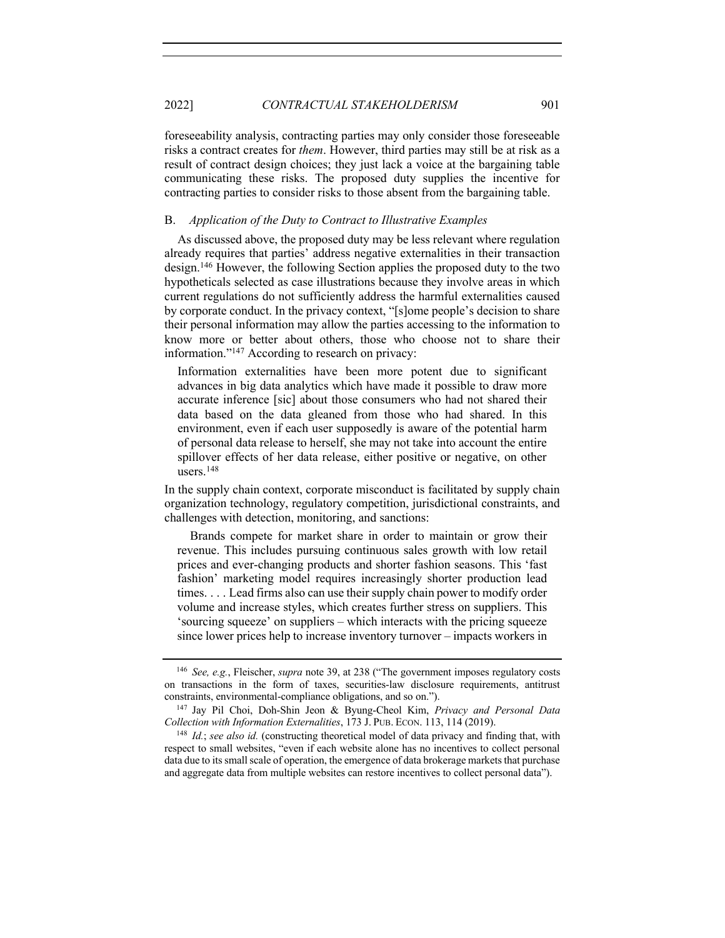2022] *CONTRACTUAL STAKEHOLDERISM* 901

foreseeability analysis, contracting parties may only consider those foreseeable risks a contract creates for *them*. However, third parties may still be at risk as a result of contract design choices; they just lack a voice at the bargaining table communicating these risks. The proposed duty supplies the incentive for contracting parties to consider risks to those absent from the bargaining table.

#### B. *Application of the Duty to Contract to Illustrative Examples*

As discussed above, the proposed duty may be less relevant where regulation already requires that parties' address negative externalities in their transaction design.146 However, the following Section applies the proposed duty to the two hypotheticals selected as case illustrations because they involve areas in which current regulations do not sufficiently address the harmful externalities caused by corporate conduct. In the privacy context, "[s]ome people's decision to share their personal information may allow the parties accessing to the information to know more or better about others, those who choose not to share their information."147 According to research on privacy:

Information externalities have been more potent due to significant advances in big data analytics which have made it possible to draw more accurate inference [sic] about those consumers who had not shared their data based on the data gleaned from those who had shared. In this environment, even if each user supposedly is aware of the potential harm of personal data release to herself, she may not take into account the entire spillover effects of her data release, either positive or negative, on other users.148

In the supply chain context, corporate misconduct is facilitated by supply chain organization technology, regulatory competition, jurisdictional constraints, and challenges with detection, monitoring, and sanctions:

Brands compete for market share in order to maintain or grow their revenue. This includes pursuing continuous sales growth with low retail prices and ever-changing products and shorter fashion seasons. This 'fast fashion' marketing model requires increasingly shorter production lead times. . . . Lead firms also can use their supply chain power to modify order volume and increase styles, which creates further stress on suppliers. This 'sourcing squeeze' on suppliers – which interacts with the pricing squeeze since lower prices help to increase inventory turnover – impacts workers in

<sup>146</sup> *See, e.g.*, Fleischer, *supra* note 39, at 238 ("The government imposes regulatory costs on transactions in the form of taxes, securities-law disclosure requirements, antitrust constraints, environmental-compliance obligations, and so on.").

<sup>147</sup> Jay Pil Choi, Doh-Shin Jeon & Byung-Cheol Kim, *Privacy and Personal Data Collection with Information Externalities*, 173 J. PUB. ECON. 113, 114 (2019).

<sup>148</sup> *Id.*; *see also id.* (constructing theoretical model of data privacy and finding that, with respect to small websites, "even if each website alone has no incentives to collect personal data due to its small scale of operation, the emergence of data brokerage markets that purchase and aggregate data from multiple websites can restore incentives to collect personal data").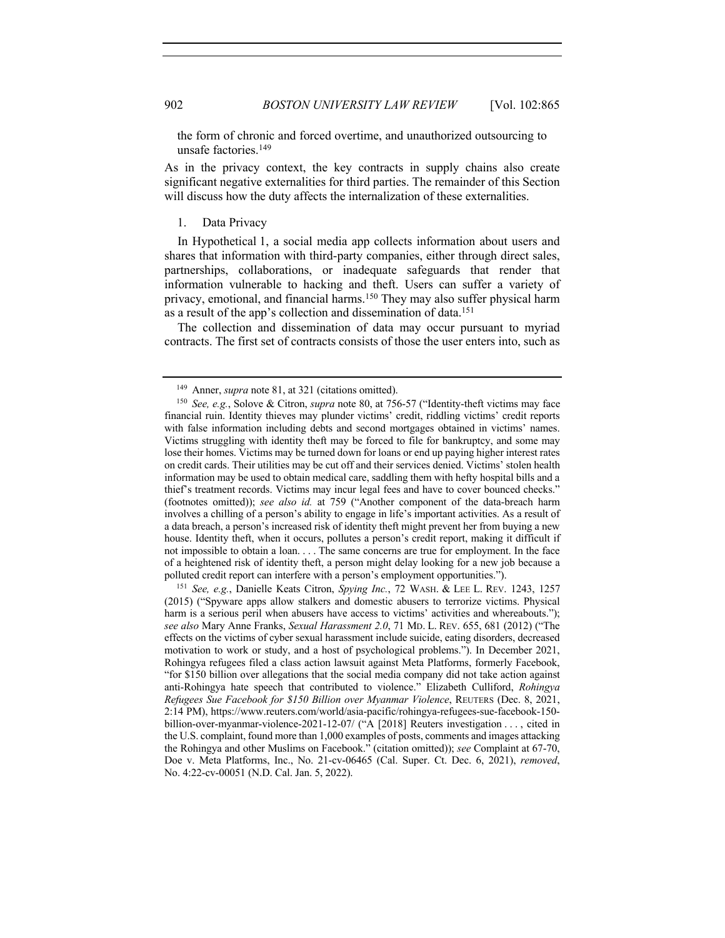the form of chronic and forced overtime, and unauthorized outsourcing to unsafe factories.149

As in the privacy context, the key contracts in supply chains also create significant negative externalities for third parties. The remainder of this Section will discuss how the duty affects the internalization of these externalities.

# 1. Data Privacy

In Hypothetical 1, a social media app collects information about users and shares that information with third-party companies, either through direct sales, partnerships, collaborations, or inadequate safeguards that render that information vulnerable to hacking and theft. Users can suffer a variety of privacy, emotional, and financial harms.150 They may also suffer physical harm as a result of the app's collection and dissemination of data.151

The collection and dissemination of data may occur pursuant to myriad contracts. The first set of contracts consists of those the user enters into, such as

<sup>151</sup> *See, e.g.*, Danielle Keats Citron, *Spying Inc.*, 72 WASH. & LEE L. REV. 1243, 1257 (2015) ("Spyware apps allow stalkers and domestic abusers to terrorize victims. Physical harm is a serious peril when abusers have access to victims' activities and whereabouts."); *see also* Mary Anne Franks, *Sexual Harassment 2.0*, 71 MD. L. REV. 655, 681 (2012) ("The effects on the victims of cyber sexual harassment include suicide, eating disorders, decreased motivation to work or study, and a host of psychological problems."). In December 2021, Rohingya refugees filed a class action lawsuit against Meta Platforms, formerly Facebook, "for \$150 billion over allegations that the social media company did not take action against anti-Rohingya hate speech that contributed to violence." Elizabeth Culliford, *Rohingya Refugees Sue Facebook for \$150 Billion over Myanmar Violence*, REUTERS (Dec. 8, 2021, 2:14 PM), https://www.reuters.com/world/asia-pacific/rohingya-refugees-sue-facebook-150 billion-over-myanmar-violence-2021-12-07/ ("A [2018] Reuters investigation . . . , cited in the U.S. complaint, found more than 1,000 examples of posts, comments and images attacking the Rohingya and other Muslims on Facebook." (citation omitted)); *see* Complaint at 67-70, Doe v. Meta Platforms, Inc., No. 21-cv-06465 (Cal. Super. Ct. Dec. 6, 2021), *removed*, No. 4:22-cv-00051 (N.D. Cal. Jan. 5, 2022).

<sup>149</sup> Anner, *supra* note 81, at 321 (citations omitted).

<sup>150</sup> *See, e.g.*, Solove & Citron, *supra* note 80, at 756-57 ("Identity-theft victims may face financial ruin. Identity thieves may plunder victims' credit, riddling victims' credit reports with false information including debts and second mortgages obtained in victims' names. Victims struggling with identity theft may be forced to file for bankruptcy, and some may lose their homes. Victims may be turned down for loans or end up paying higher interest rates on credit cards. Their utilities may be cut off and their services denied. Victims' stolen health information may be used to obtain medical care, saddling them with hefty hospital bills and a thief's treatment records. Victims may incur legal fees and have to cover bounced checks." (footnotes omitted)); *see also id.* at 759 ("Another component of the data-breach harm involves a chilling of a person's ability to engage in life's important activities. As a result of a data breach, a person's increased risk of identity theft might prevent her from buying a new house. Identity theft, when it occurs, pollutes a person's credit report, making it difficult if not impossible to obtain a loan. . . . The same concerns are true for employment. In the face of a heightened risk of identity theft, a person might delay looking for a new job because a polluted credit report can interfere with a person's employment opportunities.").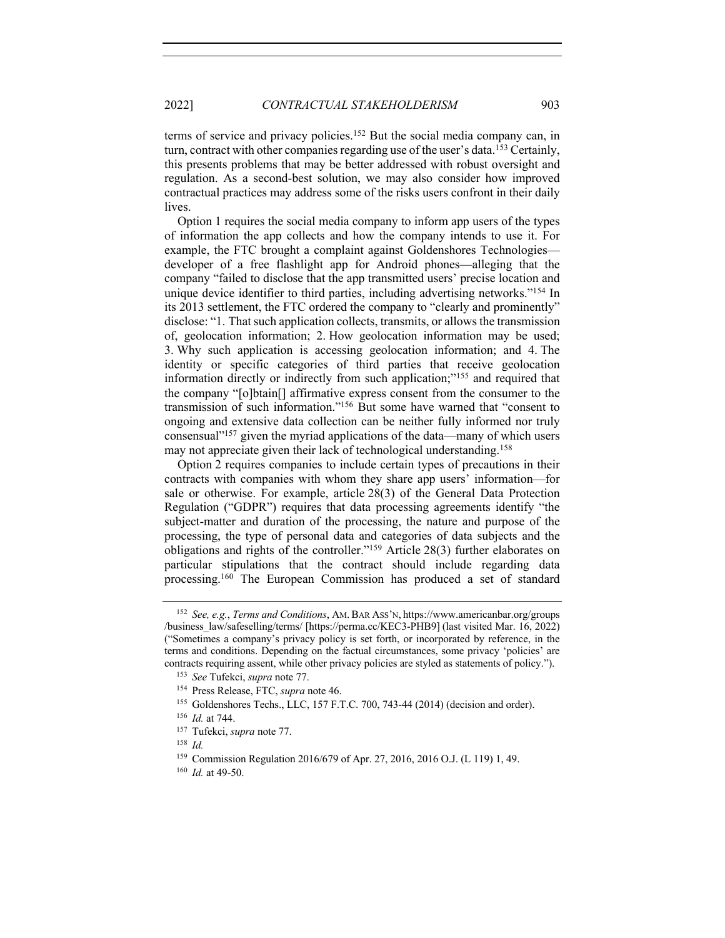terms of service and privacy policies.152 But the social media company can, in turn, contract with other companies regarding use of the user's data.<sup>153</sup> Certainly, this presents problems that may be better addressed with robust oversight and regulation. As a second-best solution, we may also consider how improved contractual practices may address some of the risks users confront in their daily lives.

Option 1 requires the social media company to inform app users of the types of information the app collects and how the company intends to use it. For example, the FTC brought a complaint against Goldenshores Technologies developer of a free flashlight app for Android phones—alleging that the company "failed to disclose that the app transmitted users' precise location and unique device identifier to third parties, including advertising networks."<sup>154</sup> In its 2013 settlement, the FTC ordered the company to "clearly and prominently" disclose: "1. That such application collects, transmits, or allows the transmission of, geolocation information; 2. How geolocation information may be used; 3. Why such application is accessing geolocation information; and 4. The identity or specific categories of third parties that receive geolocation information directly or indirectly from such application;"155 and required that the company "[o]btain[] affirmative express consent from the consumer to the transmission of such information."156 But some have warned that "consent to ongoing and extensive data collection can be neither fully informed nor truly consensual"157 given the myriad applications of the data—many of which users may not appreciate given their lack of technological understanding. 158

Option 2 requires companies to include certain types of precautions in their contracts with companies with whom they share app users' information—for sale or otherwise. For example, article 28(3) of the General Data Protection Regulation ("GDPR") requires that data processing agreements identify "the subject-matter and duration of the processing, the nature and purpose of the processing, the type of personal data and categories of data subjects and the obligations and rights of the controller."159 Article 28(3) further elaborates on particular stipulations that the contract should include regarding data processing.160 The European Commission has produced a set of standard

<sup>152</sup> *See, e.g.*, *Terms and Conditions*, AM. BAR ASS'N, https://www.americanbar.org/groups /business\_law/safeselling/terms/ [https://perma.cc/KEC3-PHB9] (last visited Mar. 16, 2022) ("Sometimes a company's privacy policy is set forth, or incorporated by reference, in the terms and conditions. Depending on the factual circumstances, some privacy 'policies' are contracts requiring assent, while other privacy policies are styled as statements of policy.").

<sup>153</sup> *See* Tufekci, *supra* note 77.

<sup>154</sup> Press Release, FTC, *supra* note 46.

<sup>155</sup> Goldenshores Techs., LLC, 157 F.T.C. 700, 743-44 (2014) (decision and order).

<sup>156</sup> *Id.* at 744.

<sup>157</sup> Tufekci, *supra* note 77.

<sup>158</sup> *Id.*

<sup>159</sup> Commission Regulation 2016/679 of Apr. 27, 2016, 2016 O.J. (L 119) 1, 49.

<sup>160</sup> *Id.* at 49-50.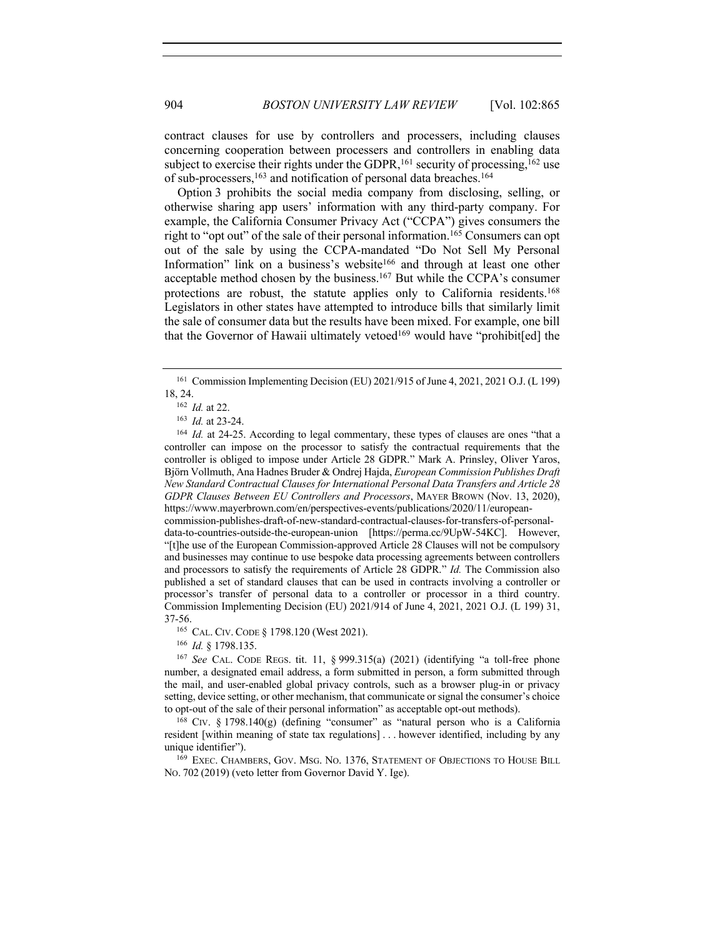contract clauses for use by controllers and processers, including clauses concerning cooperation between processers and controllers in enabling data subject to exercise their rights under the GDPR,  $^{161}$  security of processing,  $^{162}$  use of sub-processers,<sup>163</sup> and notification of personal data breaches.<sup>164</sup>

Option 3 prohibits the social media company from disclosing, selling, or otherwise sharing app users' information with any third-party company. For example, the California Consumer Privacy Act ("CCPA") gives consumers the right to "opt out" of the sale of their personal information.<sup>165</sup> Consumers can opt out of the sale by using the CCPA-mandated "Do Not Sell My Personal Information" link on a business's website<sup>166</sup> and through at least one other acceptable method chosen by the business.167 But while the CCPA's consumer protections are robust, the statute applies only to California residents.<sup>168</sup> Legislators in other states have attempted to introduce bills that similarly limit the sale of consumer data but the results have been mixed. For example, one bill that the Governor of Hawaii ultimately vetoed<sup>169</sup> would have "prohibit[ed] the

commission-publishes-draft-of-new-standard-contractual-clauses-for-transfers-of-personaldata-to-countries-outside-the-european-union [https://perma.cc/9UpW-54KC]. However, "[t]he use of the European Commission-approved Article 28 Clauses will not be compulsory and businesses may continue to use bespoke data processing agreements between controllers and processors to satisfy the requirements of Article 28 GDPR." *Id.* The Commission also published a set of standard clauses that can be used in contracts involving a controller or processor's transfer of personal data to a controller or processor in a third country. Commission Implementing Decision (EU) 2021/914 of June 4, 2021, 2021 O.J. (L 199) 31, 37-56.

<sup>165</sup> CAL. CIV. CODE § 1798.120 (West 2021).

<sup>166</sup> *Id.* § 1798.135.

<sup>161</sup> Commission Implementing Decision (EU) 2021/915 of June 4, 2021, 2021 O.J. (L 199) 18, 24.

<sup>162</sup> *Id.* at 22.

<sup>163</sup> *Id.* at 23-24.

<sup>&</sup>lt;sup>164</sup> *Id.* at 24-25. According to legal commentary, these types of clauses are ones "that a controller can impose on the processor to satisfy the contractual requirements that the controller is obliged to impose under Article 28 GDPR." Mark A. Prinsley, Oliver Yaros, Björn Vollmuth, Ana Hadnes Bruder & Ondrej Hajda, *European Commission Publishes Draft New Standard Contractual Clauses for International Personal Data Transfers and Article 28 GDPR Clauses Between EU Controllers and Processors*, MAYER BROWN (Nov. 13, 2020), https://www.mayerbrown.com/en/perspectives-events/publications/2020/11/european-

<sup>167</sup> *See* CAL. CODE REGS. tit. 11, § 999.315(a) (2021) (identifying "a toll-free phone number, a designated email address, a form submitted in person, a form submitted through the mail, and user-enabled global privacy controls, such as a browser plug-in or privacy setting, device setting, or other mechanism, that communicate or signal the consumer's choice to opt-out of the sale of their personal information" as acceptable opt-out methods).

<sup>168</sup> CIV. § 1798.140(g) (defining "consumer" as "natural person who is a California resident [within meaning of state tax regulations] . . . however identified, including by any unique identifier").

<sup>169</sup> EXEC. CHAMBERS, GOV. MSG. NO. 1376, STATEMENT OF OBJECTIONS TO HOUSE BILL NO. 702 (2019) (veto letter from Governor David Y. Ige).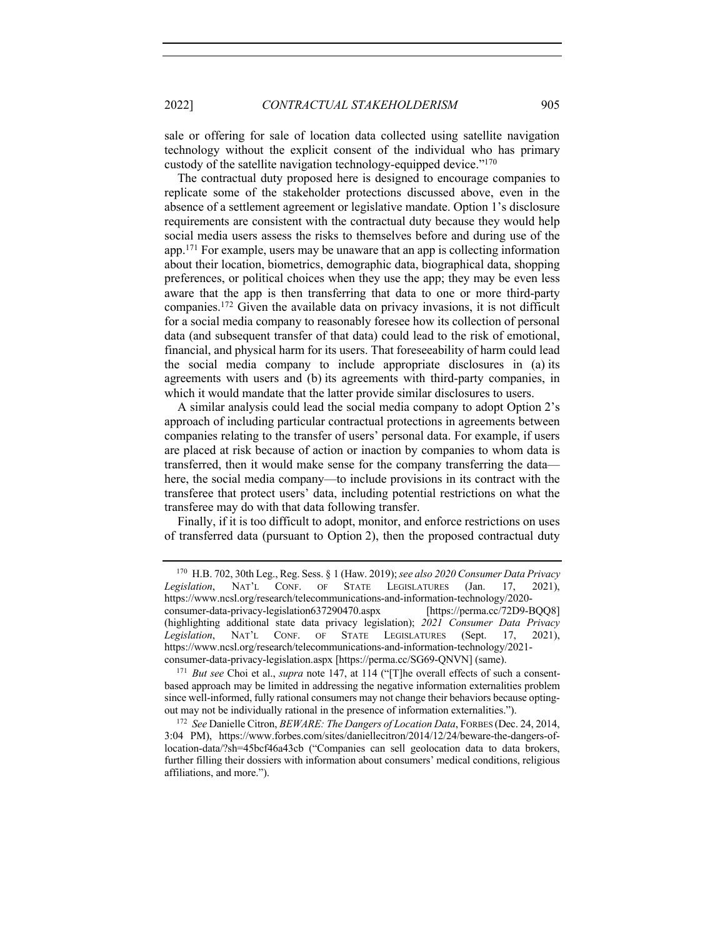2022] *CONTRACTUAL STAKEHOLDERISM* 905

sale or offering for sale of location data collected using satellite navigation technology without the explicit consent of the individual who has primary custody of the satellite navigation technology-equipped device."170

The contractual duty proposed here is designed to encourage companies to replicate some of the stakeholder protections discussed above, even in the absence of a settlement agreement or legislative mandate. Option 1's disclosure requirements are consistent with the contractual duty because they would help social media users assess the risks to themselves before and during use of the app.171 For example, users may be unaware that an app is collecting information about their location, biometrics, demographic data, biographical data, shopping preferences, or political choices when they use the app; they may be even less aware that the app is then transferring that data to one or more third-party companies.172 Given the available data on privacy invasions, it is not difficult for a social media company to reasonably foresee how its collection of personal data (and subsequent transfer of that data) could lead to the risk of emotional, financial, and physical harm for its users. That foreseeability of harm could lead the social media company to include appropriate disclosures in (a) its agreements with users and (b) its agreements with third-party companies, in which it would mandate that the latter provide similar disclosures to users.

A similar analysis could lead the social media company to adopt Option 2's approach of including particular contractual protections in agreements between companies relating to the transfer of users' personal data. For example, if users are placed at risk because of action or inaction by companies to whom data is transferred, then it would make sense for the company transferring the data here, the social media company—to include provisions in its contract with the transferee that protect users' data, including potential restrictions on what the transferee may do with that data following transfer.

Finally, if it is too difficult to adopt, monitor, and enforce restrictions on uses of transferred data (pursuant to Option 2), then the proposed contractual duty

<sup>170</sup> H.B. 702, 30th Leg., Reg. Sess. § 1 (Haw. 2019); *see also 2020 Consumer Data Privacy Legislation*, NAT'L CONF. OF STATE LEGISLATURES (Jan. 17, 2021), https://www.ncsl.org/research/telecommunications-and-information-technology/2020 consumer-data-privacy-legislation637290470.aspx [https://perma.cc/72D9-BQQ8] (highlighting additional state data privacy legislation); *2021 Consumer Data Privacy Legislation*, NAT'L CONF. OF STATE LEGISLATURES (Sept. 17, 2021), https://www.ncsl.org/research/telecommunications-and-information-technology/2021 consumer-data-privacy-legislation.aspx [https://perma.cc/SG69-QNVN] (same).

<sup>171</sup> *But see* Choi et al., *supra* note 147, at 114 ("[T]he overall effects of such a consentbased approach may be limited in addressing the negative information externalities problem since well-informed, fully rational consumers may not change their behaviors because optingout may not be individually rational in the presence of information externalities.").

<sup>172</sup> *See* Danielle Citron, *BEWARE: The Dangers of Location Data*, FORBES (Dec. 24, 2014, 3:04 PM), https://www.forbes.com/sites/daniellecitron/2014/12/24/beware-the-dangers-oflocation-data/?sh=45bcf46a43cb ("Companies can sell geolocation data to data brokers, further filling their dossiers with information about consumers' medical conditions, religious affiliations, and more.").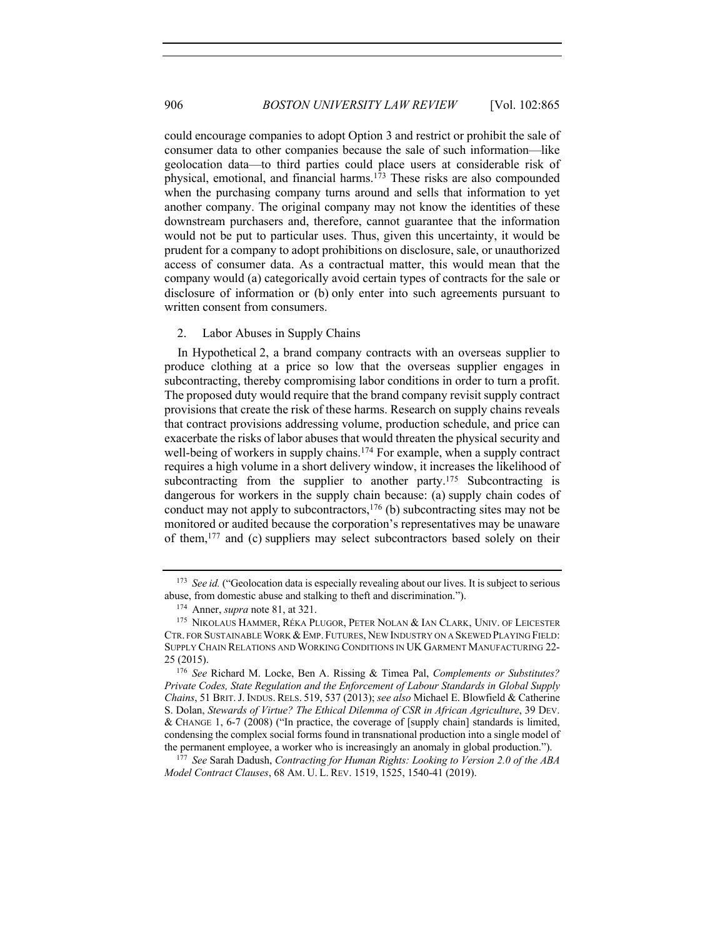could encourage companies to adopt Option 3 and restrict or prohibit the sale of consumer data to other companies because the sale of such information—like geolocation data—to third parties could place users at considerable risk of physical, emotional, and financial harms.<sup>173</sup> These risks are also compounded when the purchasing company turns around and sells that information to yet another company. The original company may not know the identities of these downstream purchasers and, therefore, cannot guarantee that the information would not be put to particular uses. Thus, given this uncertainty, it would be prudent for a company to adopt prohibitions on disclosure, sale, or unauthorized access of consumer data. As a contractual matter, this would mean that the company would (a) categorically avoid certain types of contracts for the sale or disclosure of information or (b) only enter into such agreements pursuant to written consent from consumers.

#### 2. Labor Abuses in Supply Chains

In Hypothetical 2, a brand company contracts with an overseas supplier to produce clothing at a price so low that the overseas supplier engages in subcontracting, thereby compromising labor conditions in order to turn a profit. The proposed duty would require that the brand company revisit supply contract provisions that create the risk of these harms. Research on supply chains reveals that contract provisions addressing volume, production schedule, and price can exacerbate the risks of labor abuses that would threaten the physical security and well-being of workers in supply chains.<sup>174</sup> For example, when a supply contract requires a high volume in a short delivery window, it increases the likelihood of subcontracting from the supplier to another party.<sup>175</sup> Subcontracting is dangerous for workers in the supply chain because: (a) supply chain codes of conduct may not apply to subcontractors, <sup>176</sup> (b) subcontracting sites may not be monitored or audited because the corporation's representatives may be unaware of them,177 and (c) suppliers may select subcontractors based solely on their

<sup>&</sup>lt;sup>173</sup> See id. ("Geolocation data is especially revealing about our lives. It is subject to serious abuse, from domestic abuse and stalking to theft and discrimination.").

<sup>174</sup> Anner, *supra* note 81, at 321.

<sup>175</sup> NIKOLAUS HAMMER, RÉKA PLUGOR, PETER NOLAN & IAN CLARK, UNIV. OF LEICESTER CTR. FOR SUSTAINABLE WORK & EMP. FUTURES, NEW INDUSTRY ON A SKEWED PLAYING FIELD: SUPPLY CHAIN RELATIONS AND WORKING CONDITIONS IN UK GARMENT MANUFACTURING 22- 25 (2015).

<sup>176</sup> *See* Richard M. Locke, Ben A. Rissing & Timea Pal, *Complements or Substitutes? Private Codes, State Regulation and the Enforcement of Labour Standards in Global Supply Chains*, 51 BRIT.J. INDUS. RELS. 519, 537 (2013); *see also* Michael E. Blowfield & Catherine S. Dolan, *Stewards of Virtue? The Ethical Dilemma of CSR in African Agriculture*, 39 DEV. & CHANGE 1, 6-7 (2008) ("In practice, the coverage of [supply chain] standards is limited, condensing the complex social forms found in transnational production into a single model of the permanent employee, a worker who is increasingly an anomaly in global production.").

<sup>177</sup> *See* Sarah Dadush, *Contracting for Human Rights: Looking to Version 2.0 of the ABA Model Contract Clauses*, 68 AM. U. L. REV. 1519, 1525, 1540-41 (2019).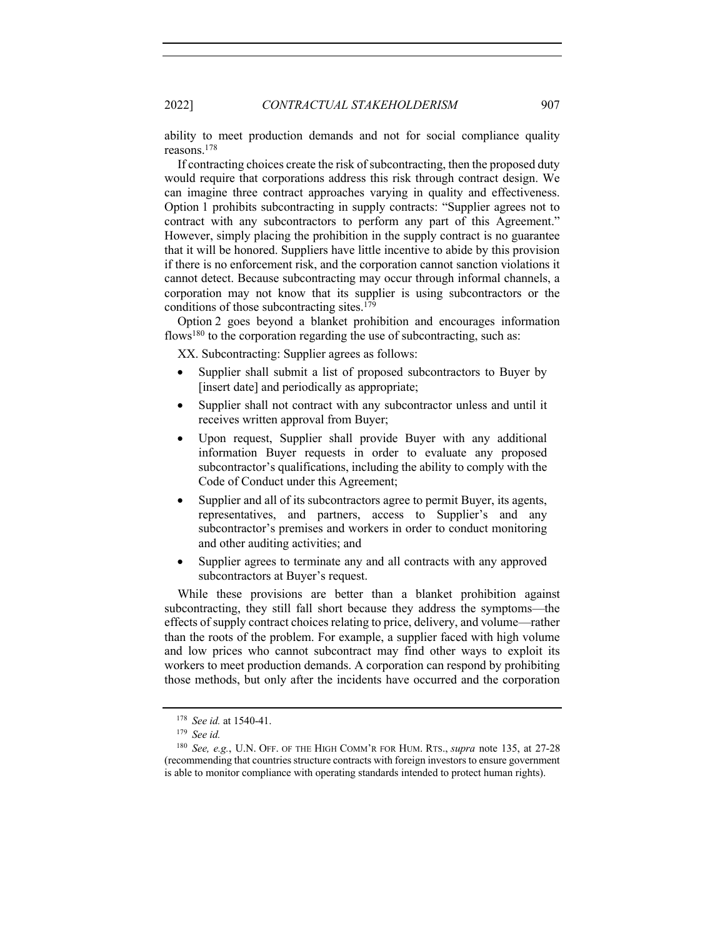ability to meet production demands and not for social compliance quality reasons.178

If contracting choices create the risk of subcontracting, then the proposed duty would require that corporations address this risk through contract design. We can imagine three contract approaches varying in quality and effectiveness. Option 1 prohibits subcontracting in supply contracts: "Supplier agrees not to contract with any subcontractors to perform any part of this Agreement." However, simply placing the prohibition in the supply contract is no guarantee that it will be honored. Suppliers have little incentive to abide by this provision if there is no enforcement risk, and the corporation cannot sanction violations it cannot detect. Because subcontracting may occur through informal channels, a corporation may not know that its supplier is using subcontractors or the conditions of those subcontracting sites.179

Option 2 goes beyond a blanket prohibition and encourages information flows<sup>180</sup> to the corporation regarding the use of subcontracting, such as:

XX. Subcontracting: Supplier agrees as follows:

- Supplier shall submit a list of proposed subcontractors to Buyer by [insert date] and periodically as appropriate;
- Supplier shall not contract with any subcontractor unless and until it receives written approval from Buyer;
- Upon request, Supplier shall provide Buyer with any additional information Buyer requests in order to evaluate any proposed subcontractor's qualifications, including the ability to comply with the Code of Conduct under this Agreement;
- Supplier and all of its subcontractors agree to permit Buyer, its agents, representatives, and partners, access to Supplier's and any subcontractor's premises and workers in order to conduct monitoring and other auditing activities; and
- Supplier agrees to terminate any and all contracts with any approved subcontractors at Buyer's request.

While these provisions are better than a blanket prohibition against subcontracting, they still fall short because they address the symptoms—the effects of supply contract choices relating to price, delivery, and volume—rather than the roots of the problem. For example, a supplier faced with high volume and low prices who cannot subcontract may find other ways to exploit its workers to meet production demands. A corporation can respond by prohibiting those methods, but only after the incidents have occurred and the corporation

<sup>178</sup> *See id.* at 1540-41.

<sup>179</sup> *See id.*

<sup>180</sup> *See, e.g.*, U.N. OFF. OF THE HIGH COMM'R FOR HUM. RTS., *supra* note 135, at 27-28 (recommending that countries structure contracts with foreign investors to ensure government is able to monitor compliance with operating standards intended to protect human rights).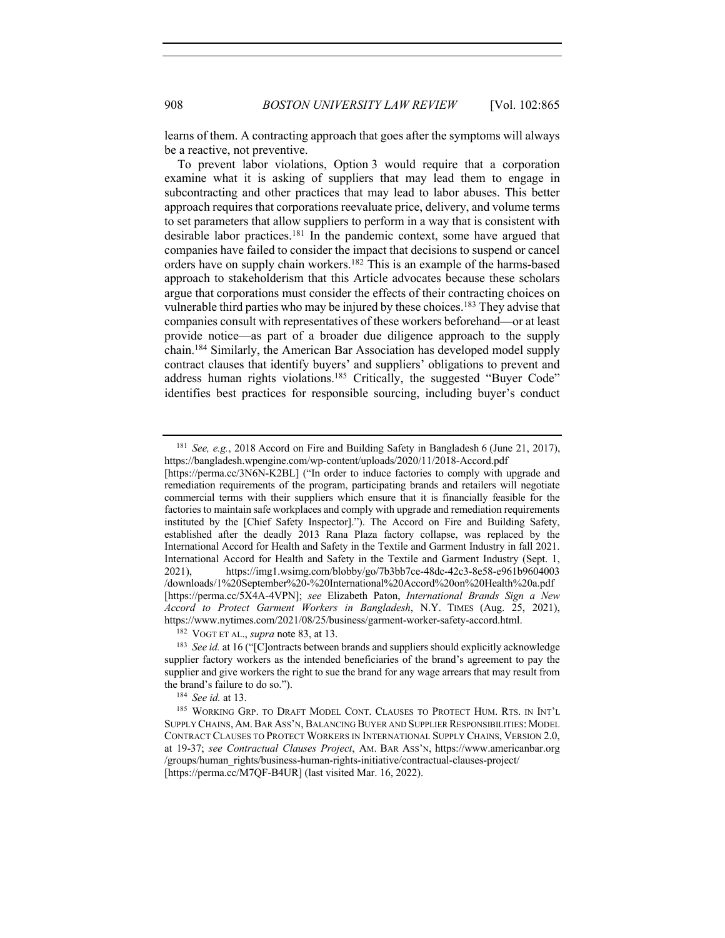learns of them. A contracting approach that goes after the symptoms will always be a reactive, not preventive.

To prevent labor violations, Option 3 would require that a corporation examine what it is asking of suppliers that may lead them to engage in subcontracting and other practices that may lead to labor abuses. This better approach requires that corporations reevaluate price, delivery, and volume terms to set parameters that allow suppliers to perform in a way that is consistent with desirable labor practices.181 In the pandemic context, some have argued that companies have failed to consider the impact that decisions to suspend or cancel orders have on supply chain workers.182 This is an example of the harms-based approach to stakeholderism that this Article advocates because these scholars argue that corporations must consider the effects of their contracting choices on vulnerable third parties who may be injured by these choices.<sup>183</sup> They advise that companies consult with representatives of these workers beforehand—or at least provide notice—as part of a broader due diligence approach to the supply chain.184 Similarly, the American Bar Association has developed model supply contract clauses that identify buyers' and suppliers' obligations to prevent and address human rights violations.185 Critically, the suggested "Buyer Code" identifies best practices for responsible sourcing, including buyer's conduct

<sup>181</sup> *See, e.g.*, 2018 Accord on Fire and Building Safety in Bangladesh 6 (June 21, 2017), https://bangladesh.wpengine.com/wp-content/uploads/2020/11/2018-Accord.pdf

<sup>[</sup>https://perma.cc/3N6N-K2BL] ("In order to induce factories to comply with upgrade and remediation requirements of the program, participating brands and retailers will negotiate commercial terms with their suppliers which ensure that it is financially feasible for the factories to maintain safe workplaces and comply with upgrade and remediation requirements instituted by the [Chief Safety Inspector]."). The Accord on Fire and Building Safety, established after the deadly 2013 Rana Plaza factory collapse, was replaced by the International Accord for Health and Safety in the Textile and Garment Industry in fall 2021. International Accord for Health and Safety in the Textile and Garment Industry (Sept. 1, 2021), https://img1.wsimg.com/blobby/go/7b3bb7ce-48dc-42c3-8e58-e961b9604003 /downloads/1%20September%20-%20International%20Accord%20on%20Health%20a.pdf [https://perma.cc/5X4A-4VPN]; *see* Elizabeth Paton, *International Brands Sign a New Accord to Protect Garment Workers in Bangladesh*, N.Y. TIMES (Aug. 25, 2021), https://www.nytimes.com/2021/08/25/business/garment-worker-safety-accord.html.

<sup>182</sup> VOGT ET AL., *supra* note 83, at 13.

<sup>&</sup>lt;sup>183</sup> *See id.* at 16 ("[C]ontracts between brands and suppliers should explicitly acknowledge supplier factory workers as the intended beneficiaries of the brand's agreement to pay the supplier and give workers the right to sue the brand for any wage arrears that may result from the brand's failure to do so.").

<sup>184</sup> *See id.* at 13.

<sup>185</sup> WORKING GRP. TO DRAFT MODEL CONT. CLAUSES TO PROTECT HUM. RTS. IN INT'L SUPPLY CHAINS, AM. BAR ASS'N, BALANCING BUYER AND SUPPLIER RESPONSIBILITIES: MODEL CONTRACT CLAUSES TO PROTECT WORKERS IN INTERNATIONAL SUPPLY CHAINS, VERSION 2.0, at 19-37; *see Contractual Clauses Project*, AM. BAR ASS'N, https://www.americanbar.org /groups/human\_rights/business-human-rights-initiative/contractual-clauses-project/ [https://perma.cc/M7QF-B4UR] (last visited Mar. 16, 2022).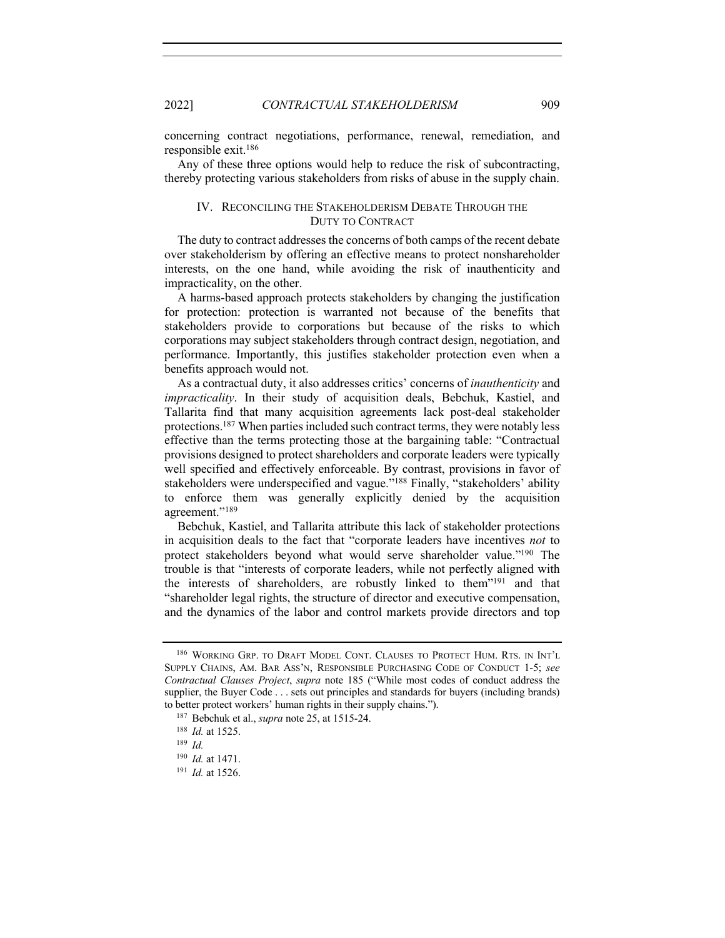concerning contract negotiations, performance, renewal, remediation, and responsible exit.186

Any of these three options would help to reduce the risk of subcontracting, thereby protecting various stakeholders from risks of abuse in the supply chain.

# IV. RECONCILING THE STAKEHOLDERISM DEBATE THROUGH THE DUTY TO CONTRACT

The duty to contract addresses the concerns of both camps of the recent debate over stakeholderism by offering an effective means to protect nonshareholder interests, on the one hand, while avoiding the risk of inauthenticity and impracticality, on the other.

A harms-based approach protects stakeholders by changing the justification for protection: protection is warranted not because of the benefits that stakeholders provide to corporations but because of the risks to which corporations may subject stakeholders through contract design, negotiation, and performance. Importantly, this justifies stakeholder protection even when a benefits approach would not.

As a contractual duty, it also addresses critics' concerns of *inauthenticity* and *impracticality*. In their study of acquisition deals, Bebchuk, Kastiel, and Tallarita find that many acquisition agreements lack post-deal stakeholder protections. <sup>187</sup> When parties included such contract terms, they were notably less effective than the terms protecting those at the bargaining table: "Contractual provisions designed to protect shareholders and corporate leaders were typically well specified and effectively enforceable. By contrast, provisions in favor of stakeholders were underspecified and vague."188 Finally, "stakeholders' ability to enforce them was generally explicitly denied by the acquisition agreement."189

Bebchuk, Kastiel, and Tallarita attribute this lack of stakeholder protections in acquisition deals to the fact that "corporate leaders have incentives *not* to protect stakeholders beyond what would serve shareholder value."190 The trouble is that "interests of corporate leaders, while not perfectly aligned with the interests of shareholders, are robustly linked to them"191 and that "shareholder legal rights, the structure of director and executive compensation, and the dynamics of the labor and control markets provide directors and top

<sup>186</sup> WORKING GRP. TO DRAFT MODEL CONT. CLAUSES TO PROTECT HUM. RTS. IN INT'L SUPPLY CHAINS, AM. BAR ASS'N, RESPONSIBLE PURCHASING CODE OF CONDUCT 1-5; *see Contractual Clauses Project*, *supra* note 185 ("While most codes of conduct address the supplier, the Buyer Code . . . sets out principles and standards for buyers (including brands) to better protect workers' human rights in their supply chains.").

<sup>187</sup> Bebchuk et al., *supra* note 25, at 1515-24.

<sup>188</sup> *Id.* at 1525.

<sup>189</sup> *Id.*

<sup>190</sup> *Id.* at 1471.

<sup>191</sup> *Id.* at 1526.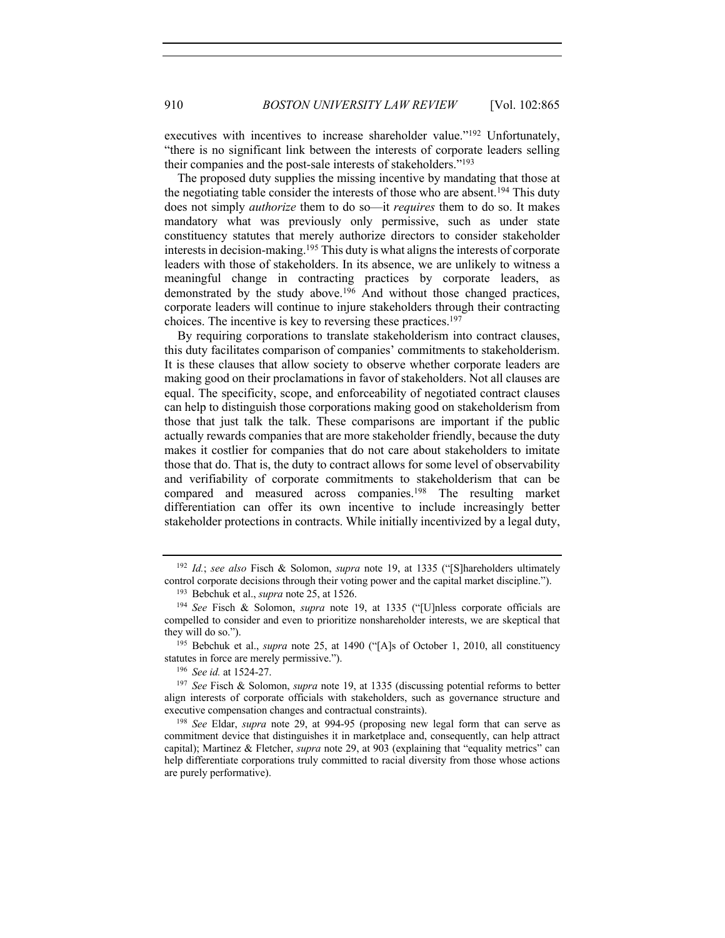executives with incentives to increase shareholder value."<sup>192</sup> Unfortunately, "there is no significant link between the interests of corporate leaders selling their companies and the post-sale interests of stakeholders."193

The proposed duty supplies the missing incentive by mandating that those at the negotiating table consider the interests of those who are absent.<sup>194</sup> This duty does not simply *authorize* them to do so—it *requires* them to do so. It makes mandatory what was previously only permissive, such as under state constituency statutes that merely authorize directors to consider stakeholder interests in decision-making.195 This duty is what aligns the interests of corporate leaders with those of stakeholders. In its absence, we are unlikely to witness a meaningful change in contracting practices by corporate leaders, as demonstrated by the study above.<sup>196</sup> And without those changed practices, corporate leaders will continue to injure stakeholders through their contracting choices. The incentive is key to reversing these practices.197

By requiring corporations to translate stakeholderism into contract clauses, this duty facilitates comparison of companies' commitments to stakeholderism. It is these clauses that allow society to observe whether corporate leaders are making good on their proclamations in favor of stakeholders. Not all clauses are equal. The specificity, scope, and enforceability of negotiated contract clauses can help to distinguish those corporations making good on stakeholderism from those that just talk the talk. These comparisons are important if the public actually rewards companies that are more stakeholder friendly, because the duty makes it costlier for companies that do not care about stakeholders to imitate those that do. That is, the duty to contract allows for some level of observability and verifiability of corporate commitments to stakeholderism that can be compared and measured across companies.198 The resulting market differentiation can offer its own incentive to include increasingly better stakeholder protections in contracts. While initially incentivized by a legal duty,

<sup>192</sup> *Id.*; *see also* Fisch & Solomon, *supra* note 19, at 1335 ("[S]hareholders ultimately control corporate decisions through their voting power and the capital market discipline.").

<sup>193</sup> Bebchuk et al., *supra* note 25, at 1526.

<sup>194</sup> *See* Fisch & Solomon, *supra* note 19, at 1335 ("[U]nless corporate officials are compelled to consider and even to prioritize nonshareholder interests, we are skeptical that they will do so.").

<sup>&</sup>lt;sup>195</sup> Bebchuk et al., *supra* note 25, at 1490 ("[A]s of October 1, 2010, all constituency statutes in force are merely permissive.").

<sup>196</sup> *See id.* at 1524-27.

<sup>197</sup> *See* Fisch & Solomon, *supra* note 19, at 1335 (discussing potential reforms to better align interests of corporate officials with stakeholders, such as governance structure and executive compensation changes and contractual constraints).

<sup>198</sup> *See* Eldar, *supra* note 29, at 994-95 (proposing new legal form that can serve as commitment device that distinguishes it in marketplace and, consequently, can help attract capital); Martinez & Fletcher, *supra* note 29, at 903 (explaining that "equality metrics" can help differentiate corporations truly committed to racial diversity from those whose actions are purely performative).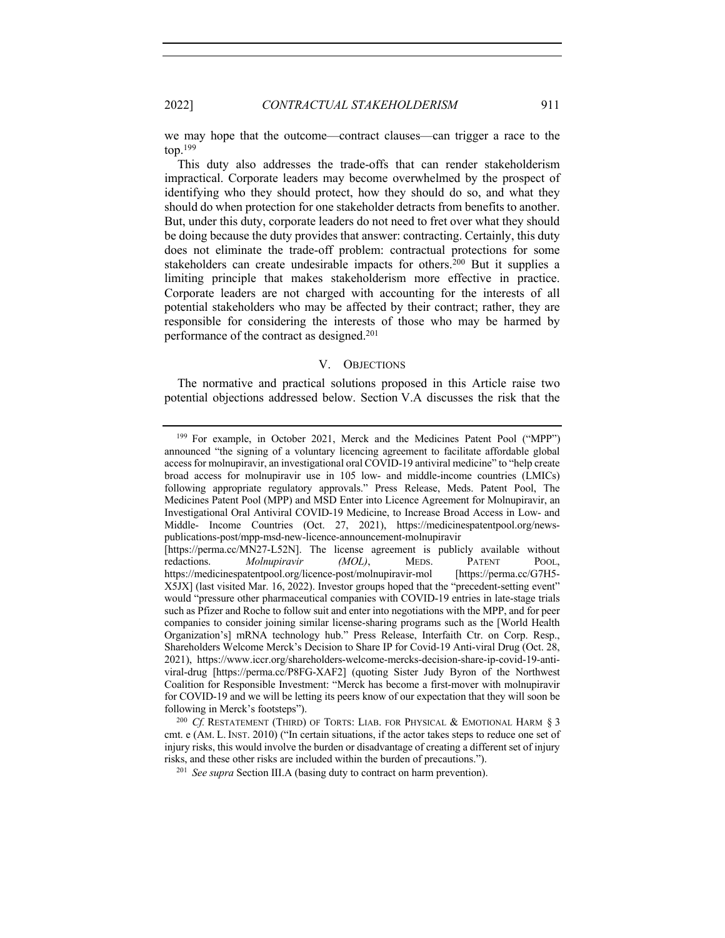2022] *CONTRACTUAL STAKEHOLDERISM* 911

we may hope that the outcome—contract clauses—can trigger a race to the  $top.<sup>199</sup>$ 

This duty also addresses the trade-offs that can render stakeholderism impractical. Corporate leaders may become overwhelmed by the prospect of identifying who they should protect, how they should do so, and what they should do when protection for one stakeholder detracts from benefits to another. But, under this duty, corporate leaders do not need to fret over what they should be doing because the duty provides that answer: contracting. Certainly, this duty does not eliminate the trade-off problem: contractual protections for some stakeholders can create undesirable impacts for others.200 But it supplies a limiting principle that makes stakeholderism more effective in practice. Corporate leaders are not charged with accounting for the interests of all potential stakeholders who may be affected by their contract; rather, they are responsible for considering the interests of those who may be harmed by performance of the contract as designed.201

# V. OBJECTIONS

The normative and practical solutions proposed in this Article raise two potential objections addressed below. Section V.A discusses the risk that the

<sup>199</sup> For example, in October 2021, Merck and the Medicines Patent Pool ("MPP")

announced "the signing of a voluntary licencing agreement to facilitate affordable global access for molnupiravir, an investigational oral COVID-19 antiviral medicine" to "help create broad access for molnupiravir use in 105 low- and middle-income countries (LMICs) following appropriate regulatory approvals." Press Release, Meds. Patent Pool, The Medicines Patent Pool (MPP) and MSD Enter into Licence Agreement for Molnupiravir, an Investigational Oral Antiviral COVID-19 Medicine, to Increase Broad Access in Low- and Middle- Income Countries (Oct. 27, 2021), https://medicinespatentpool.org/newspublications-post/mpp-msd-new-licence-announcement-molnupiravir [https://perma.cc/MN27-L52N]. The license agreement is publicly available without redactions. *Molnupiravir (MOL)*, MEDS. PATENT POOL, https://medicinespatentpool.org/licence-post/molnupiravir-mol [https://perma.cc/G7H5- X5JX] (last visited Mar. 16, 2022). Investor groups hoped that the "precedent-setting event" would "pressure other pharmaceutical companies with COVID-19 entries in late-stage trials such as Pfizer and Roche to follow suit and enter into negotiations with the MPP, and for peer companies to consider joining similar license-sharing programs such as the [World Health Organization's] mRNA technology hub." Press Release, Interfaith Ctr. on Corp. Resp., Shareholders Welcome Merck's Decision to Share IP for Covid-19 Anti-viral Drug (Oct. 28, 2021), https://www.iccr.org/shareholders-welcome-mercks-decision-share-ip-covid-19-antiviral-drug [https://perma.cc/P8FG-XAF2] (quoting Sister Judy Byron of the Northwest Coalition for Responsible Investment: "Merck has become a first-mover with molnupiravir for COVID-19 and we will be letting its peers know of our expectation that they will soon be following in Merck's footsteps").

<sup>&</sup>lt;sup>200</sup> *Cf.* RESTATEMENT (THIRD) OF TORTS: LIAB. FOR PHYSICAL & EMOTIONAL HARM § 3 cmt. e (AM. L. INST. 2010) ("In certain situations, if the actor takes steps to reduce one set of injury risks, this would involve the burden or disadvantage of creating a different set of injury risks, and these other risks are included within the burden of precautions.").

<sup>201</sup> *See supra* Section III.A (basing duty to contract on harm prevention).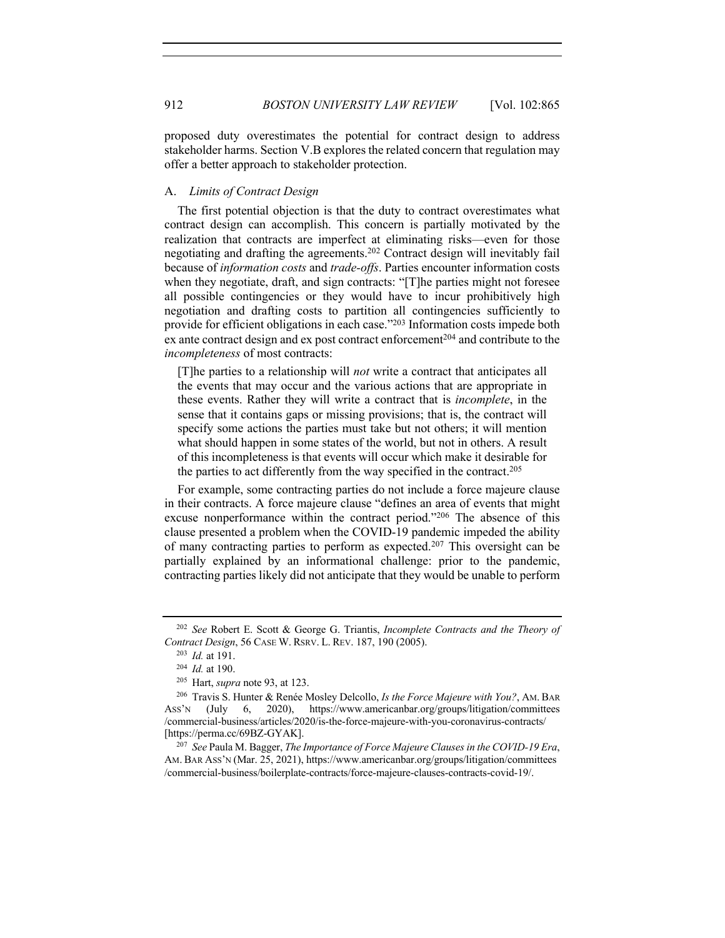proposed duty overestimates the potential for contract design to address stakeholder harms. Section V.B explores the related concern that regulation may offer a better approach to stakeholder protection.

# A. *Limits of Contract Design*

The first potential objection is that the duty to contract overestimates what contract design can accomplish. This concern is partially motivated by the realization that contracts are imperfect at eliminating risks—even for those negotiating and drafting the agreements.202 Contract design will inevitably fail because of *information costs* and *trade-offs*. Parties encounter information costs when they negotiate, draft, and sign contracts: "[T]he parties might not foresee all possible contingencies or they would have to incur prohibitively high negotiation and drafting costs to partition all contingencies sufficiently to provide for efficient obligations in each case."203 Information costs impede both ex ante contract design and ex post contract enforcement<sup>204</sup> and contribute to the *incompleteness* of most contracts:

[T]he parties to a relationship will *not* write a contract that anticipates all the events that may occur and the various actions that are appropriate in these events. Rather they will write a contract that is *incomplete*, in the sense that it contains gaps or missing provisions; that is, the contract will specify some actions the parties must take but not others; it will mention what should happen in some states of the world, but not in others. A result of this incompleteness is that events will occur which make it desirable for the parties to act differently from the way specified in the contract.<sup>205</sup>

For example, some contracting parties do not include a force majeure clause in their contracts. A force majeure clause "defines an area of events that might excuse nonperformance within the contract period."206 The absence of this clause presented a problem when the COVID-19 pandemic impeded the ability of many contracting parties to perform as expected.<sup>207</sup> This oversight can be partially explained by an informational challenge: prior to the pandemic, contracting parties likely did not anticipate that they would be unable to perform

<sup>202</sup> *See* Robert E. Scott & George G. Triantis, *Incomplete Contracts and the Theory of Contract Design*, 56 CASE W. RSRV. L. REV. 187, 190 (2005).

<sup>203</sup> *Id.* at 191.

<sup>204</sup> *Id.* at 190.

<sup>205</sup> Hart, *supra* note 93, at 123.

<sup>206</sup> Travis S. Hunter & Renée Mosley Delcollo, *Is the Force Majeure with You?*, AM. BAR ASS'N (July 6, 2020), https://www.americanbar.org/groups/litigation/committees /commercial-business/articles/2020/is-the-force-majeure-with-you-coronavirus-contracts/ [https://perma.cc/69BZ-GYAK].

<sup>207</sup> *See* Paula M. Bagger, *The Importance of Force Majeure Clauses in the COVID-19 Era*, AM. BAR ASS'N (Mar. 25, 2021), https://www.americanbar.org/groups/litigation/committees /commercial-business/boilerplate-contracts/force-majeure-clauses-contracts-covid-19/.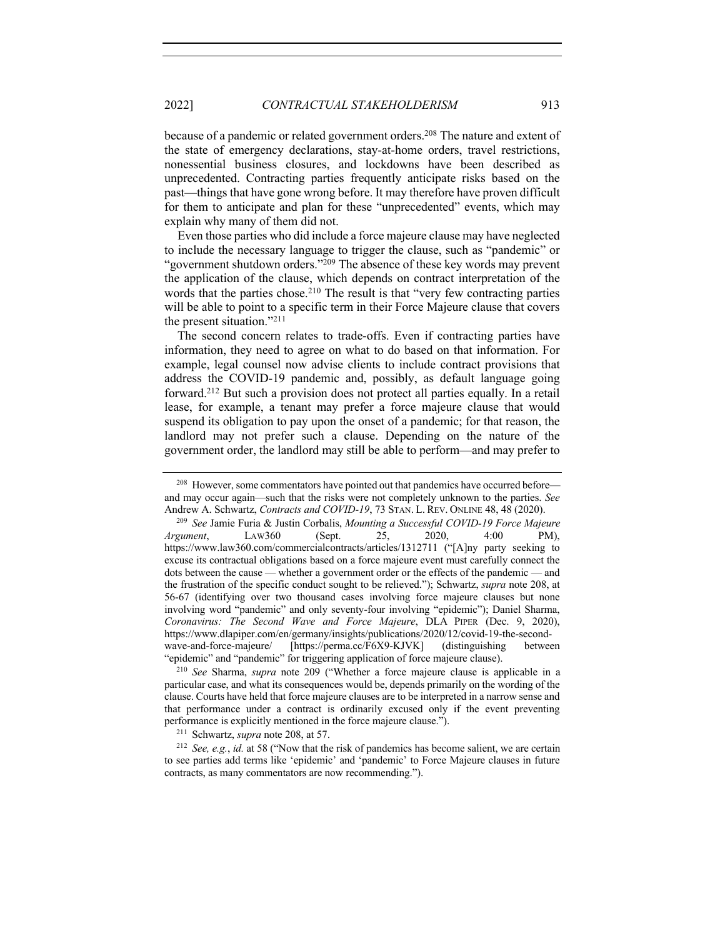because of a pandemic or related government orders.<sup>208</sup> The nature and extent of the state of emergency declarations, stay-at-home orders, travel restrictions, nonessential business closures, and lockdowns have been described as unprecedented. Contracting parties frequently anticipate risks based on the past—things that have gone wrong before. It may therefore have proven difficult for them to anticipate and plan for these "unprecedented" events, which may explain why many of them did not.

Even those parties who did include a force majeure clause may have neglected to include the necessary language to trigger the clause, such as "pandemic" or "government shutdown orders."<sup>209</sup> The absence of these key words may prevent the application of the clause, which depends on contract interpretation of the words that the parties chose.<sup>210</sup> The result is that "very few contracting parties will be able to point to a specific term in their Force Majeure clause that covers the present situation."211

The second concern relates to trade-offs. Even if contracting parties have information, they need to agree on what to do based on that information. For example, legal counsel now advise clients to include contract provisions that address the COVID-19 pandemic and, possibly, as default language going forward.212 But such a provision does not protect all parties equally. In a retail lease, for example, a tenant may prefer a force majeure clause that would suspend its obligation to pay upon the onset of a pandemic; for that reason, the landlord may not prefer such a clause. Depending on the nature of the government order, the landlord may still be able to perform—and may prefer to

<sup>&</sup>lt;sup>208</sup> However, some commentators have pointed out that pandemics have occurred before and may occur again—such that the risks were not completely unknown to the parties. *See*  Andrew A. Schwartz, *Contracts and COVID-19*, 73 STAN. L. REV. ONLINE 48, 48 (2020).

<sup>209</sup> *See* Jamie Furia & Justin Corbalis, *Mounting a Successful COVID-19 Force Majeure Argument*, LAW360 (Sept. 25, 2020, 4:00 PM), https://www.law360.com/commercialcontracts/articles/1312711 ("[A]ny party seeking to excuse its contractual obligations based on a force majeure event must carefully connect the dots between the cause — whether a government order or the effects of the pandemic — and the frustration of the specific conduct sought to be relieved."); Schwartz, *supra* note 208, at 56-67 (identifying over two thousand cases involving force majeure clauses but none involving word "pandemic" and only seventy-four involving "epidemic"); Daniel Sharma, *Coronavirus: The Second Wave and Force Majeure*, DLA PIPER (Dec. 9, 2020), https://www.dlapiper.com/en/germany/insights/publications/2020/12/covid-19-the-secondwave-and-force-majeure/ [https://perma.cc/F6X9-KJVK] (distinguishing between "epidemic" and "pandemic" for triggering application of force majeure clause).

<sup>210</sup> *See* Sharma, *supra* note 209 ("Whether a force majeure clause is applicable in a particular case, and what its consequences would be, depends primarily on the wording of the clause. Courts have held that force majeure clauses are to be interpreted in a narrow sense and that performance under a contract is ordinarily excused only if the event preventing performance is explicitly mentioned in the force majeure clause.").

<sup>211</sup> Schwartz, *supra* note 208, at 57.

<sup>212</sup> *See, e.g.*, *id.* at 58 ("Now that the risk of pandemics has become salient, we are certain to see parties add terms like 'epidemic' and 'pandemic' to Force Majeure clauses in future contracts, as many commentators are now recommending.").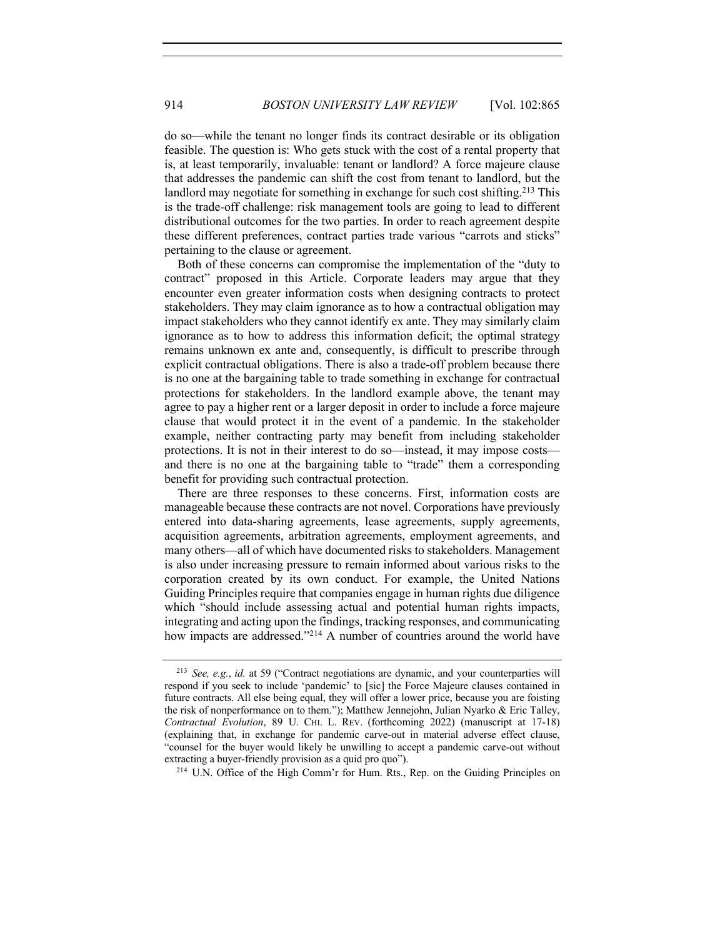do so—while the tenant no longer finds its contract desirable or its obligation feasible. The question is: Who gets stuck with the cost of a rental property that is, at least temporarily, invaluable: tenant or landlord? A force majeure clause that addresses the pandemic can shift the cost from tenant to landlord, but the landlord may negotiate for something in exchange for such cost shifting.<sup>213</sup> This is the trade-off challenge: risk management tools are going to lead to different distributional outcomes for the two parties. In order to reach agreement despite these different preferences, contract parties trade various "carrots and sticks" pertaining to the clause or agreement.

Both of these concerns can compromise the implementation of the "duty to contract" proposed in this Article. Corporate leaders may argue that they encounter even greater information costs when designing contracts to protect stakeholders. They may claim ignorance as to how a contractual obligation may impact stakeholders who they cannot identify ex ante. They may similarly claim ignorance as to how to address this information deficit; the optimal strategy remains unknown ex ante and, consequently, is difficult to prescribe through explicit contractual obligations. There is also a trade-off problem because there is no one at the bargaining table to trade something in exchange for contractual protections for stakeholders. In the landlord example above, the tenant may agree to pay a higher rent or a larger deposit in order to include a force majeure clause that would protect it in the event of a pandemic. In the stakeholder example, neither contracting party may benefit from including stakeholder protections. It is not in their interest to do so—instead, it may impose costs and there is no one at the bargaining table to "trade" them a corresponding benefit for providing such contractual protection.

There are three responses to these concerns. First, information costs are manageable because these contracts are not novel. Corporations have previously entered into data-sharing agreements, lease agreements, supply agreements, acquisition agreements, arbitration agreements, employment agreements, and many others—all of which have documented risks to stakeholders. Management is also under increasing pressure to remain informed about various risks to the corporation created by its own conduct. For example, the United Nations Guiding Principles require that companies engage in human rights due diligence which "should include assessing actual and potential human rights impacts, integrating and acting upon the findings, tracking responses, and communicating how impacts are addressed."<sup>214</sup> A number of countries around the world have

<sup>214</sup> U.N. Office of the High Comm'r for Hum. Rts., Rep. on the Guiding Principles on

<sup>213</sup> *See, e.g.*, *id.* at 59 ("Contract negotiations are dynamic, and your counterparties will respond if you seek to include 'pandemic' to [sic] the Force Majeure clauses contained in future contracts. All else being equal, they will offer a lower price, because you are foisting the risk of nonperformance on to them."); Matthew Jennejohn, Julian Nyarko & Eric Talley, *Contractual Evolution*, 89 U. CHI. L. REV. (forthcoming 2022) (manuscript at 17-18) (explaining that, in exchange for pandemic carve-out in material adverse effect clause, "counsel for the buyer would likely be unwilling to accept a pandemic carve-out without extracting a buyer-friendly provision as a quid pro quo").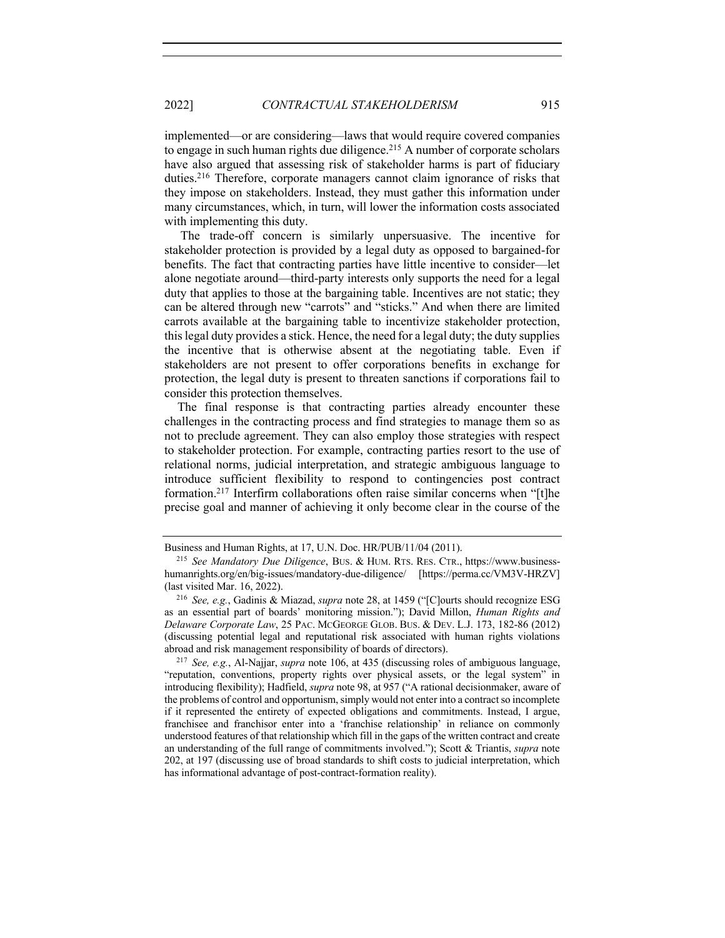implemented—or are considering—laws that would require covered companies to engage in such human rights due diligence.215 A number of corporate scholars have also argued that assessing risk of stakeholder harms is part of fiduciary duties.216 Therefore, corporate managers cannot claim ignorance of risks that they impose on stakeholders. Instead, they must gather this information under many circumstances, which, in turn, will lower the information costs associated with implementing this duty.

The trade-off concern is similarly unpersuasive. The incentive for stakeholder protection is provided by a legal duty as opposed to bargained-for benefits. The fact that contracting parties have little incentive to consider—let alone negotiate around—third-party interests only supports the need for a legal duty that applies to those at the bargaining table. Incentives are not static; they can be altered through new "carrots" and "sticks." And when there are limited carrots available at the bargaining table to incentivize stakeholder protection, this legal duty provides a stick. Hence, the need for a legal duty; the duty supplies the incentive that is otherwise absent at the negotiating table. Even if stakeholders are not present to offer corporations benefits in exchange for protection, the legal duty is present to threaten sanctions if corporations fail to consider this protection themselves.

The final response is that contracting parties already encounter these challenges in the contracting process and find strategies to manage them so as not to preclude agreement. They can also employ those strategies with respect to stakeholder protection. For example, contracting parties resort to the use of relational norms, judicial interpretation, and strategic ambiguous language to introduce sufficient flexibility to respond to contingencies post contract formation.217 Interfirm collaborations often raise similar concerns when "[t]he precise goal and manner of achieving it only become clear in the course of the

Business and Human Rights, at 17, U.N. Doc. HR/PUB/11/04 (2011).

<sup>215</sup> *See Mandatory Due Diligence*, BUS. & HUM. RTS. RES. CTR., https://www.businesshumanrights.org/en/big-issues/mandatory-due-diligence/ [https://perma.cc/VM3V-HRZV] (last visited Mar. 16, 2022).

<sup>216</sup> *See, e.g.*, Gadinis & Miazad, *supra* note 28, at 1459 ("[C]ourts should recognize ESG as an essential part of boards' monitoring mission."); David Millon, *Human Rights and Delaware Corporate Law*, 25 PAC. MCGEORGE GLOB. BUS. & DEV. L.J. 173, 182-86 (2012) (discussing potential legal and reputational risk associated with human rights violations abroad and risk management responsibility of boards of directors).

<sup>217</sup> *See, e.g.*, Al-Najjar, *supra* note 106, at 435 (discussing roles of ambiguous language, "reputation, conventions, property rights over physical assets, or the legal system" in introducing flexibility); Hadfield, *supra* note 98, at 957 ("A rational decisionmaker, aware of the problems of control and opportunism, simply would not enter into a contract so incomplete if it represented the entirety of expected obligations and commitments. Instead, I argue, franchisee and franchisor enter into a 'franchise relationship' in reliance on commonly understood features of that relationship which fill in the gaps of the written contract and create an understanding of the full range of commitments involved."); Scott & Triantis, *supra* note 202, at 197 (discussing use of broad standards to shift costs to judicial interpretation, which has informational advantage of post-contract-formation reality).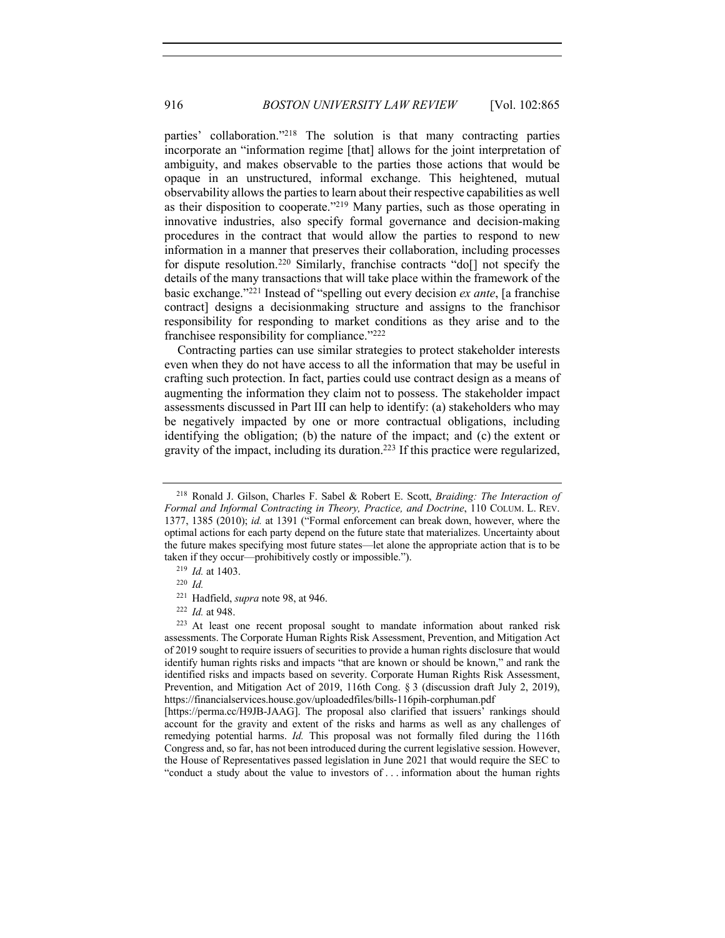parties' collaboration."218 The solution is that many contracting parties incorporate an "information regime [that] allows for the joint interpretation of ambiguity, and makes observable to the parties those actions that would be opaque in an unstructured, informal exchange. This heightened, mutual observability allows the parties to learn about their respective capabilities as well as their disposition to cooperate."219 Many parties, such as those operating in innovative industries, also specify formal governance and decision-making procedures in the contract that would allow the parties to respond to new information in a manner that preserves their collaboration, including processes for dispute resolution.<sup>220</sup> Similarly, franchise contracts "do[] not specify the details of the many transactions that will take place within the framework of the basic exchange."221 Instead of "spelling out every decision *ex ante*, [a franchise contract] designs a decisionmaking structure and assigns to the franchisor responsibility for responding to market conditions as they arise and to the franchisee responsibility for compliance."222

Contracting parties can use similar strategies to protect stakeholder interests even when they do not have access to all the information that may be useful in crafting such protection. In fact, parties could use contract design as a means of augmenting the information they claim not to possess. The stakeholder impact assessments discussed in Part III can help to identify: (a) stakeholders who may be negatively impacted by one or more contractual obligations, including identifying the obligation; (b) the nature of the impact; and (c) the extent or gravity of the impact, including its duration.223 If this practice were regularized,

<sup>218</sup> Ronald J. Gilson, Charles F. Sabel & Robert E. Scott, *Braiding: The Interaction of Formal and Informal Contracting in Theory, Practice, and Doctrine*, 110 COLUM. L. REV. 1377, 1385 (2010); *id.* at 1391 ("Formal enforcement can break down, however, where the optimal actions for each party depend on the future state that materializes. Uncertainty about the future makes specifying most future states—let alone the appropriate action that is to be taken if they occur—prohibitively costly or impossible.").

<sup>219</sup> *Id.* at 1403.

<sup>220</sup> *Id.*

<sup>221</sup> Hadfield, *supra* note 98, at 946.

<sup>222</sup> *Id.* at 948.

<sup>223</sup> At least one recent proposal sought to mandate information about ranked risk assessments. The Corporate Human Rights Risk Assessment, Prevention, and Mitigation Act of 2019 sought to require issuers of securities to provide a human rights disclosure that would identify human rights risks and impacts "that are known or should be known," and rank the identified risks and impacts based on severity. Corporate Human Rights Risk Assessment, Prevention, and Mitigation Act of 2019, 116th Cong. § 3 (discussion draft July 2, 2019), https://financialservices.house.gov/uploadedfiles/bills-116pih-corphuman.pdf

<sup>[</sup>https://perma.cc/H9JB-JAAG]. The proposal also clarified that issuers' rankings should account for the gravity and extent of the risks and harms as well as any challenges of remedying potential harms. *Id.* This proposal was not formally filed during the 116th Congress and, so far, has not been introduced during the current legislative session. However, the House of Representatives passed legislation in June 2021 that would require the SEC to "conduct a study about the value to investors of . . . information about the human rights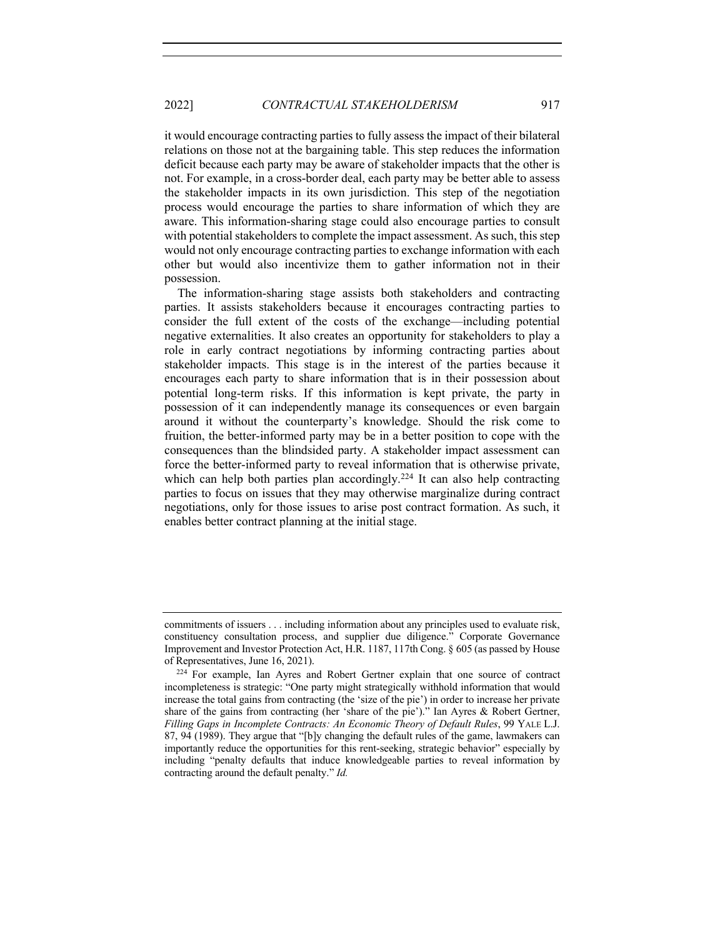it would encourage contracting parties to fully assess the impact of their bilateral relations on those not at the bargaining table. This step reduces the information deficit because each party may be aware of stakeholder impacts that the other is not. For example, in a cross-border deal, each party may be better able to assess the stakeholder impacts in its own jurisdiction. This step of the negotiation process would encourage the parties to share information of which they are aware. This information-sharing stage could also encourage parties to consult with potential stakeholders to complete the impact assessment. As such, this step would not only encourage contracting parties to exchange information with each other but would also incentivize them to gather information not in their possession.

The information-sharing stage assists both stakeholders and contracting parties. It assists stakeholders because it encourages contracting parties to consider the full extent of the costs of the exchange—including potential negative externalities. It also creates an opportunity for stakeholders to play a role in early contract negotiations by informing contracting parties about stakeholder impacts. This stage is in the interest of the parties because it encourages each party to share information that is in their possession about potential long-term risks. If this information is kept private, the party in possession of it can independently manage its consequences or even bargain around it without the counterparty's knowledge. Should the risk come to fruition, the better-informed party may be in a better position to cope with the consequences than the blindsided party. A stakeholder impact assessment can force the better-informed party to reveal information that is otherwise private, which can help both parties plan accordingly.<sup>224</sup> It can also help contracting parties to focus on issues that they may otherwise marginalize during contract negotiations, only for those issues to arise post contract formation. As such, it enables better contract planning at the initial stage.

commitments of issuers . . . including information about any principles used to evaluate risk, constituency consultation process, and supplier due diligence." Corporate Governance Improvement and Investor Protection Act, H.R. 1187, 117th Cong. § 605 (as passed by House of Representatives, June 16, 2021).

<sup>224</sup> For example, Ian Ayres and Robert Gertner explain that one source of contract incompleteness is strategic: "One party might strategically withhold information that would increase the total gains from contracting (the 'size of the pie') in order to increase her private share of the gains from contracting (her 'share of the pie')." Ian Ayres & Robert Gertner, *Filling Gaps in Incomplete Contracts: An Economic Theory of Default Rules*, 99 YALE L.J. 87, 94 (1989). They argue that "[b]y changing the default rules of the game, lawmakers can importantly reduce the opportunities for this rent-seeking, strategic behavior" especially by including "penalty defaults that induce knowledgeable parties to reveal information by contracting around the default penalty." *Id.*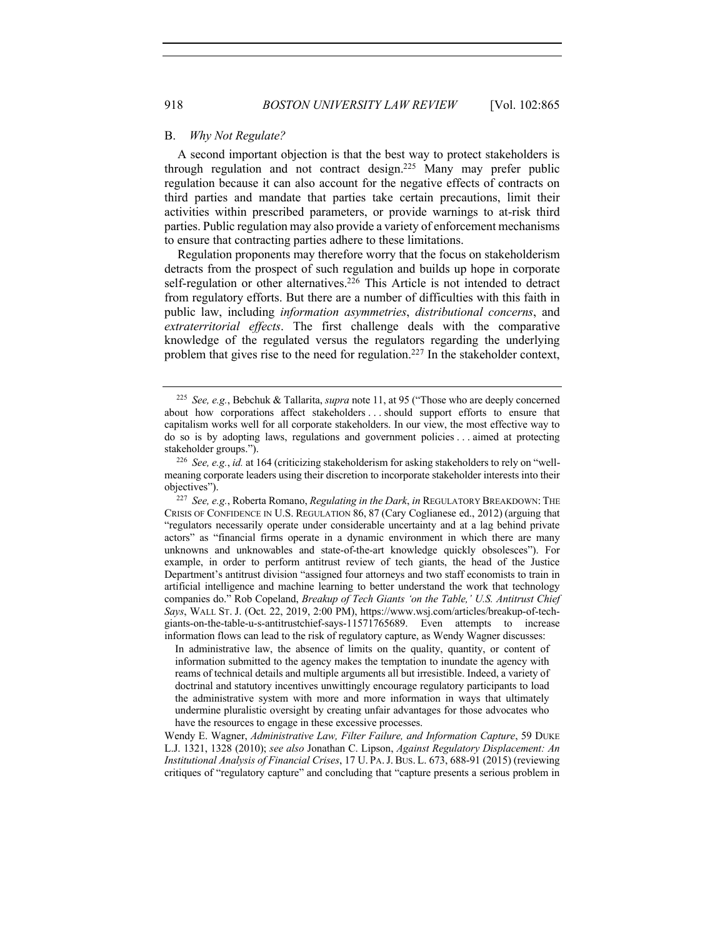### B. *Why Not Regulate?*

A second important objection is that the best way to protect stakeholders is through regulation and not contract design.225 Many may prefer public regulation because it can also account for the negative effects of contracts on third parties and mandate that parties take certain precautions, limit their activities within prescribed parameters, or provide warnings to at-risk third parties. Public regulation may also provide a variety of enforcement mechanisms to ensure that contracting parties adhere to these limitations.

Regulation proponents may therefore worry that the focus on stakeholderism detracts from the prospect of such regulation and builds up hope in corporate self-regulation or other alternatives.<sup>226</sup> This Article is not intended to detract from regulatory efforts. But there are a number of difficulties with this faith in public law, including *information asymmetries*, *distributional concerns*, and *extraterritorial effects*. The first challenge deals with the comparative knowledge of the regulated versus the regulators regarding the underlying problem that gives rise to the need for regulation.<sup>227</sup> In the stakeholder context,

In administrative law, the absence of limits on the quality, quantity, or content of information submitted to the agency makes the temptation to inundate the agency with reams of technical details and multiple arguments all but irresistible. Indeed, a variety of doctrinal and statutory incentives unwittingly encourage regulatory participants to load the administrative system with more and more information in ways that ultimately undermine pluralistic oversight by creating unfair advantages for those advocates who have the resources to engage in these excessive processes.

Wendy E. Wagner, *Administrative Law, Filter Failure, and Information Capture*, 59 DUKE L.J. 1321, 1328 (2010); *see also* Jonathan C. Lipson, *Against Regulatory Displacement: An Institutional Analysis of Financial Crises*, 17 U. PA.J. BUS. L. 673, 688-91 (2015) (reviewing critiques of "regulatory capture" and concluding that "capture presents a serious problem in

<sup>225</sup> *See, e.g.*, Bebchuk & Tallarita, *supra* note 11, at 95 ("Those who are deeply concerned about how corporations affect stakeholders . . . should support efforts to ensure that capitalism works well for all corporate stakeholders. In our view, the most effective way to do so is by adopting laws, regulations and government policies . . . aimed at protecting stakeholder groups.").

<sup>226</sup> *See, e.g.*, *id.* at 164 (criticizing stakeholderism for asking stakeholders to rely on "wellmeaning corporate leaders using their discretion to incorporate stakeholder interests into their objectives").

<sup>227</sup> *See, e.g.*, Roberta Romano, *Regulating in the Dark*, *in* REGULATORY BREAKDOWN: THE CRISIS OF CONFIDENCE IN U.S. REGULATION 86, 87 (Cary Coglianese ed., 2012) (arguing that "regulators necessarily operate under considerable uncertainty and at a lag behind private actors" as "financial firms operate in a dynamic environment in which there are many unknowns and unknowables and state-of-the-art knowledge quickly obsolesces"). For example, in order to perform antitrust review of tech giants, the head of the Justice Department's antitrust division "assigned four attorneys and two staff economists to train in artificial intelligence and machine learning to better understand the work that technology companies do." Rob Copeland, *Breakup of Tech Giants 'on the Table,' U.S. Antitrust Chief Says*, WALL ST. J. (Oct. 22, 2019, 2:00 PM), https://www.wsj.com/articles/breakup-of-techgiants-on-the-table-u-s-antitrustchief-says-11571765689. Even attempts to increase information flows can lead to the risk of regulatory capture, as Wendy Wagner discusses: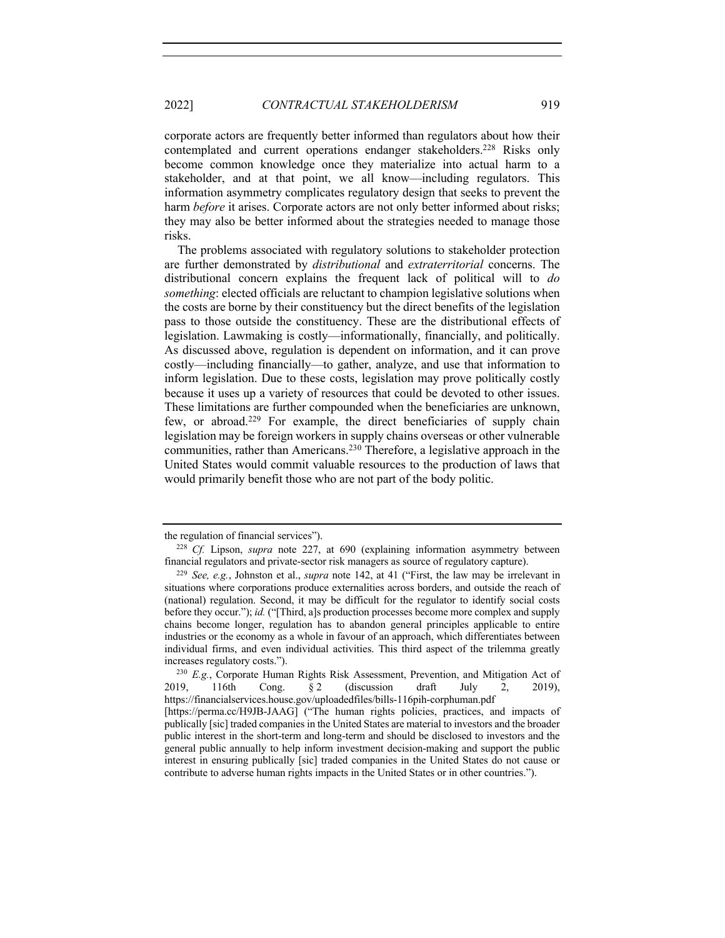corporate actors are frequently better informed than regulators about how their contemplated and current operations endanger stakeholders.<sup>228</sup> Risks only become common knowledge once they materialize into actual harm to a stakeholder, and at that point, we all know—including regulators. This information asymmetry complicates regulatory design that seeks to prevent the harm *before* it arises. Corporate actors are not only better informed about risks; they may also be better informed about the strategies needed to manage those risks.

The problems associated with regulatory solutions to stakeholder protection are further demonstrated by *distributional* and *extraterritorial* concerns. The distributional concern explains the frequent lack of political will to *do something*: elected officials are reluctant to champion legislative solutions when the costs are borne by their constituency but the direct benefits of the legislation pass to those outside the constituency. These are the distributional effects of legislation. Lawmaking is costly—informationally, financially, and politically. As discussed above, regulation is dependent on information, and it can prove costly—including financially—to gather, analyze, and use that information to inform legislation. Due to these costs, legislation may prove politically costly because it uses up a variety of resources that could be devoted to other issues. These limitations are further compounded when the beneficiaries are unknown, few, or abroad.229 For example, the direct beneficiaries of supply chain legislation may be foreign workers in supply chains overseas or other vulnerable communities, rather than Americans. <sup>230</sup> Therefore, a legislative approach in the United States would commit valuable resources to the production of laws that would primarily benefit those who are not part of the body politic.

the regulation of financial services").

<sup>228</sup> *Cf.* Lipson, *supra* note 227, at 690 (explaining information asymmetry between financial regulators and private-sector risk managers as source of regulatory capture).

<sup>229</sup> *See, e.g.*, Johnston et al., *supra* note 142, at 41 ("First, the law may be irrelevant in situations where corporations produce externalities across borders, and outside the reach of (national) regulation. Second, it may be difficult for the regulator to identify social costs before they occur."); *id.* ("[Third, a]s production processes become more complex and supply chains become longer, regulation has to abandon general principles applicable to entire industries or the economy as a whole in favour of an approach, which differentiates between individual firms, and even individual activities. This third aspect of the trilemma greatly increases regulatory costs.").

<sup>230</sup> *E.g.*, Corporate Human Rights Risk Assessment, Prevention, and Mitigation Act of 2019, 116th Cong. § 2 (discussion draft July 2, 2019), https://financialservices.house.gov/uploadedfiles/bills-116pih-corphuman.pdf [https://perma.cc/H9JB-JAAG] ("The human rights policies, practices, and impacts of publically [sic] traded companies in the United States are material to investors and the broader public interest in the short-term and long-term and should be disclosed to investors and the general public annually to help inform investment decision-making and support the public interest in ensuring publically [sic] traded companies in the United States do not cause or contribute to adverse human rights impacts in the United States or in other countries.").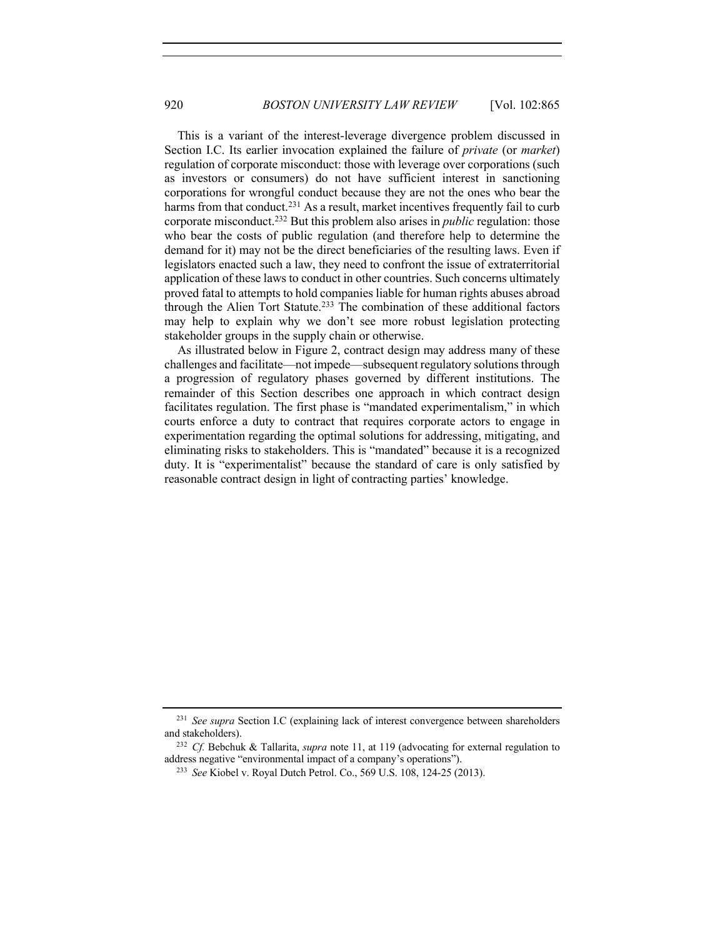This is a variant of the interest-leverage divergence problem discussed in Section I.C. Its earlier invocation explained the failure of *private* (or *market*) regulation of corporate misconduct: those with leverage over corporations (such as investors or consumers) do not have sufficient interest in sanctioning corporations for wrongful conduct because they are not the ones who bear the harms from that conduct.<sup>231</sup> As a result, market incentives frequently fail to curb corporate misconduct.232 But this problem also arises in *public* regulation: those who bear the costs of public regulation (and therefore help to determine the demand for it) may not be the direct beneficiaries of the resulting laws. Even if legislators enacted such a law, they need to confront the issue of extraterritorial application of these laws to conduct in other countries. Such concerns ultimately proved fatal to attempts to hold companies liable for human rights abuses abroad through the Alien Tort Statute.<sup>233</sup> The combination of these additional factors may help to explain why we don't see more robust legislation protecting stakeholder groups in the supply chain or otherwise.

As illustrated below in Figure 2, contract design may address many of these challenges and facilitate—not impede—subsequent regulatory solutions through a progression of regulatory phases governed by different institutions. The remainder of this Section describes one approach in which contract design facilitates regulation. The first phase is "mandated experimentalism," in which courts enforce a duty to contract that requires corporate actors to engage in experimentation regarding the optimal solutions for addressing, mitigating, and eliminating risks to stakeholders. This is "mandated" because it is a recognized duty. It is "experimentalist" because the standard of care is only satisfied by reasonable contract design in light of contracting parties' knowledge.

<sup>231</sup> *See supra* Section I.C (explaining lack of interest convergence between shareholders and stakeholders).

<sup>232</sup> *Cf.* Bebchuk & Tallarita, *supra* note 11, at 119 (advocating for external regulation to address negative "environmental impact of a company's operations").

<sup>233</sup> *See* Kiobel v. Royal Dutch Petrol. Co., 569 U.S. 108, 124-25 (2013).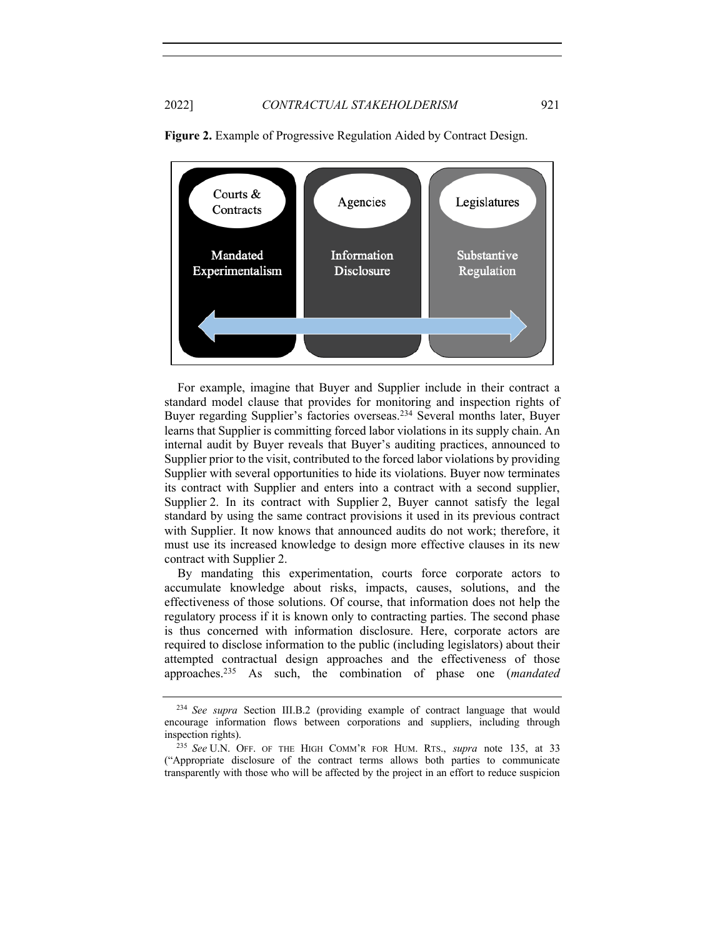

**Figure 2.** Example of Progressive Regulation Aided by Contract Design.

For example, imagine that Buyer and Supplier include in their contract a standard model clause that provides for monitoring and inspection rights of Buyer regarding Supplier's factories overseas.234 Several months later, Buyer learns that Supplier is committing forced labor violations in its supply chain. An internal audit by Buyer reveals that Buyer's auditing practices, announced to Supplier prior to the visit, contributed to the forced labor violations by providing Supplier with several opportunities to hide its violations. Buyer now terminates its contract with Supplier and enters into a contract with a second supplier, Supplier 2. In its contract with Supplier 2, Buyer cannot satisfy the legal standard by using the same contract provisions it used in its previous contract with Supplier. It now knows that announced audits do not work; therefore, it must use its increased knowledge to design more effective clauses in its new contract with Supplier 2.

By mandating this experimentation, courts force corporate actors to accumulate knowledge about risks, impacts, causes, solutions, and the effectiveness of those solutions. Of course, that information does not help the regulatory process if it is known only to contracting parties. The second phase is thus concerned with information disclosure. Here, corporate actors are required to disclose information to the public (including legislators) about their attempted contractual design approaches and the effectiveness of those approaches.235 As such, the combination of phase one (*mandated* 

<sup>234</sup> *See supra* Section III.B.2 (providing example of contract language that would encourage information flows between corporations and suppliers, including through inspection rights).

<sup>235</sup> *See* U.N. OFF. OF THE HIGH COMM'R FOR HUM. RTS., *supra* note 135, at 33 ("Appropriate disclosure of the contract terms allows both parties to communicate transparently with those who will be affected by the project in an effort to reduce suspicion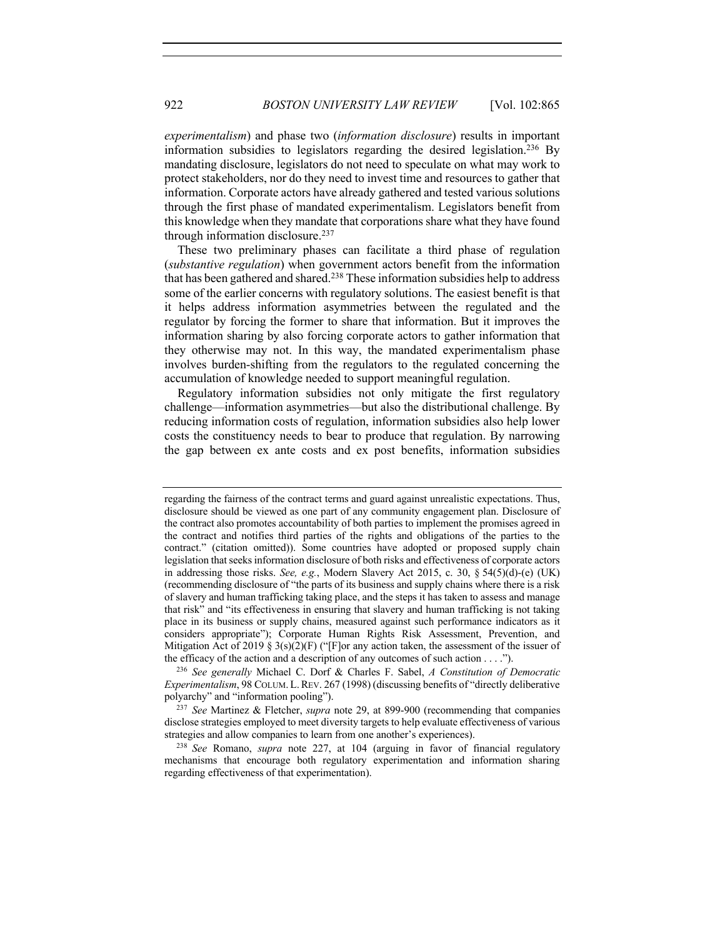*experimentalism*) and phase two (*information disclosure*) results in important information subsidies to legislators regarding the desired legislation.236 By mandating disclosure, legislators do not need to speculate on what may work to protect stakeholders, nor do they need to invest time and resources to gather that information. Corporate actors have already gathered and tested various solutions through the first phase of mandated experimentalism. Legislators benefit from this knowledge when they mandate that corporations share what they have found through information disclosure.237

These two preliminary phases can facilitate a third phase of regulation (*substantive regulation*) when government actors benefit from the information that has been gathered and shared.238 These information subsidies help to address some of the earlier concerns with regulatory solutions. The easiest benefit is that it helps address information asymmetries between the regulated and the regulator by forcing the former to share that information. But it improves the information sharing by also forcing corporate actors to gather information that they otherwise may not. In this way, the mandated experimentalism phase involves burden-shifting from the regulators to the regulated concerning the accumulation of knowledge needed to support meaningful regulation.

Regulatory information subsidies not only mitigate the first regulatory challenge—information asymmetries—but also the distributional challenge. By reducing information costs of regulation, information subsidies also help lower costs the constituency needs to bear to produce that regulation. By narrowing the gap between ex ante costs and ex post benefits, information subsidies

regarding the fairness of the contract terms and guard against unrealistic expectations. Thus, disclosure should be viewed as one part of any community engagement plan. Disclosure of the contract also promotes accountability of both parties to implement the promises agreed in the contract and notifies third parties of the rights and obligations of the parties to the contract." (citation omitted)). Some countries have adopted or proposed supply chain legislation that seeks information disclosure of both risks and effectiveness of corporate actors in addressing those risks. *See, e.g.*, Modern Slavery Act 2015, c. 30, § 54(5)(d)-(e) (UK) (recommending disclosure of "the parts of its business and supply chains where there is a risk of slavery and human trafficking taking place, and the steps it has taken to assess and manage that risk" and "its effectiveness in ensuring that slavery and human trafficking is not taking place in its business or supply chains, measured against such performance indicators as it considers appropriate"); Corporate Human Rights Risk Assessment, Prevention, and Mitigation Act of 2019 § 3(s)(2)(F) ("[F]or any action taken, the assessment of the issuer of the efficacy of the action and a description of any outcomes of such action . . . .").

<sup>236</sup> *See generally* Michael C. Dorf & Charles F. Sabel, *A Constitution of Democratic Experimentalism*, 98 COLUM. L.REV. 267 (1998) (discussing benefits of "directly deliberative polyarchy" and "information pooling").

<sup>237</sup> *See* Martinez & Fletcher, *supra* note 29, at 899-900 (recommending that companies disclose strategies employed to meet diversity targets to help evaluate effectiveness of various strategies and allow companies to learn from one another's experiences).

<sup>238</sup> *See* Romano, *supra* note 227, at 104 (arguing in favor of financial regulatory mechanisms that encourage both regulatory experimentation and information sharing regarding effectiveness of that experimentation).